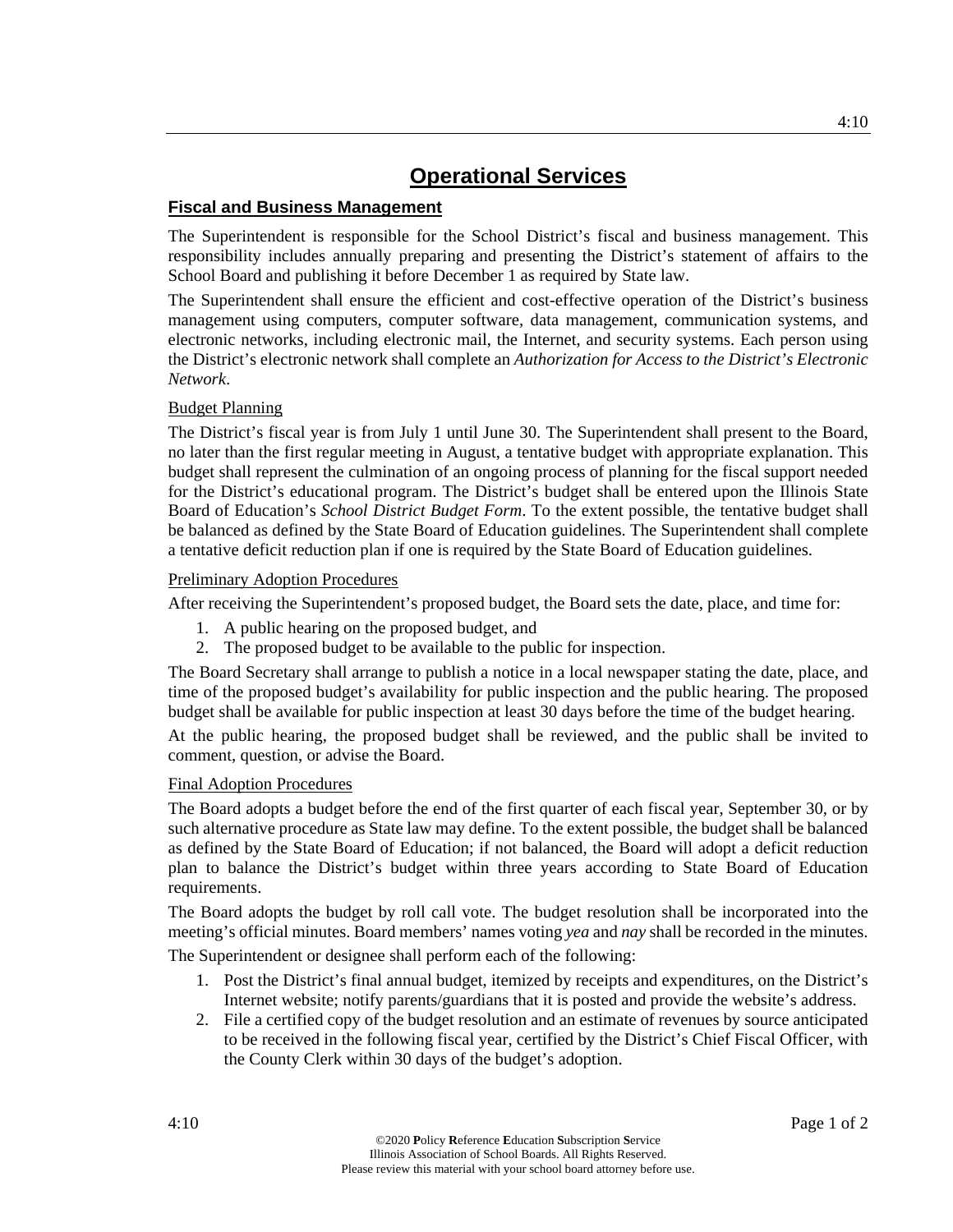## **Fiscal and Business Management**

The Superintendent is responsible for the School District's fiscal and business management. This responsibility includes annually preparing and presenting the District's statement of affairs to the School Board and publishing it before December 1 as required by State law.

The Superintendent shall ensure the efficient and cost-effective operation of the District's business management using computers, computer software, data management, communication systems, and electronic networks, including electronic mail, the Internet, and security systems. Each person using the District's electronic network shall complete an *Authorization for Access to the District's Electronic Network*.

### Budget Planning

The District's fiscal year is from July 1 until June 30. The Superintendent shall present to the Board, no later than the first regular meeting in August, a tentative budget with appropriate explanation. This budget shall represent the culmination of an ongoing process of planning for the fiscal support needed for the District's educational program. The District's budget shall be entered upon the Illinois State Board of Education's *School District Budget Form*. To the extent possible, the tentative budget shall be balanced as defined by the State Board of Education guidelines. The Superintendent shall complete a tentative deficit reduction plan if one is required by the State Board of Education guidelines.

#### Preliminary Adoption Procedures

After receiving the Superintendent's proposed budget, the Board sets the date, place, and time for:

- 1. A public hearing on the proposed budget, and
- 2. The proposed budget to be available to the public for inspection.

The Board Secretary shall arrange to publish a notice in a local newspaper stating the date, place, and time of the proposed budget's availability for public inspection and the public hearing. The proposed budget shall be available for public inspection at least 30 days before the time of the budget hearing.

At the public hearing, the proposed budget shall be reviewed, and the public shall be invited to comment, question, or advise the Board.

#### Final Adoption Procedures

The Board adopts a budget before the end of the first quarter of each fiscal year, September 30, or by such alternative procedure as State law may define. To the extent possible, the budget shall be balanced as defined by the State Board of Education; if not balanced, the Board will adopt a deficit reduction plan to balance the District's budget within three years according to State Board of Education requirements.

The Board adopts the budget by roll call vote. The budget resolution shall be incorporated into the meeting's official minutes. Board members' names voting *yea* and *nay* shall be recorded in the minutes.

The Superintendent or designee shall perform each of the following:

- 1. Post the District's final annual budget, itemized by receipts and expenditures, on the District's Internet website; notify parents/guardians that it is posted and provide the website's address.
- 2. File a certified copy of the budget resolution and an estimate of revenues by source anticipated to be received in the following fiscal year, certified by the District's Chief Fiscal Officer, with the County Clerk within 30 days of the budget's adoption.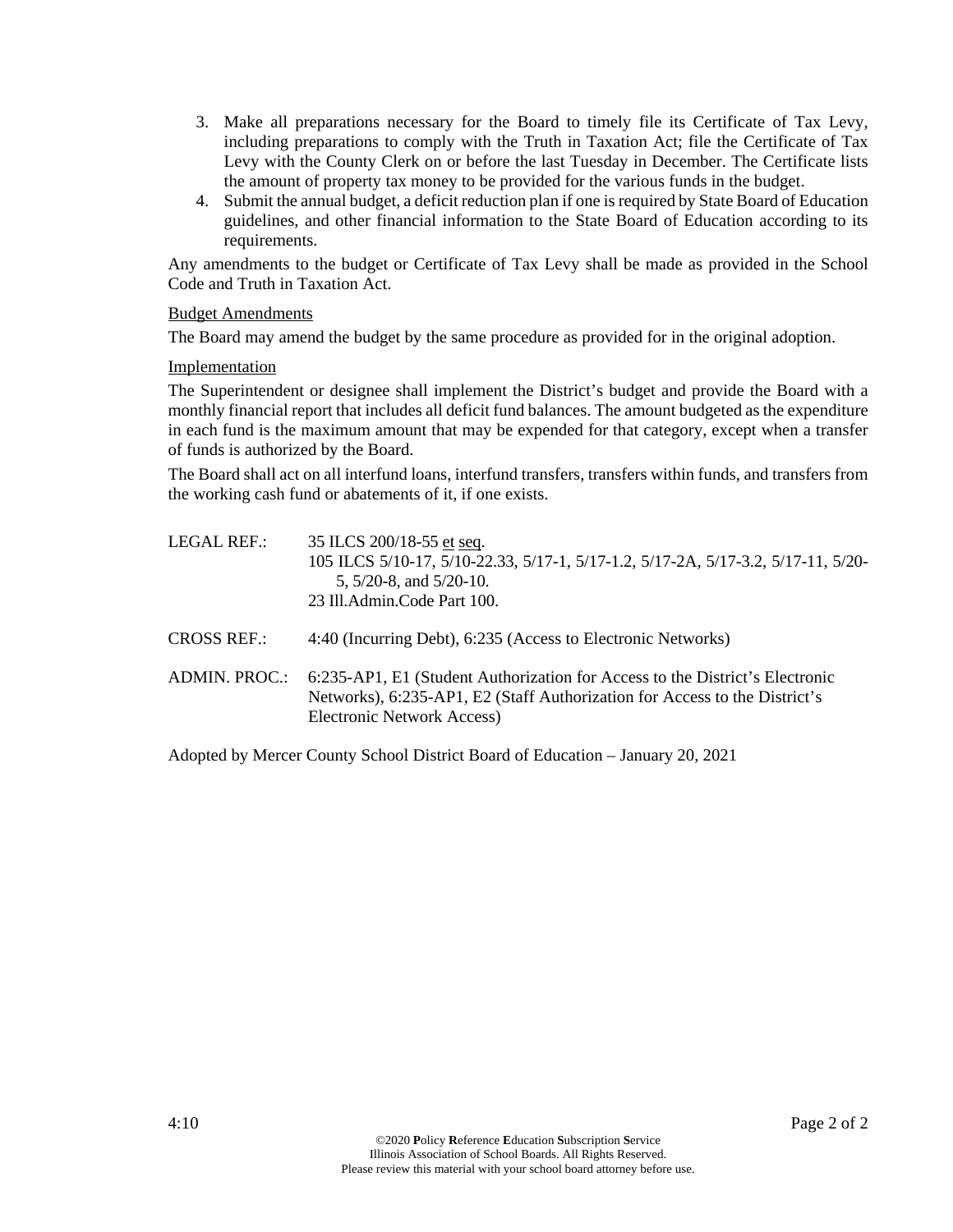- 3. Make all preparations necessary for the Board to timely file its Certificate of Tax Levy, including preparations to comply with the Truth in Taxation Act; file the Certificate of Tax Levy with the County Clerk on or before the last Tuesday in December. The Certificate lists the amount of property tax money to be provided for the various funds in the budget.
- 4. Submit the annual budget, a deficit reduction plan if one is required by State Board of Education guidelines, and other financial information to the State Board of Education according to its requirements.

Any amendments to the budget or Certificate of Tax Levy shall be made as provided in the School Code and Truth in Taxation Act.

### Budget Amendments

The Board may amend the budget by the same procedure as provided for in the original adoption.

#### **Implementation**

The Superintendent or designee shall implement the District's budget and provide the Board with a monthly financial report that includes all deficit fund balances. The amount budgeted as the expenditure in each fund is the maximum amount that may be expended for that category, except when a transfer of funds is authorized by the Board.

The Board shall act on all interfund loans, interfund transfers, transfers within funds, and transfers from the working cash fund or abatements of it, if one exists.

- LEGAL REF.: 35 ILCS 200/18-55 et seq. 105 ILCS 5/10-17, 5/10-22.33, 5/17-1, 5/17-1.2, 5/17-2A, 5/17-3.2, 5/17-11, 5/20- 5, 5/20-8, and 5/20-10. 23 Ill.Admin.Code Part 100.
- CROSS REF.: 4:40 (Incurring Debt), 6:235 (Access to Electronic Networks)
- ADMIN. PROC.: 6:235-AP1, E1 (Student Authorization for Access to the District's Electronic Networks), 6:235-AP1, E2 (Staff Authorization for Access to the District's Electronic Network Access)

Adopted by Mercer County School District Board of Education – January 20, 2021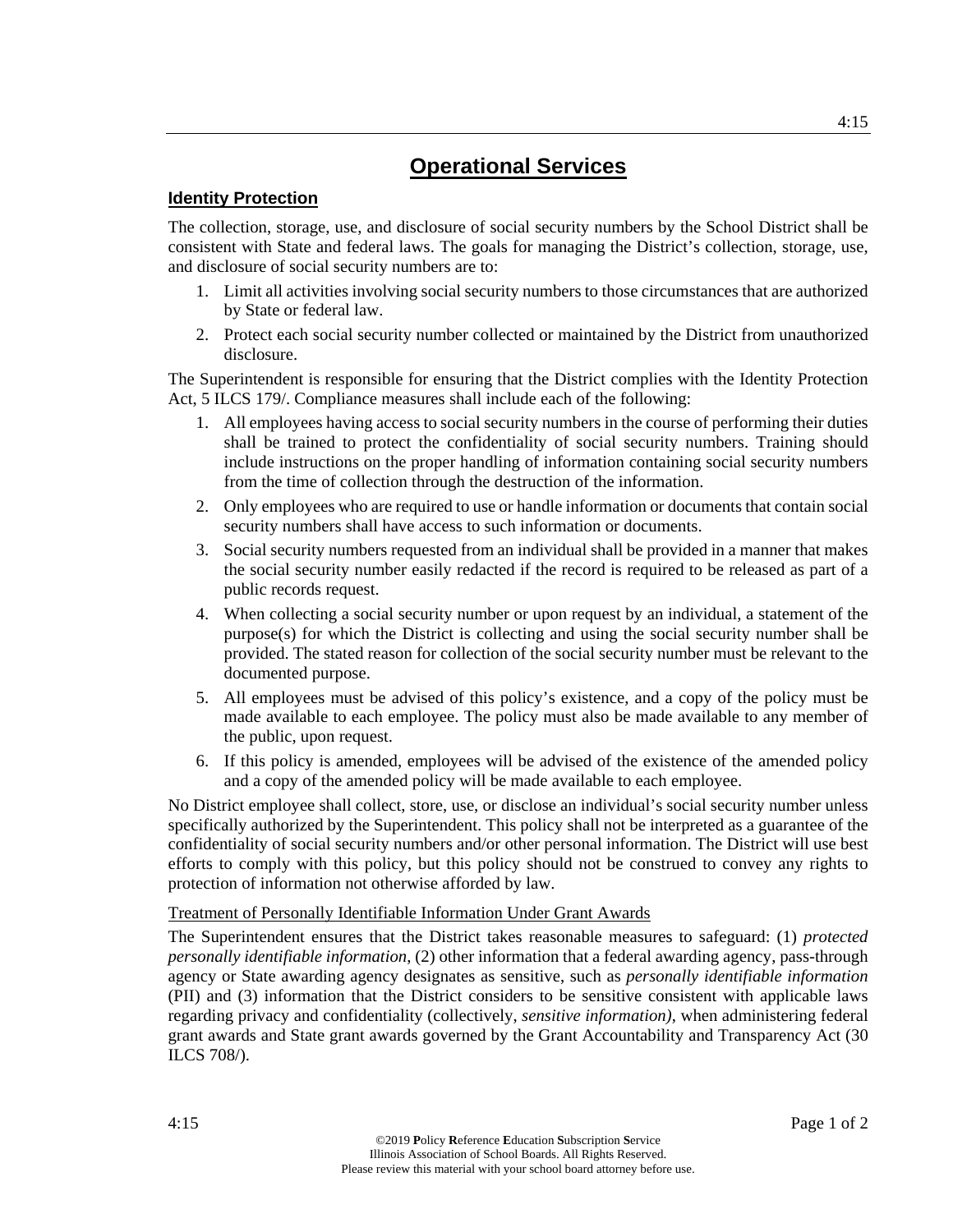## **Identity Protection**

The collection, storage, use, and disclosure of social security numbers by the School District shall be consistent with State and federal laws. The goals for managing the District's collection, storage, use, and disclosure of social security numbers are to:

- 1. Limit all activities involving social security numbers to those circumstances that are authorized by State or federal law.
- 2. Protect each social security number collected or maintained by the District from unauthorized disclosure.

The Superintendent is responsible for ensuring that the District complies with the Identity Protection Act, 5 ILCS 179/. Compliance measures shall include each of the following:

- 1. All employees having access to social security numbers in the course of performing their duties shall be trained to protect the confidentiality of social security numbers. Training should include instructions on the proper handling of information containing social security numbers from the time of collection through the destruction of the information.
- 2. Only employees who are required to use or handle information or documents that contain social security numbers shall have access to such information or documents.
- 3. Social security numbers requested from an individual shall be provided in a manner that makes the social security number easily redacted if the record is required to be released as part of a public records request.
- 4. When collecting a social security number or upon request by an individual, a statement of the purpose(s) for which the District is collecting and using the social security number shall be provided. The stated reason for collection of the social security number must be relevant to the documented purpose.
- 5. All employees must be advised of this policy's existence, and a copy of the policy must be made available to each employee. The policy must also be made available to any member of the public, upon request.
- 6. If this policy is amended, employees will be advised of the existence of the amended policy and a copy of the amended policy will be made available to each employee.

No District employee shall collect, store, use, or disclose an individual's social security number unless specifically authorized by the Superintendent. This policy shall not be interpreted as a guarantee of the confidentiality of social security numbers and/or other personal information. The District will use best efforts to comply with this policy, but this policy should not be construed to convey any rights to protection of information not otherwise afforded by law.

#### Treatment of Personally Identifiable Information Under Grant Awards

The Superintendent ensures that the District takes reasonable measures to safeguard: (1) *protected personally identifiable information*, (2) other information that a federal awarding agency, pass-through agency or State awarding agency designates as sensitive, such as *personally identifiable information*  (PII) and (3) information that the District considers to be sensitive consistent with applicable laws regarding privacy and confidentiality (collectively, *sensitive information)*, when administering federal grant awards and State grant awards governed by the Grant Accountability and Transparency Act (30 ILCS 708/).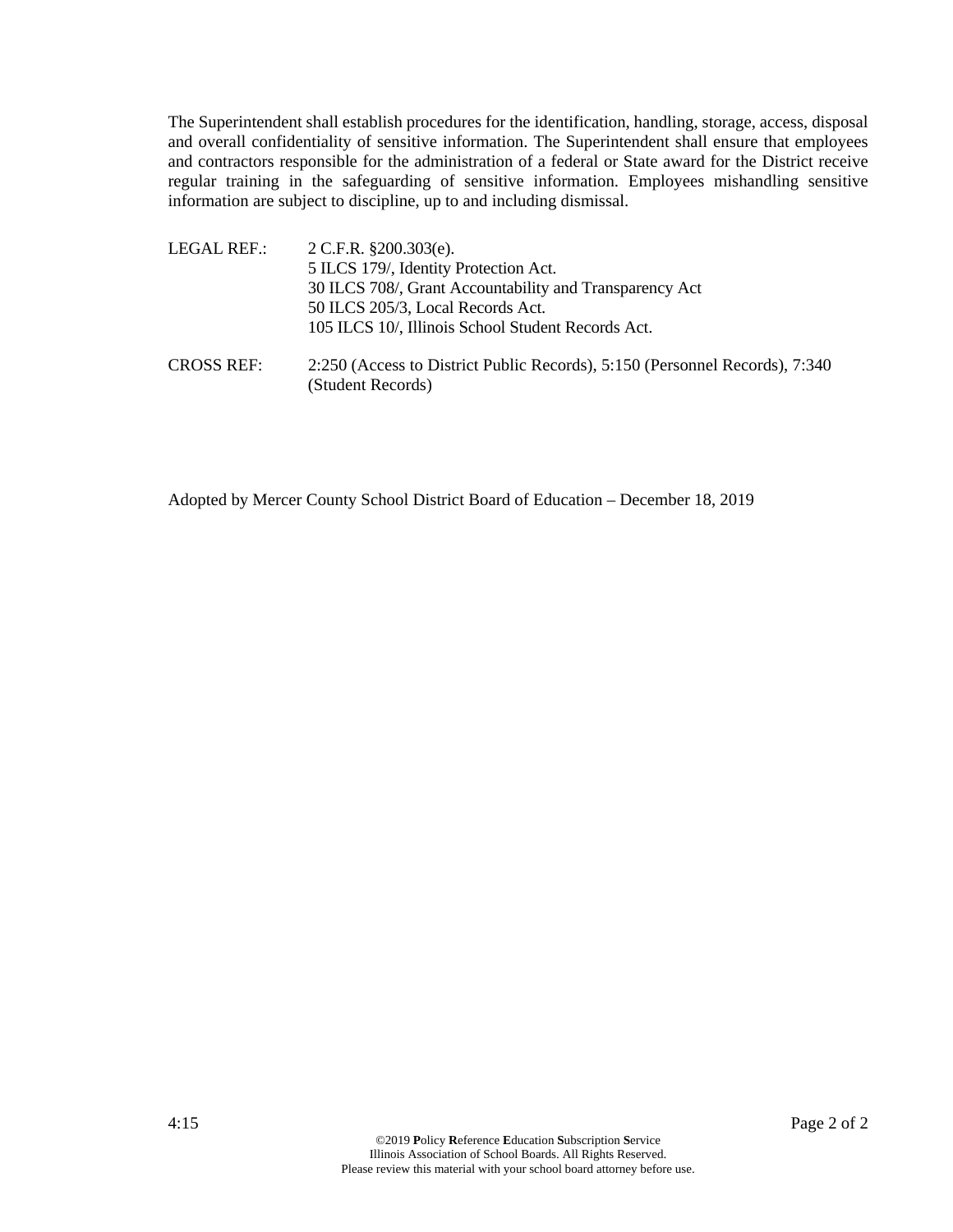The Superintendent shall establish procedures for the identification, handling, storage, access, disposal and overall confidentiality of sensitive information. The Superintendent shall ensure that employees and contractors responsible for the administration of a federal or State award for the District receive regular training in the safeguarding of sensitive information. Employees mishandling sensitive information are subject to discipline, up to and including dismissal.

LEGAL REF.: 2 C.F.R. §200.303(e). 5 ILCS 179/, Identity Protection Act. 30 ILCS 708/, Grant Accountability and Transparency Act 50 ILCS 205/3, Local Records Act. 105 ILCS 10/, Illinois School Student Records Act. CROSS REF: 2:250 (Access to District Public Records), 5:150 (Personnel Records), 7:340

Adopted by Mercer County School District Board of Education – December 18, 2019

(Student Records)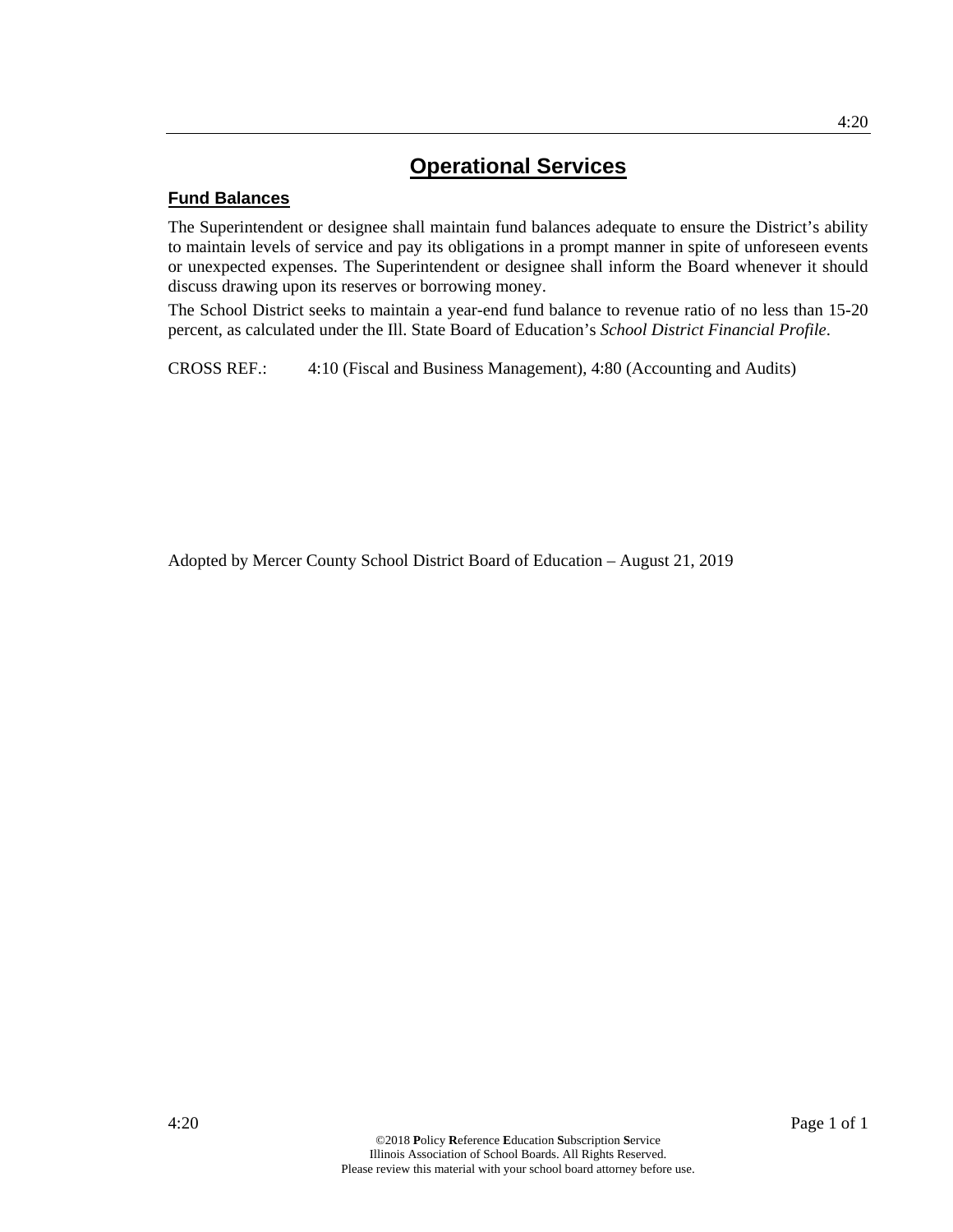## **Fund Balances**

The Superintendent or designee shall maintain fund balances adequate to ensure the District's ability to maintain levels of service and pay its obligations in a prompt manner in spite of unforeseen events or unexpected expenses. The Superintendent or designee shall inform the Board whenever it should discuss drawing upon its reserves or borrowing money.

The School District seeks to maintain a year-end fund balance to revenue ratio of no less than 15-20 percent, as calculated under the Ill. State Board of Education's *School District Financial Profile*.

CROSS REF.: 4:10 (Fiscal and Business Management), 4:80 (Accounting and Audits)

Adopted by Mercer County School District Board of Education – August 21, 2019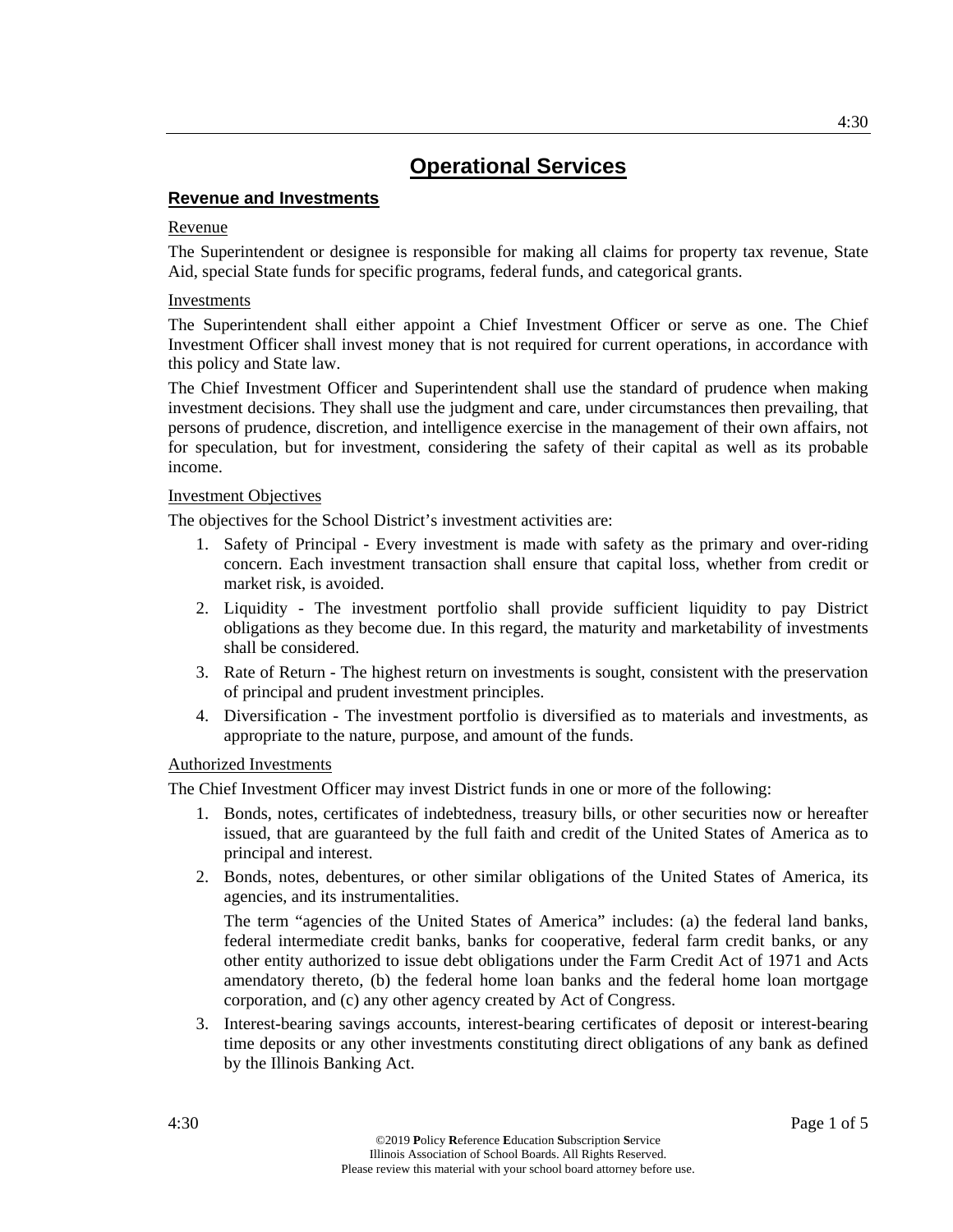## **Revenue and Investments**

### Revenue

The Superintendent or designee is responsible for making all claims for property tax revenue, State Aid, special State funds for specific programs, federal funds, and categorical grants.

### **Investments**

The Superintendent shall either appoint a Chief Investment Officer or serve as one. The Chief Investment Officer shall invest money that is not required for current operations, in accordance with this policy and State law.

The Chief Investment Officer and Superintendent shall use the standard of prudence when making investment decisions. They shall use the judgment and care, under circumstances then prevailing, that persons of prudence, discretion, and intelligence exercise in the management of their own affairs, not for speculation, but for investment, considering the safety of their capital as well as its probable income.

### Investment Objectives

The objectives for the School District's investment activities are:

- 1. Safety of Principal Every investment is made with safety as the primary and over-riding concern. Each investment transaction shall ensure that capital loss, whether from credit or market risk, is avoided.
- 2. Liquidity The investment portfolio shall provide sufficient liquidity to pay District obligations as they become due. In this regard, the maturity and marketability of investments shall be considered.
- 3. Rate of Return The highest return on investments is sought, consistent with the preservation of principal and prudent investment principles.
- 4. Diversification The investment portfolio is diversified as to materials and investments, as appropriate to the nature, purpose, and amount of the funds.

## Authorized Investments

The Chief Investment Officer may invest District funds in one or more of the following:

- 1. Bonds, notes, certificates of indebtedness, treasury bills, or other securities now or hereafter issued, that are guaranteed by the full faith and credit of the United States of America as to principal and interest.
- 2. Bonds, notes, debentures, or other similar obligations of the United States of America, its agencies, and its instrumentalities.

The term "agencies of the United States of America" includes: (a) the federal land banks, federal intermediate credit banks, banks for cooperative, federal farm credit banks, or any other entity authorized to issue debt obligations under the Farm Credit Act of 1971 and Acts amendatory thereto, (b) the federal home loan banks and the federal home loan mortgage corporation, and (c) any other agency created by Act of Congress.

3. Interest-bearing savings accounts, interest-bearing certificates of deposit or interest-bearing time deposits or any other investments constituting direct obligations of any bank as defined by the Illinois Banking Act.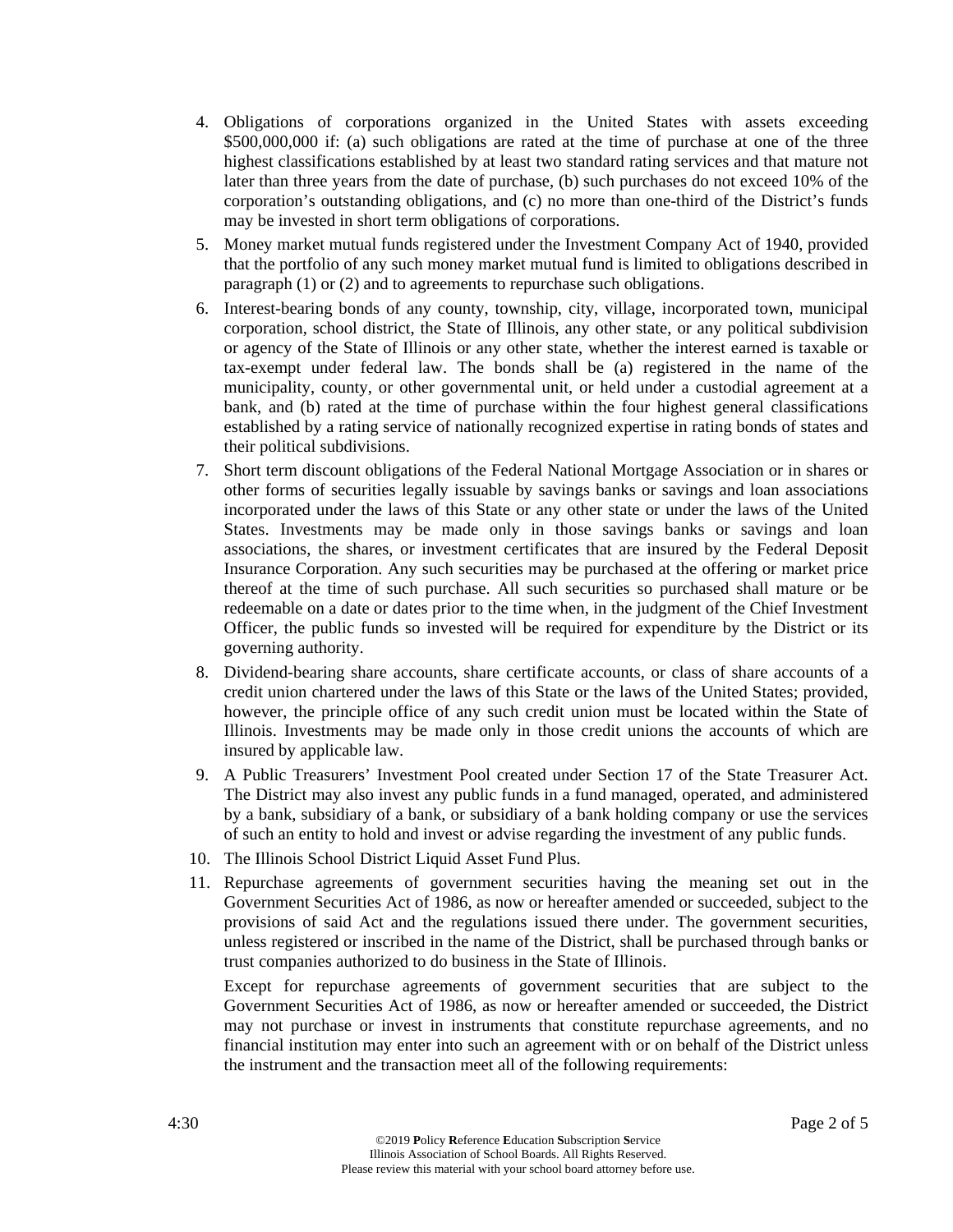- 4. Obligations of corporations organized in the United States with assets exceeding \$500,000,000 if: (a) such obligations are rated at the time of purchase at one of the three highest classifications established by at least two standard rating services and that mature not later than three years from the date of purchase, (b) such purchases do not exceed 10% of the corporation's outstanding obligations, and (c) no more than one-third of the District's funds may be invested in short term obligations of corporations.
- 5. Money market mutual funds registered under the Investment Company Act of 1940, provided that the portfolio of any such money market mutual fund is limited to obligations described in paragraph (1) or (2) and to agreements to repurchase such obligations.
- 6. Interest-bearing bonds of any county, township, city, village, incorporated town, municipal corporation, school district, the State of Illinois, any other state, or any political subdivision or agency of the State of Illinois or any other state, whether the interest earned is taxable or tax-exempt under federal law. The bonds shall be (a) registered in the name of the municipality, county, or other governmental unit, or held under a custodial agreement at a bank, and (b) rated at the time of purchase within the four highest general classifications established by a rating service of nationally recognized expertise in rating bonds of states and their political subdivisions.
- 7. Short term discount obligations of the Federal National Mortgage Association or in shares or other forms of securities legally issuable by savings banks or savings and loan associations incorporated under the laws of this State or any other state or under the laws of the United States. Investments may be made only in those savings banks or savings and loan associations, the shares, or investment certificates that are insured by the Federal Deposit Insurance Corporation. Any such securities may be purchased at the offering or market price thereof at the time of such purchase. All such securities so purchased shall mature or be redeemable on a date or dates prior to the time when, in the judgment of the Chief Investment Officer, the public funds so invested will be required for expenditure by the District or its governing authority.
- 8. Dividend-bearing share accounts, share certificate accounts, or class of share accounts of a credit union chartered under the laws of this State or the laws of the United States; provided, however, the principle office of any such credit union must be located within the State of Illinois. Investments may be made only in those credit unions the accounts of which are insured by applicable law.
- 9. A Public Treasurers' Investment Pool created under Section 17 of the State Treasurer Act. The District may also invest any public funds in a fund managed, operated, and administered by a bank, subsidiary of a bank, or subsidiary of a bank holding company or use the services of such an entity to hold and invest or advise regarding the investment of any public funds.
- 10. The Illinois School District Liquid Asset Fund Plus.
- 11. Repurchase agreements of government securities having the meaning set out in the Government Securities Act of 1986, as now or hereafter amended or succeeded, subject to the provisions of said Act and the regulations issued there under. The government securities, unless registered or inscribed in the name of the District, shall be purchased through banks or trust companies authorized to do business in the State of Illinois.

Except for repurchase agreements of government securities that are subject to the Government Securities Act of 1986, as now or hereafter amended or succeeded, the District may not purchase or invest in instruments that constitute repurchase agreements, and no financial institution may enter into such an agreement with or on behalf of the District unless the instrument and the transaction meet all of the following requirements: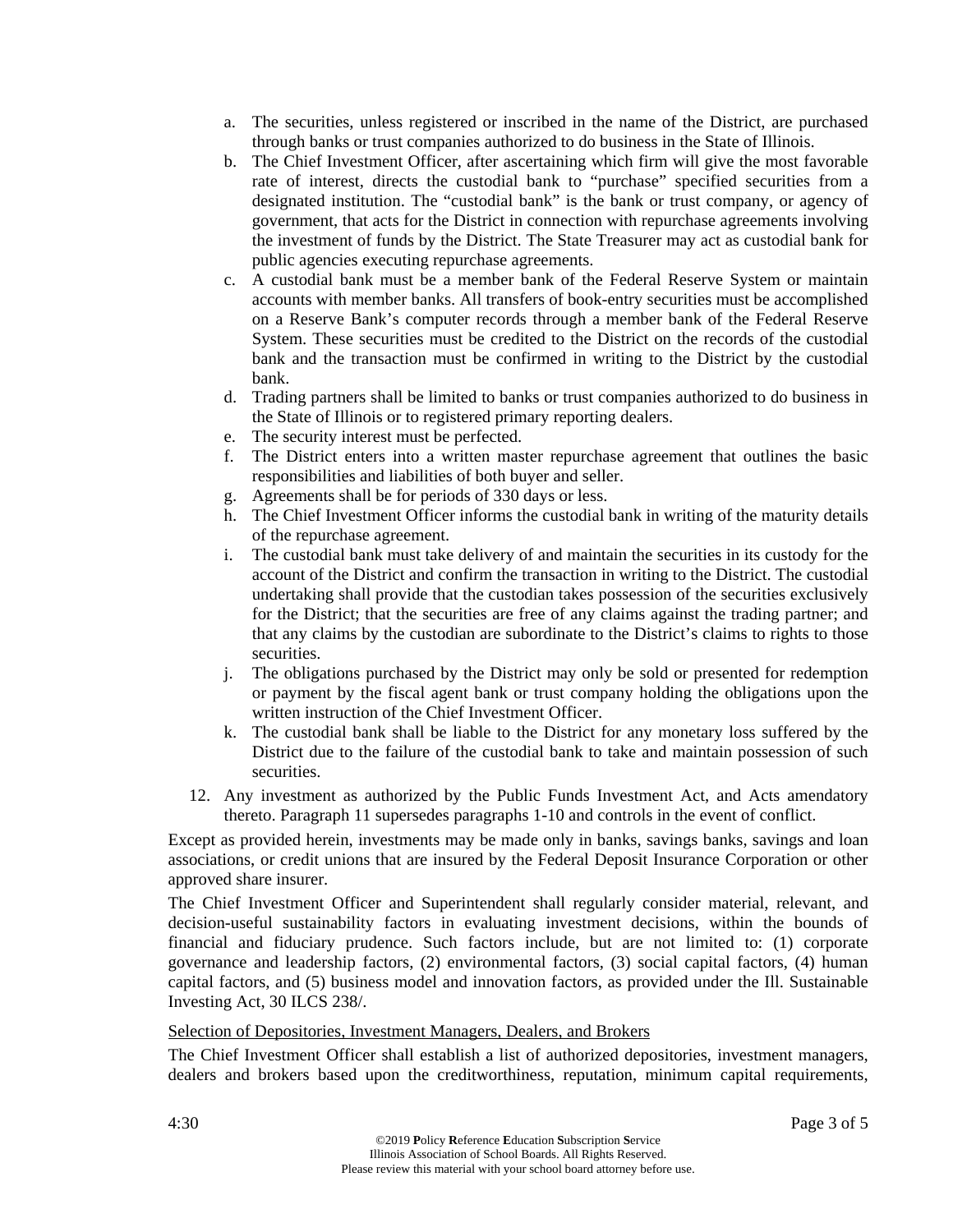- a. The securities, unless registered or inscribed in the name of the District, are purchased through banks or trust companies authorized to do business in the State of Illinois.
- b. The Chief Investment Officer, after ascertaining which firm will give the most favorable rate of interest, directs the custodial bank to "purchase" specified securities from a designated institution. The "custodial bank" is the bank or trust company, or agency of government, that acts for the District in connection with repurchase agreements involving the investment of funds by the District. The State Treasurer may act as custodial bank for public agencies executing repurchase agreements.
- c. A custodial bank must be a member bank of the Federal Reserve System or maintain accounts with member banks. All transfers of book-entry securities must be accomplished on a Reserve Bank's computer records through a member bank of the Federal Reserve System. These securities must be credited to the District on the records of the custodial bank and the transaction must be confirmed in writing to the District by the custodial bank.
- d. Trading partners shall be limited to banks or trust companies authorized to do business in the State of Illinois or to registered primary reporting dealers.
- e. The security interest must be perfected.
- f. The District enters into a written master repurchase agreement that outlines the basic responsibilities and liabilities of both buyer and seller.
- g. Agreements shall be for periods of 330 days or less.
- h. The Chief Investment Officer informs the custodial bank in writing of the maturity details of the repurchase agreement.
- i. The custodial bank must take delivery of and maintain the securities in its custody for the account of the District and confirm the transaction in writing to the District. The custodial undertaking shall provide that the custodian takes possession of the securities exclusively for the District; that the securities are free of any claims against the trading partner; and that any claims by the custodian are subordinate to the District's claims to rights to those securities.
- j. The obligations purchased by the District may only be sold or presented for redemption or payment by the fiscal agent bank or trust company holding the obligations upon the written instruction of the Chief Investment Officer.
- k. The custodial bank shall be liable to the District for any monetary loss suffered by the District due to the failure of the custodial bank to take and maintain possession of such securities.
- 12. Any investment as authorized by the Public Funds Investment Act, and Acts amendatory thereto. Paragraph 11 supersedes paragraphs 1-10 and controls in the event of conflict.

Except as provided herein, investments may be made only in banks, savings banks, savings and loan associations, or credit unions that are insured by the Federal Deposit Insurance Corporation or other approved share insurer.

The Chief Investment Officer and Superintendent shall regularly consider material, relevant, and decision-useful sustainability factors in evaluating investment decisions, within the bounds of financial and fiduciary prudence. Such factors include, but are not limited to: (1) corporate governance and leadership factors, (2) environmental factors, (3) social capital factors, (4) human capital factors, and (5) business model and innovation factors, as provided under the Ill. Sustainable Investing Act, 30 ILCS 238/.

## Selection of Depositories, Investment Managers, Dealers, and Brokers

The Chief Investment Officer shall establish a list of authorized depositories, investment managers, dealers and brokers based upon the creditworthiness, reputation, minimum capital requirements,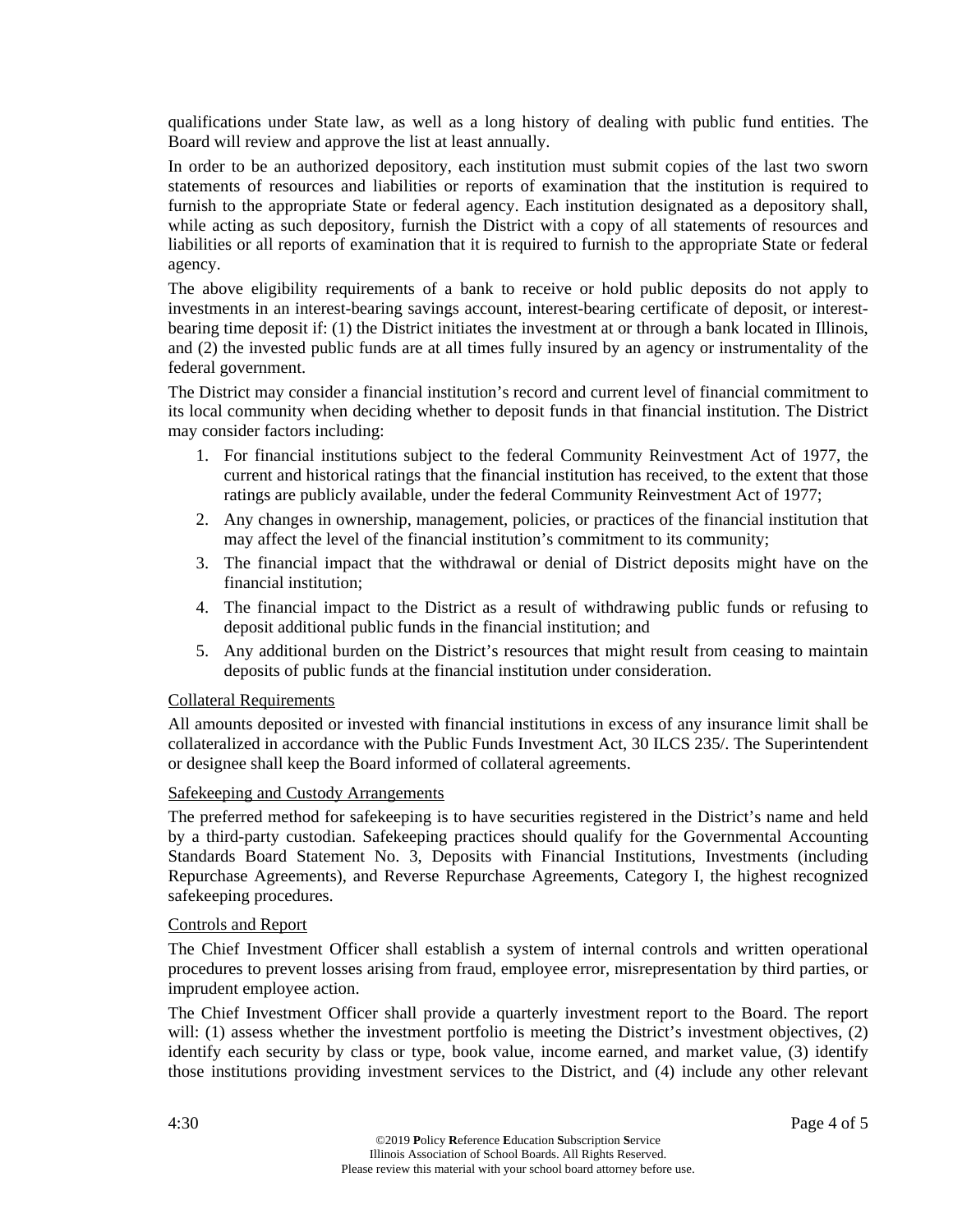qualifications under State law, as well as a long history of dealing with public fund entities. The Board will review and approve the list at least annually.

In order to be an authorized depository, each institution must submit copies of the last two sworn statements of resources and liabilities or reports of examination that the institution is required to furnish to the appropriate State or federal agency. Each institution designated as a depository shall, while acting as such depository, furnish the District with a copy of all statements of resources and liabilities or all reports of examination that it is required to furnish to the appropriate State or federal agency.

The above eligibility requirements of a bank to receive or hold public deposits do not apply to investments in an interest-bearing savings account, interest-bearing certificate of deposit, or interestbearing time deposit if: (1) the District initiates the investment at or through a bank located in Illinois, and (2) the invested public funds are at all times fully insured by an agency or instrumentality of the federal government.

The District may consider a financial institution's record and current level of financial commitment to its local community when deciding whether to deposit funds in that financial institution. The District may consider factors including:

- 1. For financial institutions subject to the federal Community Reinvestment Act of 1977, the current and historical ratings that the financial institution has received, to the extent that those ratings are publicly available, under the federal Community Reinvestment Act of 1977;
- 2. Any changes in ownership, management, policies, or practices of the financial institution that may affect the level of the financial institution's commitment to its community;
- 3. The financial impact that the withdrawal or denial of District deposits might have on the financial institution;
- 4. The financial impact to the District as a result of withdrawing public funds or refusing to deposit additional public funds in the financial institution; and
- 5. Any additional burden on the District's resources that might result from ceasing to maintain deposits of public funds at the financial institution under consideration.

## Collateral Requirements

All amounts deposited or invested with financial institutions in excess of any insurance limit shall be collateralized in accordance with the Public Funds Investment Act, 30 ILCS 235/. The Superintendent or designee shall keep the Board informed of collateral agreements.

## Safekeeping and Custody Arrangements

The preferred method for safekeeping is to have securities registered in the District's name and held by a third-party custodian. Safekeeping practices should qualify for the Governmental Accounting Standards Board Statement No. 3, Deposits with Financial Institutions, Investments (including Repurchase Agreements), and Reverse Repurchase Agreements, Category I, the highest recognized safekeeping procedures.

#### Controls and Report

The Chief Investment Officer shall establish a system of internal controls and written operational procedures to prevent losses arising from fraud, employee error, misrepresentation by third parties, or imprudent employee action.

The Chief Investment Officer shall provide a quarterly investment report to the Board. The report will: (1) assess whether the investment portfolio is meeting the District's investment objectives, (2) identify each security by class or type, book value, income earned, and market value, (3) identify those institutions providing investment services to the District, and (4) include any other relevant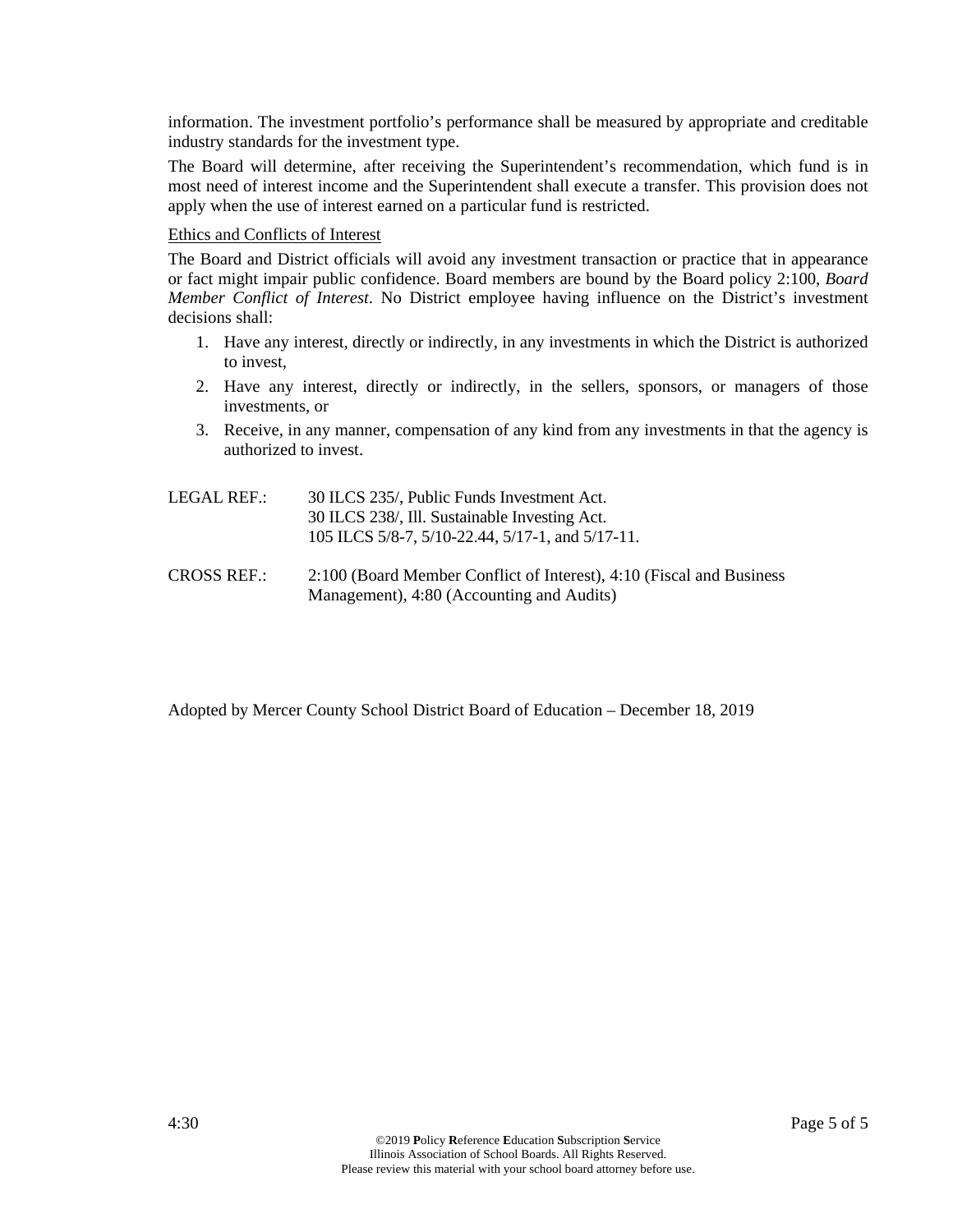information. The investment portfolio's performance shall be measured by appropriate and creditable industry standards for the investment type.

The Board will determine, after receiving the Superintendent's recommendation, which fund is in most need of interest income and the Superintendent shall execute a transfer. This provision does not apply when the use of interest earned on a particular fund is restricted.

#### Ethics and Conflicts of Interest

The Board and District officials will avoid any investment transaction or practice that in appearance or fact might impair public confidence. Board members are bound by the Board policy 2:100, *Board Member Conflict of Interest*. No District employee having influence on the District's investment decisions shall:

- 1. Have any interest, directly or indirectly, in any investments in which the District is authorized to invest,
- 2. Have any interest, directly or indirectly, in the sellers, sponsors, or managers of those investments, or
- 3. Receive, in any manner, compensation of any kind from any investments in that the agency is authorized to invest.
- LEGAL REF.: 30 ILCS 235/, Public Funds Investment Act. 30 ILCS 238/, Ill. Sustainable Investing Act. 105 ILCS 5/8-7, 5/10-22.44, 5/17-1, and 5/17-11.
- CROSS REF.: 2:100 (Board Member Conflict of Interest), 4:10 (Fiscal and Business Management), 4:80 (Accounting and Audits)

Adopted by Mercer County School District Board of Education – December 18, 2019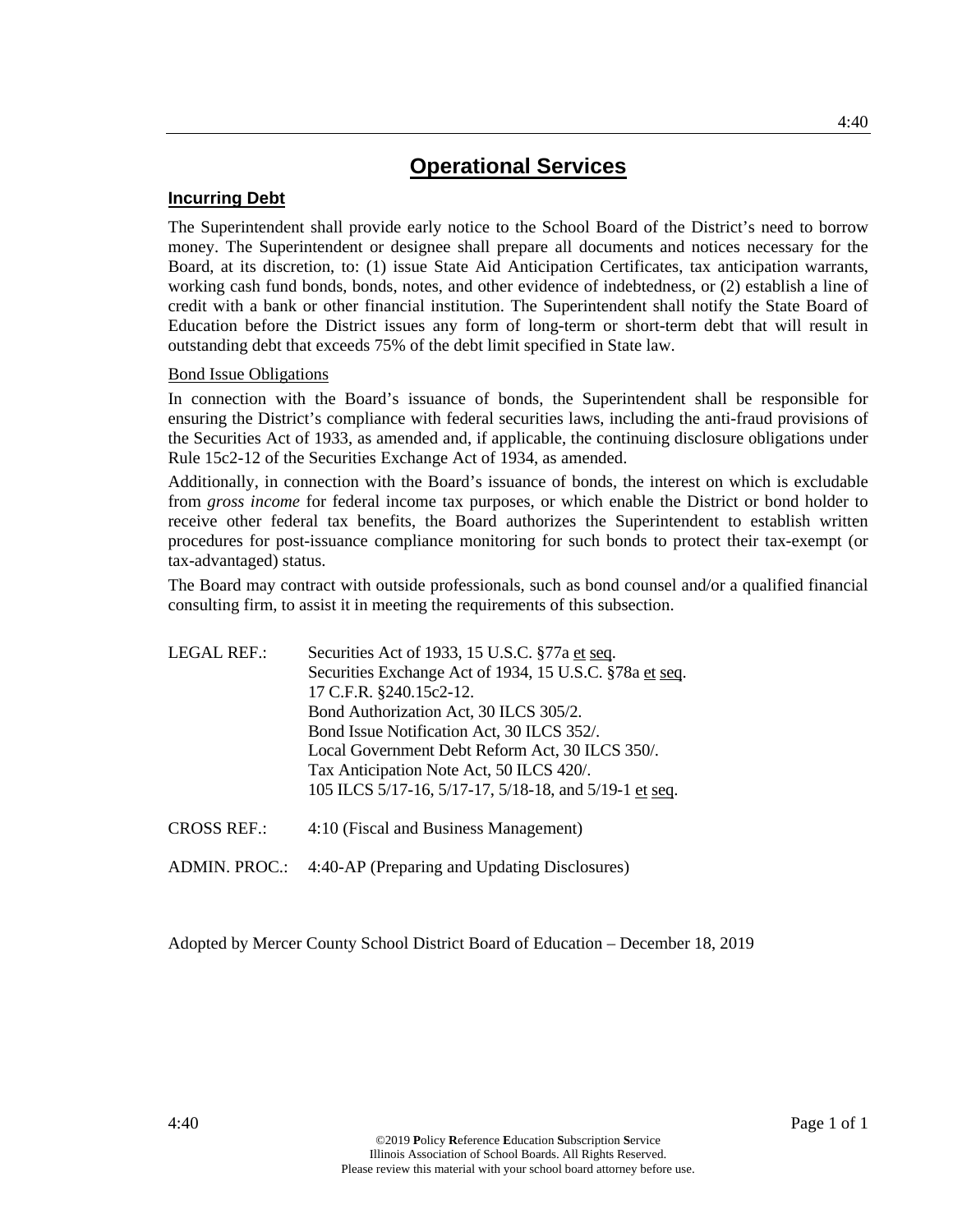## **Incurring Debt**

The Superintendent shall provide early notice to the School Board of the District's need to borrow money. The Superintendent or designee shall prepare all documents and notices necessary for the Board, at its discretion, to: (1) issue State Aid Anticipation Certificates, tax anticipation warrants, working cash fund bonds, bonds, notes, and other evidence of indebtedness, or (2) establish a line of credit with a bank or other financial institution. The Superintendent shall notify the State Board of Education before the District issues any form of long-term or short-term debt that will result in outstanding debt that exceeds 75% of the debt limit specified in State law.

### Bond Issue Obligations

In connection with the Board's issuance of bonds, the Superintendent shall be responsible for ensuring the District's compliance with federal securities laws, including the anti-fraud provisions of the Securities Act of 1933, as amended and, if applicable, the continuing disclosure obligations under Rule 15c2-12 of the Securities Exchange Act of 1934, as amended.

Additionally, in connection with the Board's issuance of bonds, the interest on which is excludable from *gross income* for federal income tax purposes, or which enable the District or bond holder to receive other federal tax benefits, the Board authorizes the Superintendent to establish written procedures for post-issuance compliance monitoring for such bonds to protect their tax-exempt (or tax-advantaged) status.

The Board may contract with outside professionals, such as bond counsel and/or a qualified financial consulting firm, to assist it in meeting the requirements of this subsection.

| <b>LEGAL REF.:</b> | Securities Act of 1933, 15 U.S.C. §77a et seq.<br>Securities Exchange Act of 1934, 15 U.S.C. §78a et seq.<br>17 C.F.R. §240.15c2-12.<br>Bond Authorization Act, 30 ILCS 305/2.<br>Bond Issue Notification Act, 30 ILCS 352/.<br>Local Government Debt Reform Act, 30 ILCS 350/.<br>Tax Anticipation Note Act, 50 ILCS 420/.<br>105 ILCS 5/17-16, 5/17-17, 5/18-18, and 5/19-1 et seq. |
|--------------------|---------------------------------------------------------------------------------------------------------------------------------------------------------------------------------------------------------------------------------------------------------------------------------------------------------------------------------------------------------------------------------------|
| <b>CROSS REF.:</b> | 4:10 (Fiscal and Business Management)                                                                                                                                                                                                                                                                                                                                                 |

ADMIN. PROC.: 4:40-AP (Preparing and Updating Disclosures)

Adopted by Mercer County School District Board of Education – December 18, 2019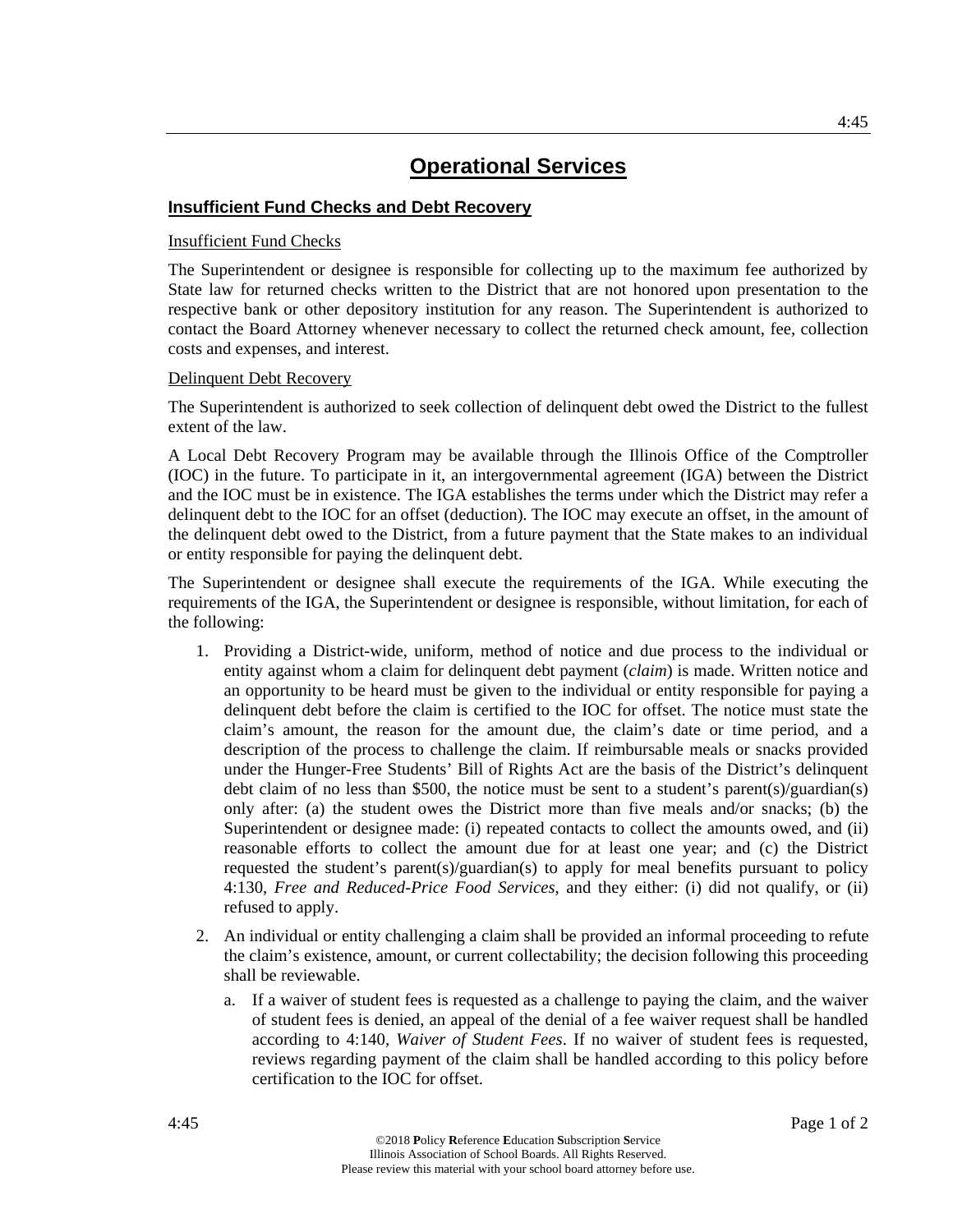## **Insufficient Fund Checks and Debt Recovery**

### Insufficient Fund Checks

The Superintendent or designee is responsible for collecting up to the maximum fee authorized by State law for returned checks written to the District that are not honored upon presentation to the respective bank or other depository institution for any reason. The Superintendent is authorized to contact the Board Attorney whenever necessary to collect the returned check amount, fee, collection costs and expenses, and interest.

### Delinquent Debt Recovery

The Superintendent is authorized to seek collection of delinquent debt owed the District to the fullest extent of the law.

A Local Debt Recovery Program may be available through the Illinois Office of the Comptroller (IOC) in the future. To participate in it, an intergovernmental agreement (IGA) between the District and the IOC must be in existence. The IGA establishes the terms under which the District may refer a delinquent debt to the IOC for an offset (deduction). The IOC may execute an offset, in the amount of the delinquent debt owed to the District, from a future payment that the State makes to an individual or entity responsible for paying the delinquent debt.

The Superintendent or designee shall execute the requirements of the IGA. While executing the requirements of the IGA, the Superintendent or designee is responsible, without limitation, for each of the following:

- 1. Providing a District-wide, uniform, method of notice and due process to the individual or entity against whom a claim for delinquent debt payment (*claim*) is made. Written notice and an opportunity to be heard must be given to the individual or entity responsible for paying a delinquent debt before the claim is certified to the IOC for offset. The notice must state the claim's amount, the reason for the amount due, the claim's date or time period, and a description of the process to challenge the claim. If reimbursable meals or snacks provided under the Hunger-Free Students' Bill of Rights Act are the basis of the District's delinquent debt claim of no less than \$500, the notice must be sent to a student's parent(s)/guardian(s) only after: (a) the student owes the District more than five meals and/or snacks; (b) the Superintendent or designee made: (i) repeated contacts to collect the amounts owed, and (ii) reasonable efforts to collect the amount due for at least one year; and (c) the District requested the student's parent(s)/guardian(s) to apply for meal benefits pursuant to policy 4:130, *Free and Reduced-Price Food Services*, and they either: (i) did not qualify, or (ii) refused to apply.
- 2. An individual or entity challenging a claim shall be provided an informal proceeding to refute the claim's existence, amount, or current collectability; the decision following this proceeding shall be reviewable.
	- a. If a waiver of student fees is requested as a challenge to paying the claim, and the waiver of student fees is denied, an appeal of the denial of a fee waiver request shall be handled according to 4:140, *Waiver of Student Fees*. If no waiver of student fees is requested, reviews regarding payment of the claim shall be handled according to this policy before certification to the IOC for offset.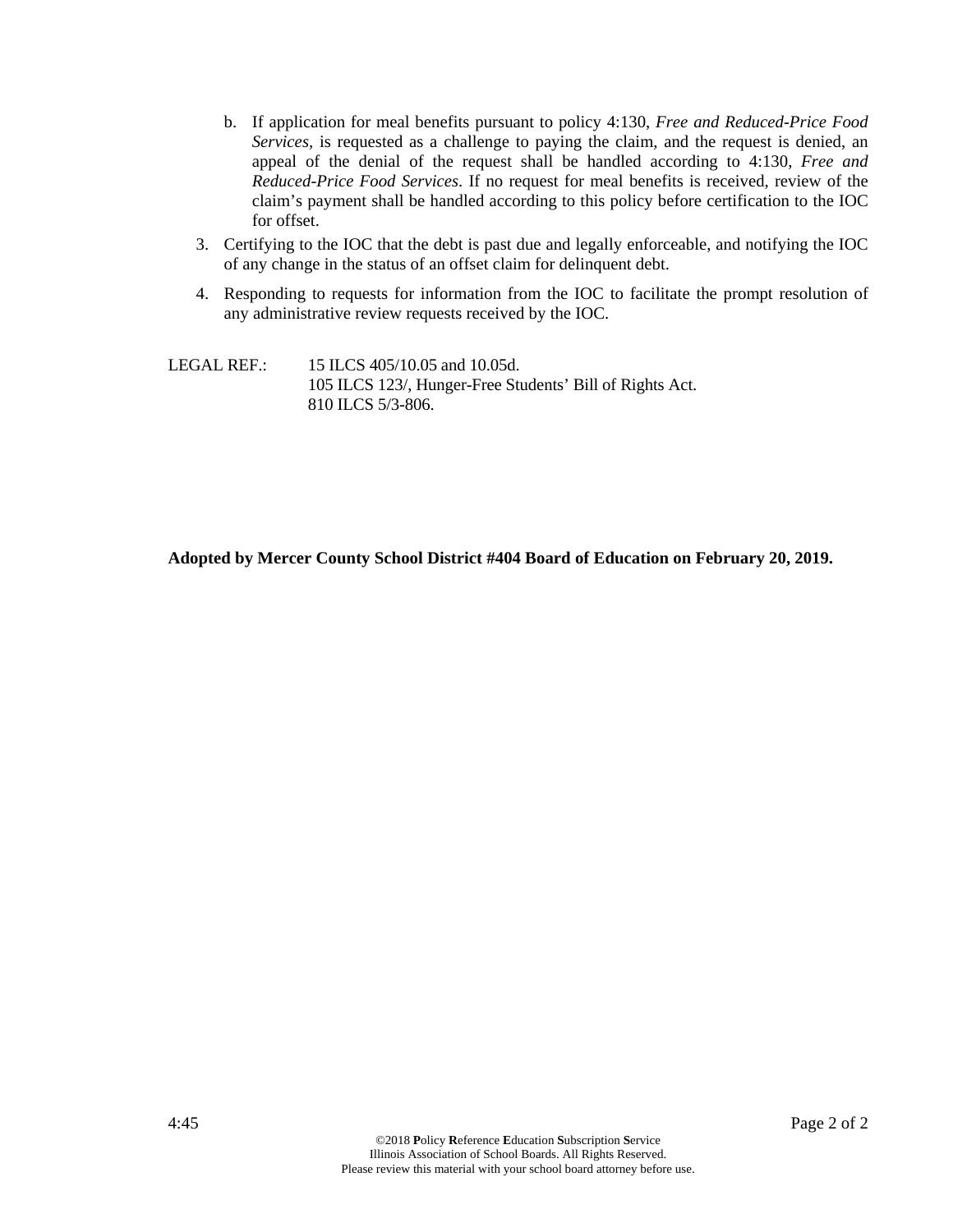- b. If application for meal benefits pursuant to policy 4:130, *Free and Reduced-Price Food Services,* is requested as a challenge to paying the claim, and the request is denied, an appeal of the denial of the request shall be handled according to 4:130, *Free and Reduced-Price Food Services*. If no request for meal benefits is received, review of the claim's payment shall be handled according to this policy before certification to the IOC for offset.
- 3. Certifying to the IOC that the debt is past due and legally enforceable, and notifying the IOC of any change in the status of an offset claim for delinquent debt.
- 4. Responding to requests for information from the IOC to facilitate the prompt resolution of any administrative review requests received by the IOC.

LEGAL REF.: 15 ILCS 405/10.05 and 10.05d. 105 ILCS 123/, Hunger-Free Students' Bill of Rights Act. 810 ILCS 5/3-806.

**Adopted by Mercer County School District #404 Board of Education on February 20, 2019.**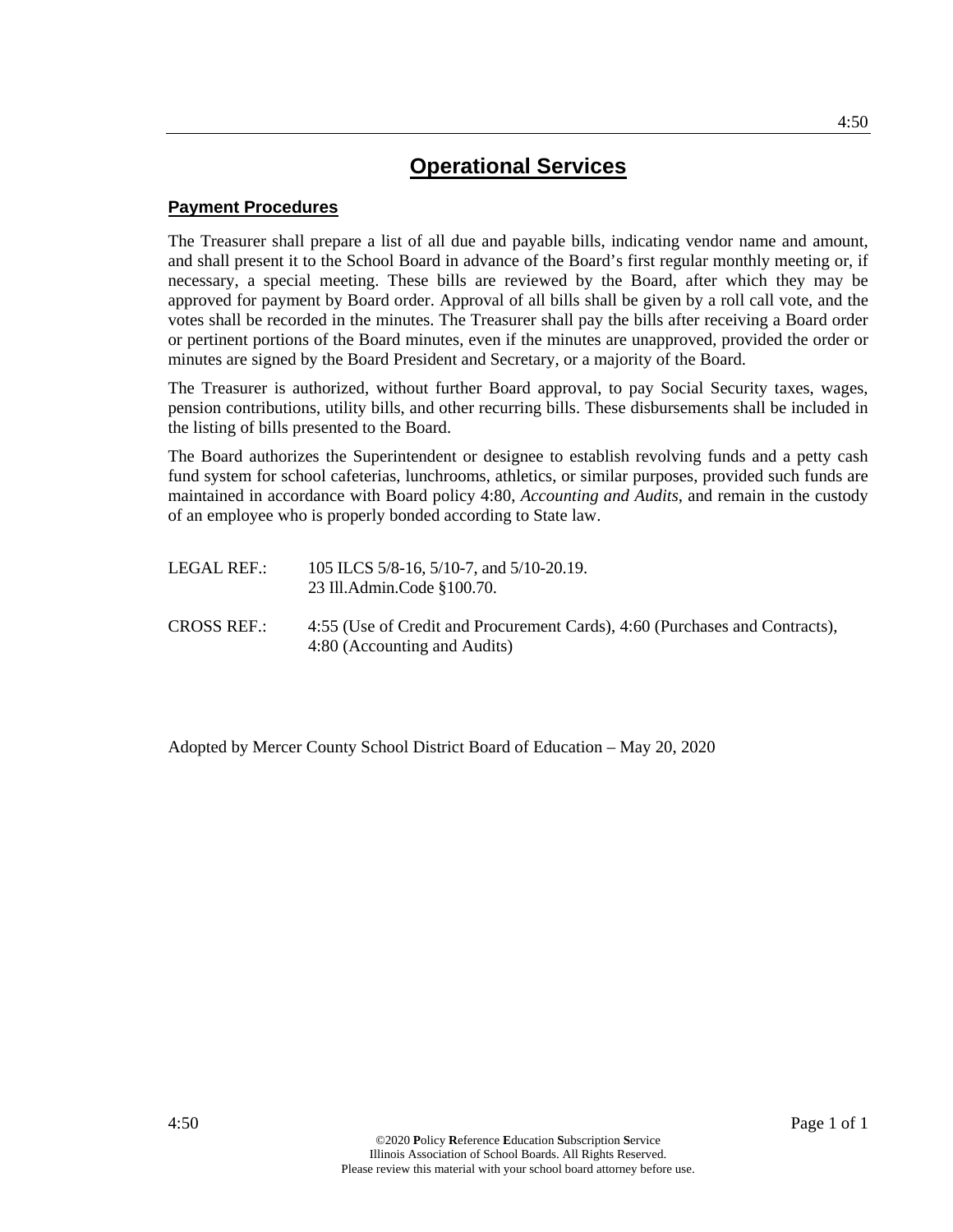## **Payment Procedures**

The Treasurer shall prepare a list of all due and payable bills, indicating vendor name and amount, and shall present it to the School Board in advance of the Board's first regular monthly meeting or, if necessary, a special meeting. These bills are reviewed by the Board, after which they may be approved for payment by Board order. Approval of all bills shall be given by a roll call vote, and the votes shall be recorded in the minutes. The Treasurer shall pay the bills after receiving a Board order or pertinent portions of the Board minutes, even if the minutes are unapproved, provided the order or minutes are signed by the Board President and Secretary, or a majority of the Board.

The Treasurer is authorized, without further Board approval, to pay Social Security taxes, wages, pension contributions, utility bills, and other recurring bills. These disbursements shall be included in the listing of bills presented to the Board.

The Board authorizes the Superintendent or designee to establish revolving funds and a petty cash fund system for school cafeterias, lunchrooms, athletics, or similar purposes, provided such funds are maintained in accordance with Board policy 4:80, *Accounting and Audits*, and remain in the custody of an employee who is properly bonded according to State law.

| LEGAL REF.:        | 105 ILCS $5/8-16$ , $5/10-7$ , and $5/10-20.19$ .<br>23 Ill.Admin.Code \$100.70.                            |
|--------------------|-------------------------------------------------------------------------------------------------------------|
| <b>CROSS REF.:</b> | 4:55 (Use of Credit and Procurement Cards), 4:60 (Purchases and Contracts),<br>4:80 (Accounting and Audits) |

Adopted by Mercer County School District Board of Education – May 20, 2020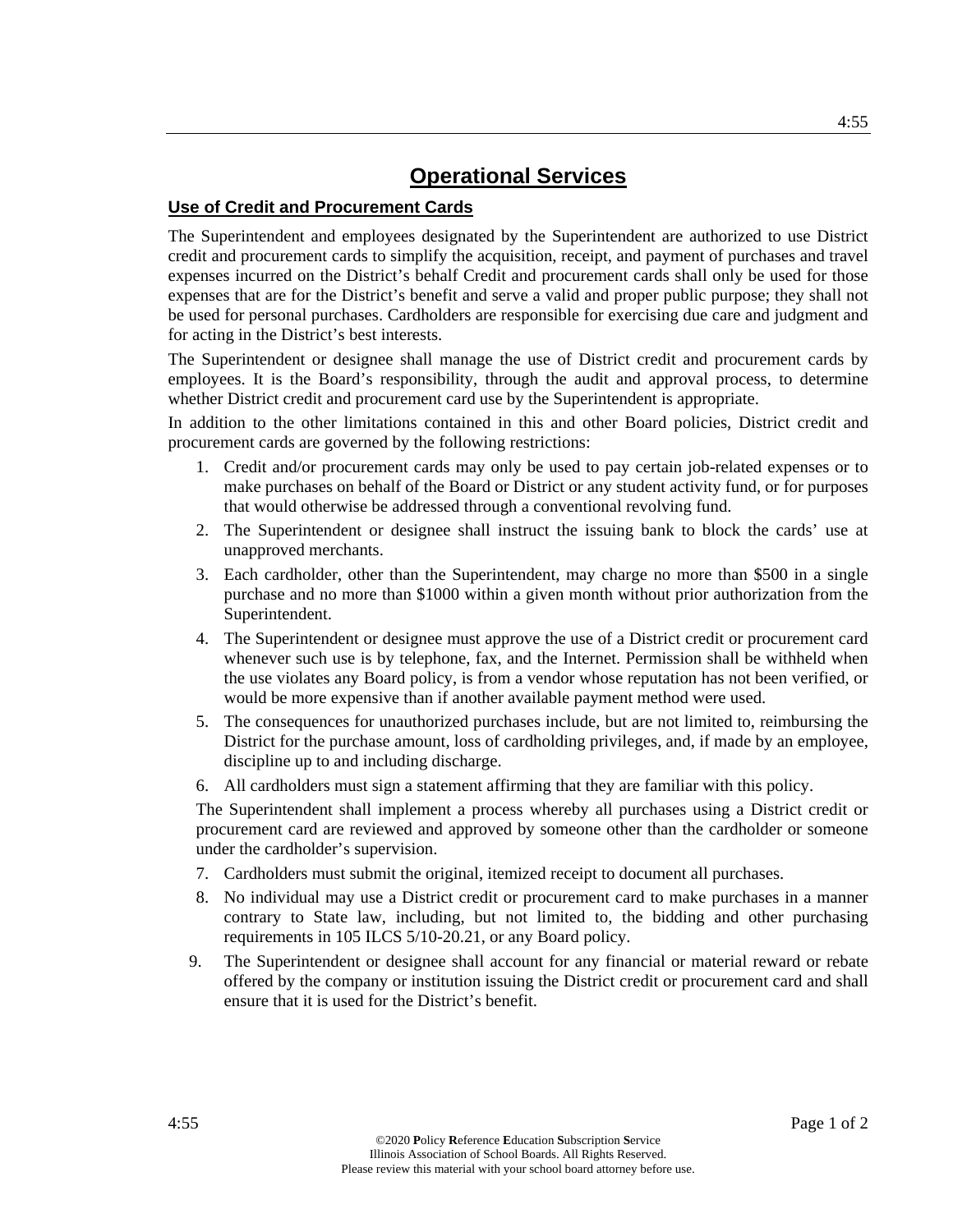## **Use of Credit and Procurement Cards**

The Superintendent and employees designated by the Superintendent are authorized to use District credit and procurement cards to simplify the acquisition, receipt, and payment of purchases and travel expenses incurred on the District's behalf Credit and procurement cards shall only be used for those expenses that are for the District's benefit and serve a valid and proper public purpose; they shall not be used for personal purchases. Cardholders are responsible for exercising due care and judgment and for acting in the District's best interests.

The Superintendent or designee shall manage the use of District credit and procurement cards by employees. It is the Board's responsibility, through the audit and approval process, to determine whether District credit and procurement card use by the Superintendent is appropriate.

In addition to the other limitations contained in this and other Board policies, District credit and procurement cards are governed by the following restrictions:

- 1. Credit and/or procurement cards may only be used to pay certain job-related expenses or to make purchases on behalf of the Board or District or any student activity fund, or for purposes that would otherwise be addressed through a conventional revolving fund.
- 2. The Superintendent or designee shall instruct the issuing bank to block the cards' use at unapproved merchants.
- 3. Each cardholder, other than the Superintendent, may charge no more than \$500 in a single purchase and no more than \$1000 within a given month without prior authorization from the Superintendent.
- 4. The Superintendent or designee must approve the use of a District credit or procurement card whenever such use is by telephone, fax, and the Internet. Permission shall be withheld when the use violates any Board policy, is from a vendor whose reputation has not been verified, or would be more expensive than if another available payment method were used.
- 5. The consequences for unauthorized purchases include, but are not limited to, reimbursing the District for the purchase amount, loss of cardholding privileges, and, if made by an employee, discipline up to and including discharge.
- 6. All cardholders must sign a statement affirming that they are familiar with this policy.

The Superintendent shall implement a process whereby all purchases using a District credit or procurement card are reviewed and approved by someone other than the cardholder or someone under the cardholder's supervision.

- 7. Cardholders must submit the original, itemized receipt to document all purchases.
- 8. No individual may use a District credit or procurement card to make purchases in a manner contrary to State law, including, but not limited to, the bidding and other purchasing requirements in 105 ILCS 5/10-20.21, or any Board policy.
- 9. The Superintendent or designee shall account for any financial or material reward or rebate offered by the company or institution issuing the District credit or procurement card and shall ensure that it is used for the District's benefit.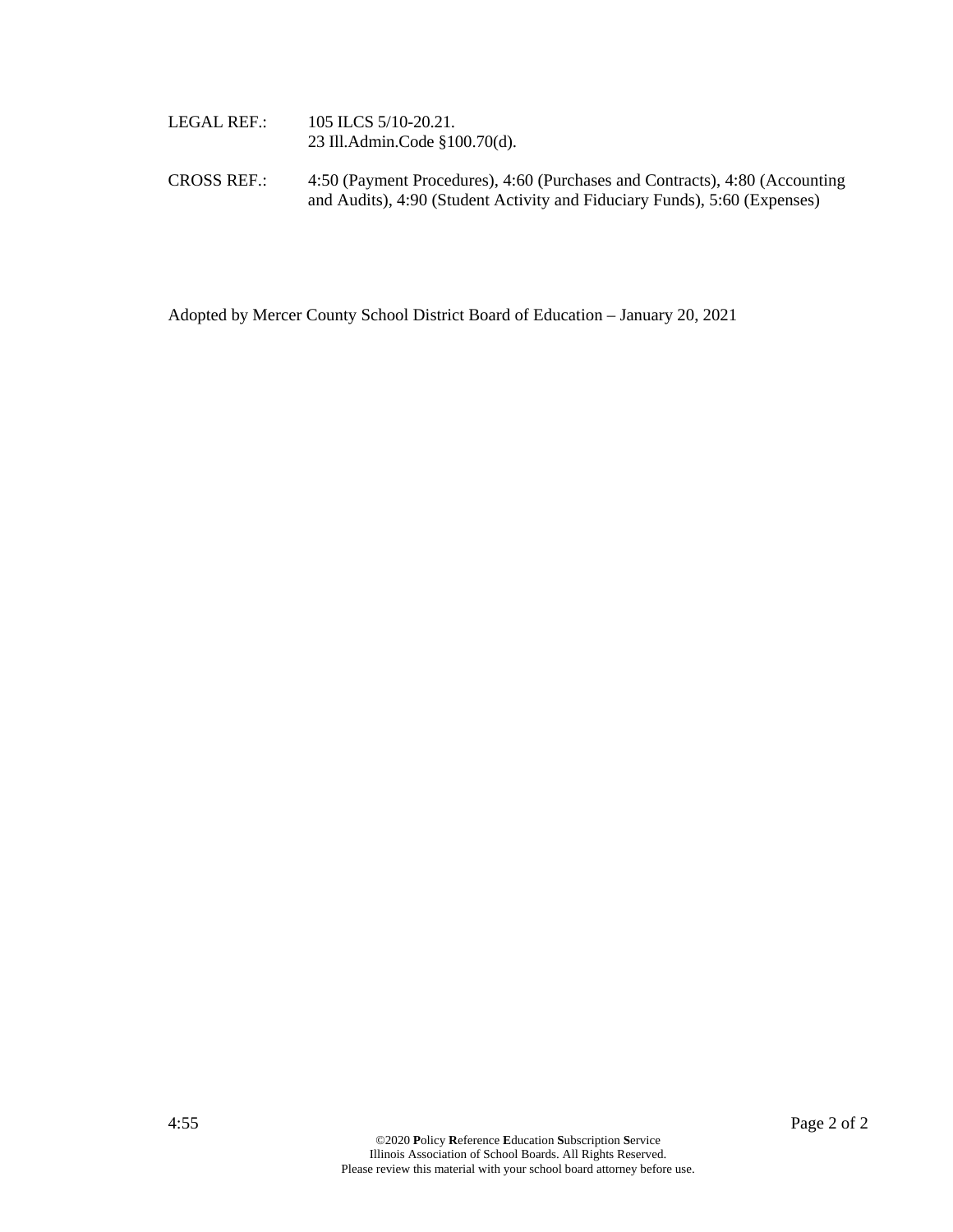| LEGAL REF.: | 105 ILCS 5/10-20.21.          |
|-------------|-------------------------------|
|             | 23 Ill.Admin.Code §100.70(d). |

CROSS REF.: 4:50 (Payment Procedures), 4:60 (Purchases and Contracts), 4:80 (Accounting and Audits), 4:90 (Student Activity and Fiduciary Funds), 5:60 (Expenses)

Adopted by Mercer County School District Board of Education – January 20, 2021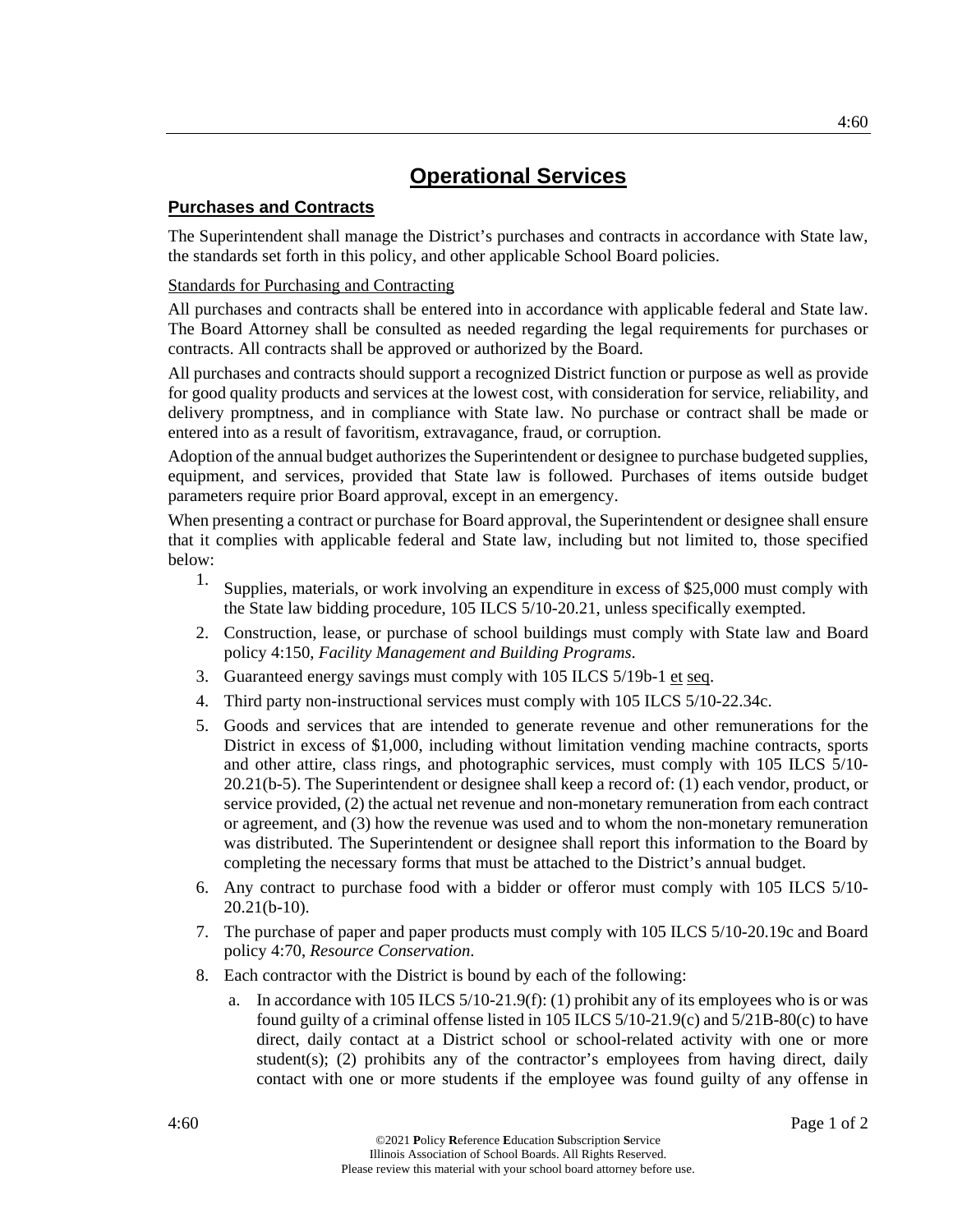## **Purchases and Contracts**

The Superintendent shall manage the District's purchases and contracts in accordance with State law, the standards set forth in this policy, and other applicable School Board policies.

## Standards for Purchasing and Contracting

All purchases and contracts shall be entered into in accordance with applicable federal and State law. The Board Attorney shall be consulted as needed regarding the legal requirements for purchases or contracts. All contracts shall be approved or authorized by the Board.

All purchases and contracts should support a recognized District function or purpose as well as provide for good quality products and services at the lowest cost, with consideration for service, reliability, and delivery promptness, and in compliance with State law. No purchase or contract shall be made or entered into as a result of favoritism, extravagance, fraud, or corruption.

Adoption of the annual budget authorizes the Superintendent or designee to purchase budgeted supplies, equipment, and services, provided that State law is followed. Purchases of items outside budget parameters require prior Board approval, except in an emergency.

When presenting a contract or purchase for Board approval, the Superintendent or designee shall ensure that it complies with applicable federal and State law, including but not limited to, those specified below:

- 1. Supplies, materials, or work involving an expenditure in excess of \$25,000 must comply with the State law bidding procedure, 105 ILCS 5/10-20.21, unless specifically exempted.
- 2. Construction, lease, or purchase of school buildings must comply with State law and Board policy 4:150, *Facility Management and Building Programs*.
- 3. Guaranteed energy savings must comply with 105 ILCS 5/19b-1 et seq.
- 4. Third party non-instructional services must comply with 105 ILCS 5/10-22.34c.
- 5. Goods and services that are intended to generate revenue and other remunerations for the District in excess of \$1,000, including without limitation vending machine contracts, sports and other attire, class rings, and photographic services, must comply with 105 ILCS 5/10- 20.21(b-5). The Superintendent or designee shall keep a record of: (1) each vendor, product, or service provided, (2) the actual net revenue and non-monetary remuneration from each contract or agreement, and (3) how the revenue was used and to whom the non-monetary remuneration was distributed. The Superintendent or designee shall report this information to the Board by completing the necessary forms that must be attached to the District's annual budget.
- 6. Any contract to purchase food with a bidder or offeror must comply with 105 ILCS 5/10- 20.21(b-10).
- 7. The purchase of paper and paper products must comply with 105 ILCS 5/10-20.19c and Board policy 4:70, *Resource Conservation*.
- 8. Each contractor with the District is bound by each of the following:
	- a. In accordance with 105 ILCS  $5/10-21.9(f)$ : (1) prohibit any of its employees who is or was found guilty of a criminal offense listed in 105 ILCS 5/10-21.9(c) and 5/21B-80(c) to have direct, daily contact at a District school or school-related activity with one or more student(s); (2) prohibits any of the contractor's employees from having direct, daily contact with one or more students if the employee was found guilty of any offense in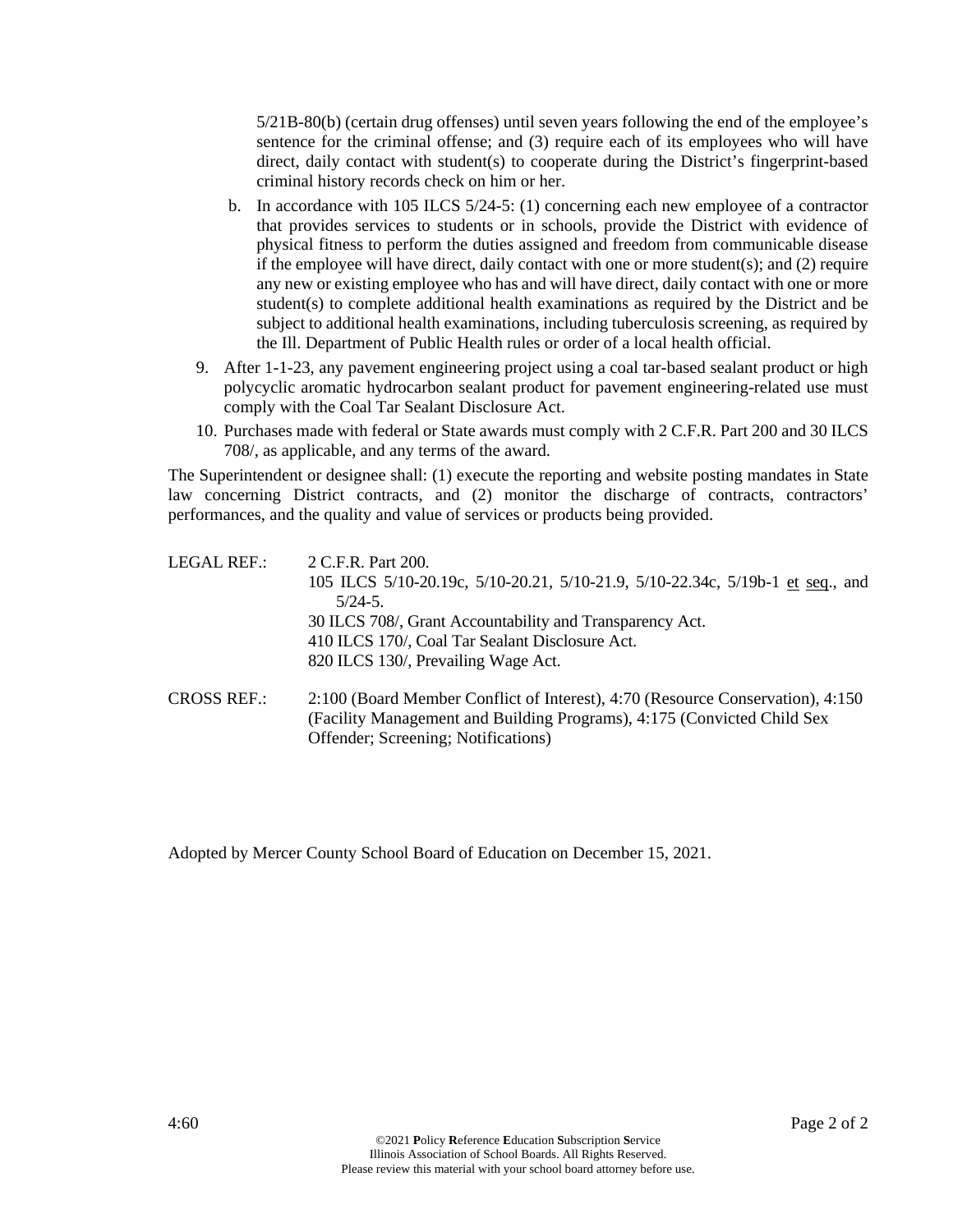5/21B-80(b) (certain drug offenses) until seven years following the end of the employee's sentence for the criminal offense; and (3) require each of its employees who will have direct, daily contact with student(s) to cooperate during the District's fingerprint-based criminal history records check on him or her.

- b. In accordance with 105 ILCS 5/24-5: (1) concerning each new employee of a contractor that provides services to students or in schools, provide the District with evidence of physical fitness to perform the duties assigned and freedom from communicable disease if the employee will have direct, daily contact with one or more student(s); and (2) require any new or existing employee who has and will have direct, daily contact with one or more student(s) to complete additional health examinations as required by the District and be subject to additional health examinations, including tuberculosis screening, as required by the Ill. Department of Public Health rules or order of a local health official.
- 9. After 1-1-23, any pavement engineering project using a coal tar-based sealant product or high polycyclic aromatic hydrocarbon sealant product for pavement engineering-related use must comply with the Coal Tar Sealant Disclosure Act.
- 10. Purchases made with federal or State awards must comply with 2 C.F.R. Part 200 and 30 ILCS 708/, as applicable, and any terms of the award.

The Superintendent or designee shall: (1) execute the reporting and website posting mandates in State law concerning District contracts, and (2) monitor the discharge of contracts, contractors' performances, and the quality and value of services or products being provided.

| LEGAL REF.:        | 2 C.F.R. Part 200.                                                             |
|--------------------|--------------------------------------------------------------------------------|
|                    | 105 ILCS 5/10-20.19c, 5/10-20.21, 5/10-21.9, 5/10-22.34c, 5/19b-1 et seq., and |
|                    | $5/24-5$ .                                                                     |
|                    | 30 ILCS 708/, Grant Accountability and Transparency Act.                       |
|                    | 410 ILCS 170/, Coal Tar Sealant Disclosure Act.                                |
|                    | 820 ILCS 130/, Prevailing Wage Act.                                            |
| <b>CROSS REF.:</b> | 2:100 (Board Member Conflict of Interest), 4:70 (Resource Conservation), 4:150 |
|                    | (Facility Management and Building Programs), 4:175 (Convicted Child Sex)       |
|                    | Offender; Screening; Notifications)                                            |

Adopted by Mercer County School Board of Education on December 15, 2021.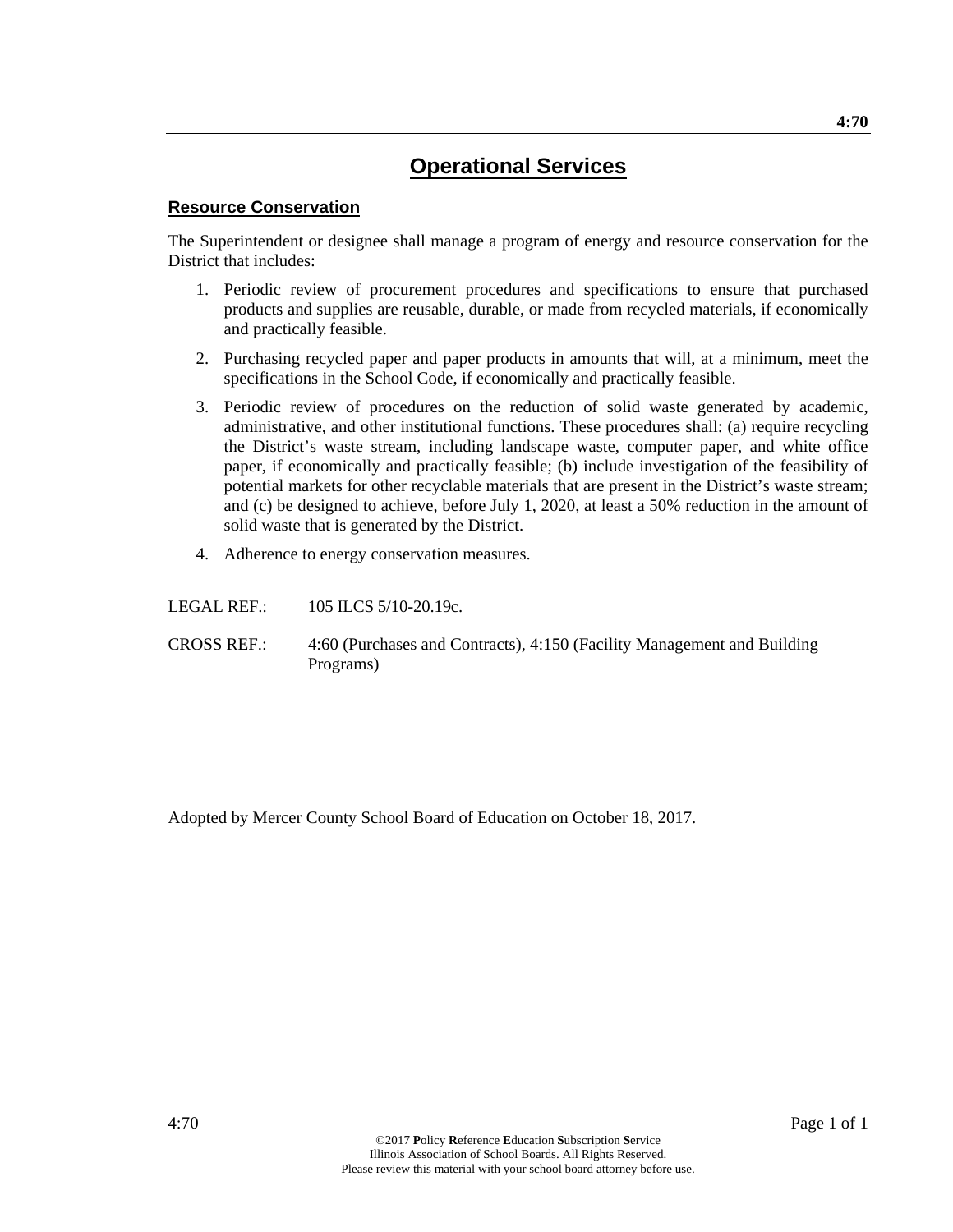### **Resource Conservation**

The Superintendent or designee shall manage a program of energy and resource conservation for the District that includes:

- 1. Periodic review of procurement procedures and specifications to ensure that purchased products and supplies are reusable, durable, or made from recycled materials, if economically and practically feasible.
- 2. Purchasing recycled paper and paper products in amounts that will, at a minimum, meet the specifications in the School Code, if economically and practically feasible.
- 3. Periodic review of procedures on the reduction of solid waste generated by academic, administrative, and other institutional functions. These procedures shall: (a) require recycling the District's waste stream, including landscape waste, computer paper, and white office paper, if economically and practically feasible; (b) include investigation of the feasibility of potential markets for other recyclable materials that are present in the District's waste stream; and (c) be designed to achieve, before July 1, 2020, at least a 50% reduction in the amount of solid waste that is generated by the District.
- 4. Adherence to energy conservation measures.

LEGAL REF.: 105 ILCS 5/10-20.19c.

CROSS REF.: 4:60 (Purchases and Contracts), 4:150 (Facility Management and Building Programs)

Adopted by Mercer County School Board of Education on October 18, 2017.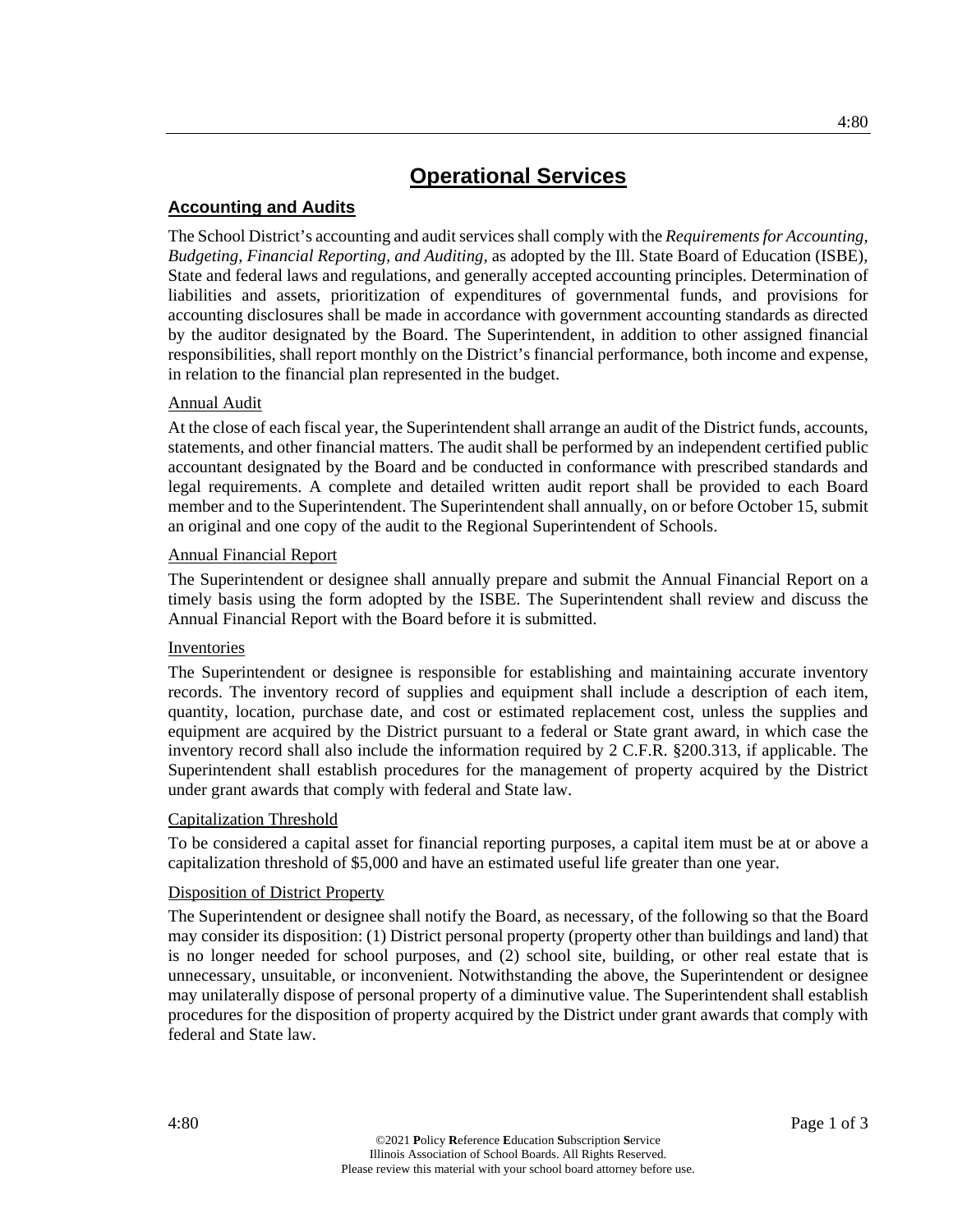## **Accounting and Audits**

The School District's accounting and audit services shall comply with the *Requirements for Accounting, Budgeting, Financial Reporting, and Auditing,* as adopted by the Ill. State Board of Education (ISBE), State and federal laws and regulations, and generally accepted accounting principles. Determination of liabilities and assets, prioritization of expenditures of governmental funds, and provisions for accounting disclosures shall be made in accordance with government accounting standards as directed by the auditor designated by the Board. The Superintendent, in addition to other assigned financial responsibilities, shall report monthly on the District's financial performance, both income and expense, in relation to the financial plan represented in the budget.

## Annual Audit

At the close of each fiscal year, the Superintendent shall arrange an audit of the District funds, accounts, statements, and other financial matters. The audit shall be performed by an independent certified public accountant designated by the Board and be conducted in conformance with prescribed standards and legal requirements. A complete and detailed written audit report shall be provided to each Board member and to the Superintendent. The Superintendent shall annually, on or before October 15, submit an original and one copy of the audit to the Regional Superintendent of Schools.

### Annual Financial Report

The Superintendent or designee shall annually prepare and submit the Annual Financial Report on a timely basis using the form adopted by the ISBE. The Superintendent shall review and discuss the Annual Financial Report with the Board before it is submitted.

#### Inventories

The Superintendent or designee is responsible for establishing and maintaining accurate inventory records. The inventory record of supplies and equipment shall include a description of each item, quantity, location, purchase date, and cost or estimated replacement cost, unless the supplies and equipment are acquired by the District pursuant to a federal or State grant award, in which case the inventory record shall also include the information required by 2 C.F.R. §200.313, if applicable. The Superintendent shall establish procedures for the management of property acquired by the District under grant awards that comply with federal and State law.

#### Capitalization Threshold

To be considered a capital asset for financial reporting purposes, a capital item must be at or above a capitalization threshold of \$5,000 and have an estimated useful life greater than one year.

#### **Disposition of District Property**

The Superintendent or designee shall notify the Board, as necessary, of the following so that the Board may consider its disposition: (1) District personal property (property other than buildings and land) that is no longer needed for school purposes, and (2) school site, building, or other real estate that is unnecessary, unsuitable, or inconvenient. Notwithstanding the above, the Superintendent or designee may unilaterally dispose of personal property of a diminutive value. The Superintendent shall establish procedures for the disposition of property acquired by the District under grant awards that comply with federal and State law.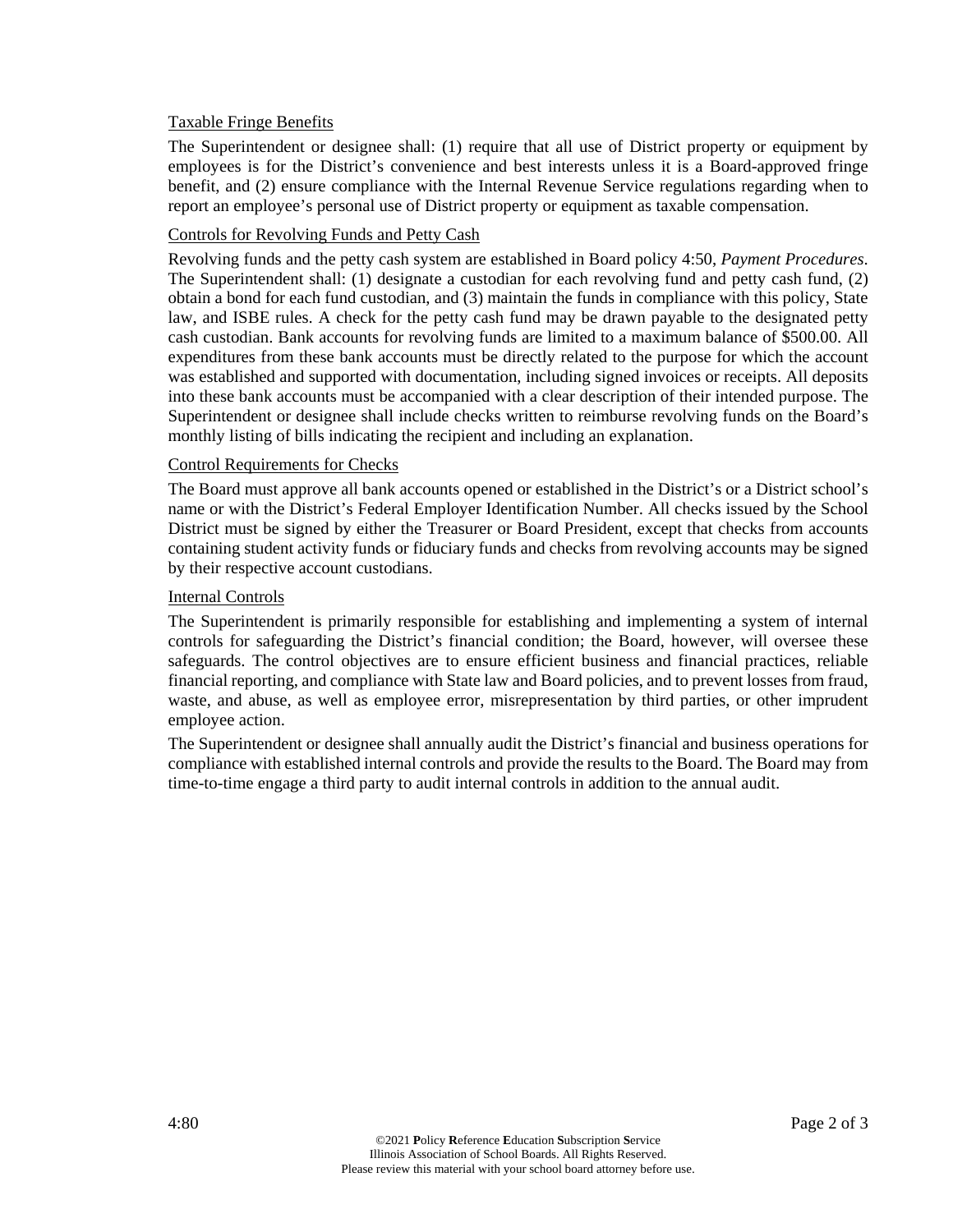### Taxable Fringe Benefits

The Superintendent or designee shall: (1) require that all use of District property or equipment by employees is for the District's convenience and best interests unless it is a Board-approved fringe benefit, and (2) ensure compliance with the Internal Revenue Service regulations regarding when to report an employee's personal use of District property or equipment as taxable compensation.

### Controls for Revolving Funds and Petty Cash

Revolving funds and the petty cash system are established in Board policy 4:50, *Payment Procedures*. The Superintendent shall: (1) designate a custodian for each revolving fund and petty cash fund, (2) obtain a bond for each fund custodian, and (3) maintain the funds in compliance with this policy, State law, and ISBE rules. A check for the petty cash fund may be drawn payable to the designated petty cash custodian. Bank accounts for revolving funds are limited to a maximum balance of \$500.00. All expenditures from these bank accounts must be directly related to the purpose for which the account was established and supported with documentation, including signed invoices or receipts. All deposits into these bank accounts must be accompanied with a clear description of their intended purpose. The Superintendent or designee shall include checks written to reimburse revolving funds on the Board's monthly listing of bills indicating the recipient and including an explanation.

### Control Requirements for Checks

The Board must approve all bank accounts opened or established in the District's or a District school's name or with the District's Federal Employer Identification Number. All checks issued by the School District must be signed by either the Treasurer or Board President, except that checks from accounts containing student activity funds or fiduciary funds and checks from revolving accounts may be signed by their respective account custodians.

#### Internal Controls

The Superintendent is primarily responsible for establishing and implementing a system of internal controls for safeguarding the District's financial condition; the Board, however, will oversee these safeguards. The control objectives are to ensure efficient business and financial practices, reliable financial reporting, and compliance with State law and Board policies, and to prevent losses from fraud, waste, and abuse, as well as employee error, misrepresentation by third parties, or other imprudent employee action.

The Superintendent or designee shall annually audit the District's financial and business operations for compliance with established internal controls and provide the results to the Board. The Board may from time-to-time engage a third party to audit internal controls in addition to the annual audit.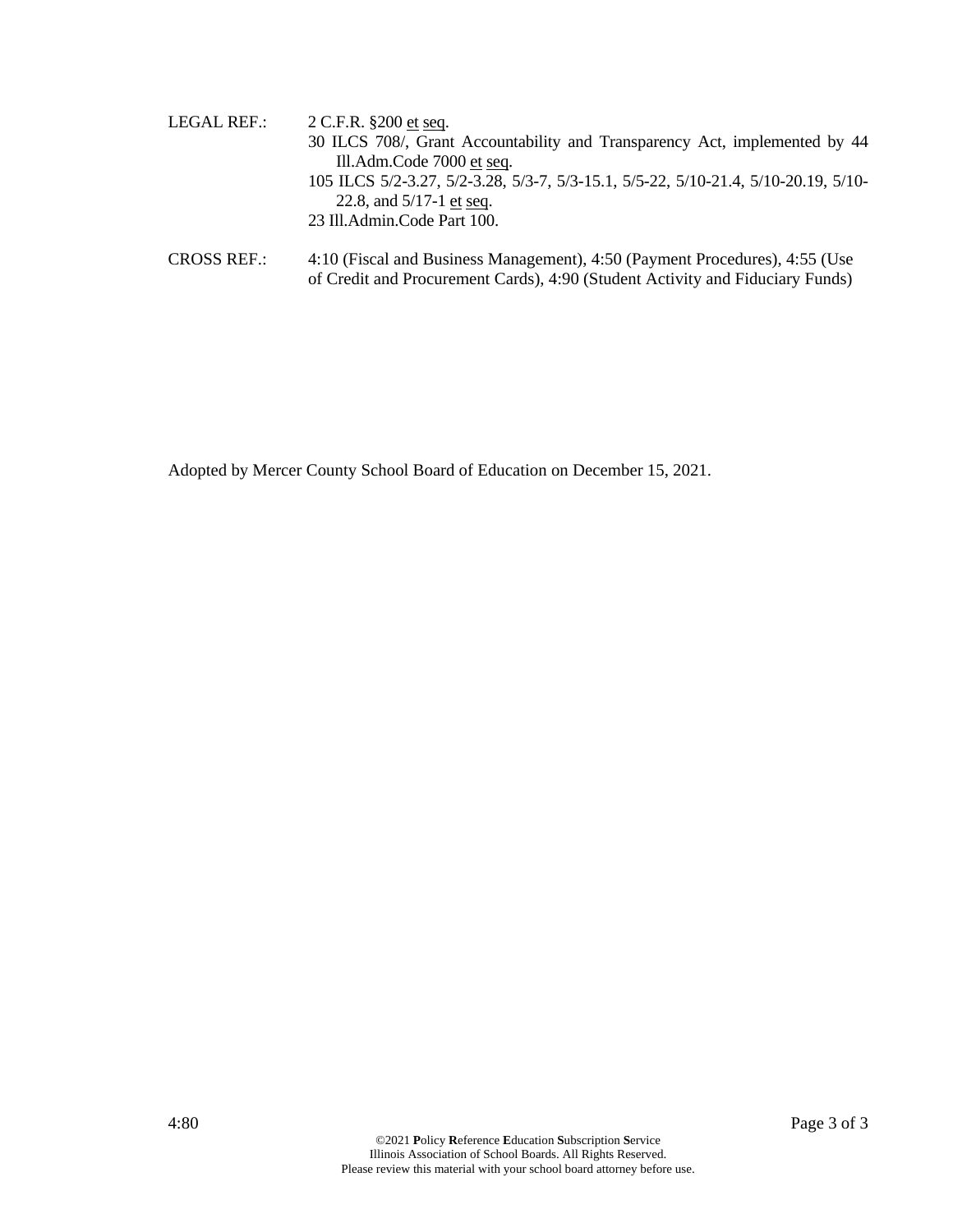| LEGAL REF.: | 2 C.F.R. §200 et seq.                                                              |
|-------------|------------------------------------------------------------------------------------|
|             | 30 ILCS 708/, Grant Accountability and Transparency Act, implemented by 44         |
|             | Ill.Adm.Code 7000 et seq.                                                          |
|             | 105 ILCS 5/2-3.27, 5/2-3.28, 5/3-7, 5/3-15.1, 5/5-22, 5/10-21.4, 5/10-20.19, 5/10- |
|             | 22.8, and $5/17-1$ et seq.                                                         |
|             | 23 Ill.Admin.Code Part 100.                                                        |
|             |                                                                                    |

CROSS REF.: 4:10 (Fiscal and Business Management), 4:50 (Payment Procedures), 4:55 (Use of Credit and Procurement Cards), 4:90 (Student Activity and Fiduciary Funds)

Adopted by Mercer County School Board of Education on December 15, 2021.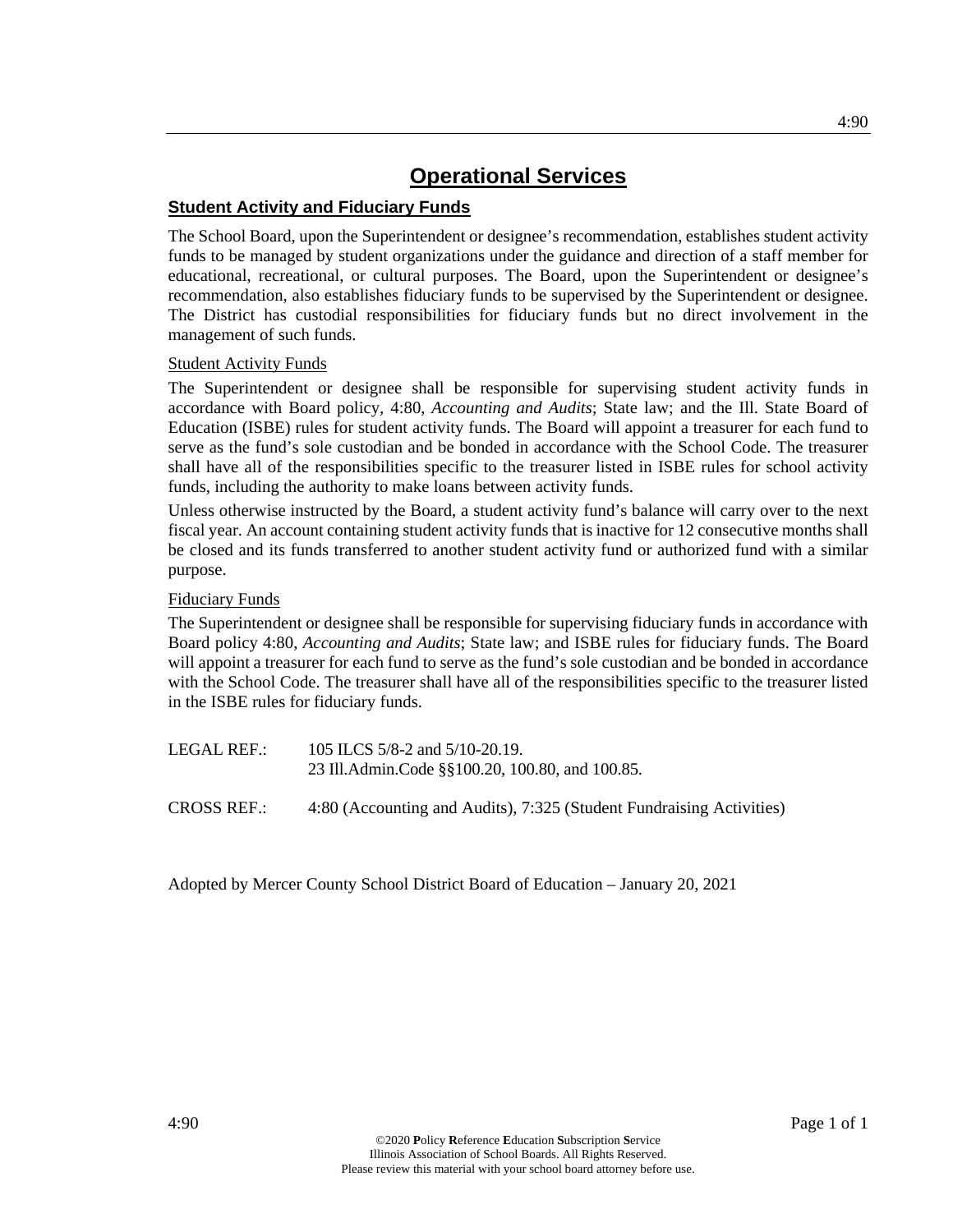## **Student Activity and Fiduciary Funds**

The School Board, upon the Superintendent or designee's recommendation, establishes student activity funds to be managed by student organizations under the guidance and direction of a staff member for educational, recreational, or cultural purposes. The Board, upon the Superintendent or designee's recommendation, also establishes fiduciary funds to be supervised by the Superintendent or designee. The District has custodial responsibilities for fiduciary funds but no direct involvement in the management of such funds.

### Student Activity Funds

The Superintendent or designee shall be responsible for supervising student activity funds in accordance with Board policy, 4:80, *Accounting and Audits*; State law; and the Ill. State Board of Education (ISBE) rules for student activity funds. The Board will appoint a treasurer for each fund to serve as the fund's sole custodian and be bonded in accordance with the School Code. The treasurer shall have all of the responsibilities specific to the treasurer listed in ISBE rules for school activity funds, including the authority to make loans between activity funds.

Unless otherwise instructed by the Board, a student activity fund's balance will carry over to the next fiscal year. An account containing student activity funds that is inactive for 12 consecutive months shall be closed and its funds transferred to another student activity fund or authorized fund with a similar purpose.

## Fiduciary Funds

The Superintendent or designee shall be responsible for supervising fiduciary funds in accordance with Board policy 4:80, *Accounting and Audits*; State law; and ISBE rules for fiduciary funds. The Board will appoint a treasurer for each fund to serve as the fund's sole custodian and be bonded in accordance with the School Code. The treasurer shall have all of the responsibilities specific to the treasurer listed in the ISBE rules for fiduciary funds.

| LEGAL REF.: | 105 ILCS 5/8-2 and 5/10-20.19.                  |
|-------------|-------------------------------------------------|
|             | 23 Ill.Admin.Code §§100.20, 100.80, and 100.85. |
|             |                                                 |

CROSS REF.: 4:80 (Accounting and Audits), 7:325 (Student Fundraising Activities)

Adopted by Mercer County School District Board of Education – January 20, 2021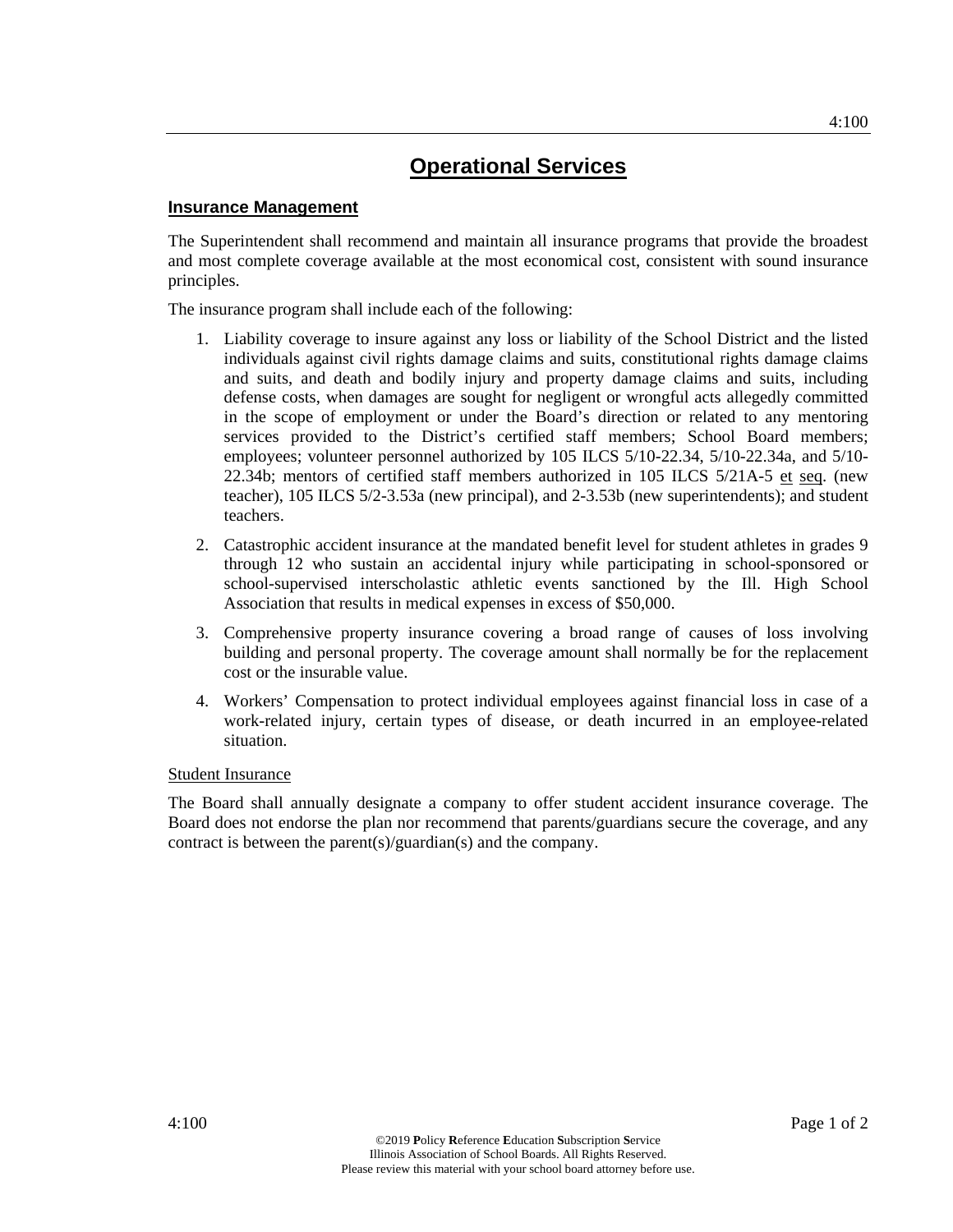### **Insurance Management**

The Superintendent shall recommend and maintain all insurance programs that provide the broadest and most complete coverage available at the most economical cost, consistent with sound insurance principles.

The insurance program shall include each of the following:

- 1. Liability coverage to insure against any loss or liability of the School District and the listed individuals against civil rights damage claims and suits, constitutional rights damage claims and suits, and death and bodily injury and property damage claims and suits, including defense costs, when damages are sought for negligent or wrongful acts allegedly committed in the scope of employment or under the Board's direction or related to any mentoring services provided to the District's certified staff members; School Board members; employees; volunteer personnel authorized by 105 ILCS 5/10-22.34, 5/10-22.34a, and 5/10- 22.34b; mentors of certified staff members authorized in 105 ILCS  $5/21A-5$  et seq. (new teacher), 105 ILCS 5/2-3.53a (new principal), and 2-3.53b (new superintendents); and student teachers.
- 2. Catastrophic accident insurance at the mandated benefit level for student athletes in grades 9 through 12 who sustain an accidental injury while participating in school-sponsored or school-supervised interscholastic athletic events sanctioned by the Ill. High School Association that results in medical expenses in excess of \$50,000.
- 3. Comprehensive property insurance covering a broad range of causes of loss involving building and personal property. The coverage amount shall normally be for the replacement cost or the insurable value.
- 4. Workers' Compensation to protect individual employees against financial loss in case of a work-related injury, certain types of disease, or death incurred in an employee-related situation.

#### Student Insurance

The Board shall annually designate a company to offer student accident insurance coverage. The Board does not endorse the plan nor recommend that parents/guardians secure the coverage, and any contract is between the parent(s)/guardian(s) and the company.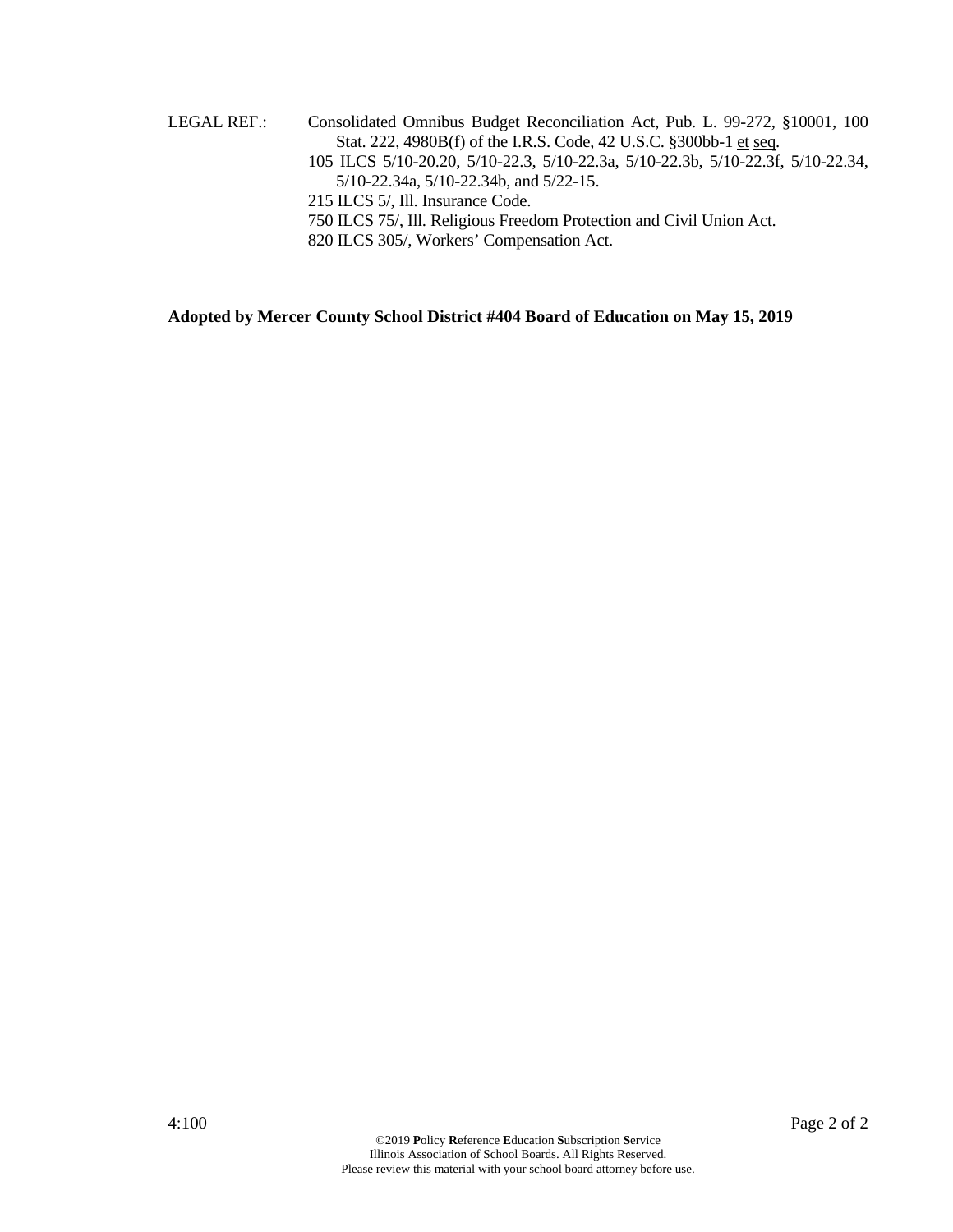LEGAL REF.: Consolidated Omnibus Budget Reconciliation Act, Pub. L. 99-272, §10001, 100 Stat. 222, 4980B(f) of the I.R.S. Code, 42 U.S.C. §300bb-1 et seq. 105 ILCS 5/10-20.20, 5/10-22.3, 5/10-22.3a, 5/10-22.3b, 5/10-22.3f, 5/10-22.34, 5/10-22.34a, 5/10-22.34b, and 5/22-15. 215 ILCS 5/, Ill. Insurance Code. 750 ILCS 75/, Ill. Religious Freedom Protection and Civil Union Act. 820 ILCS 305/, Workers' Compensation Act.

**Adopted by Mercer County School District #404 Board of Education on May 15, 2019**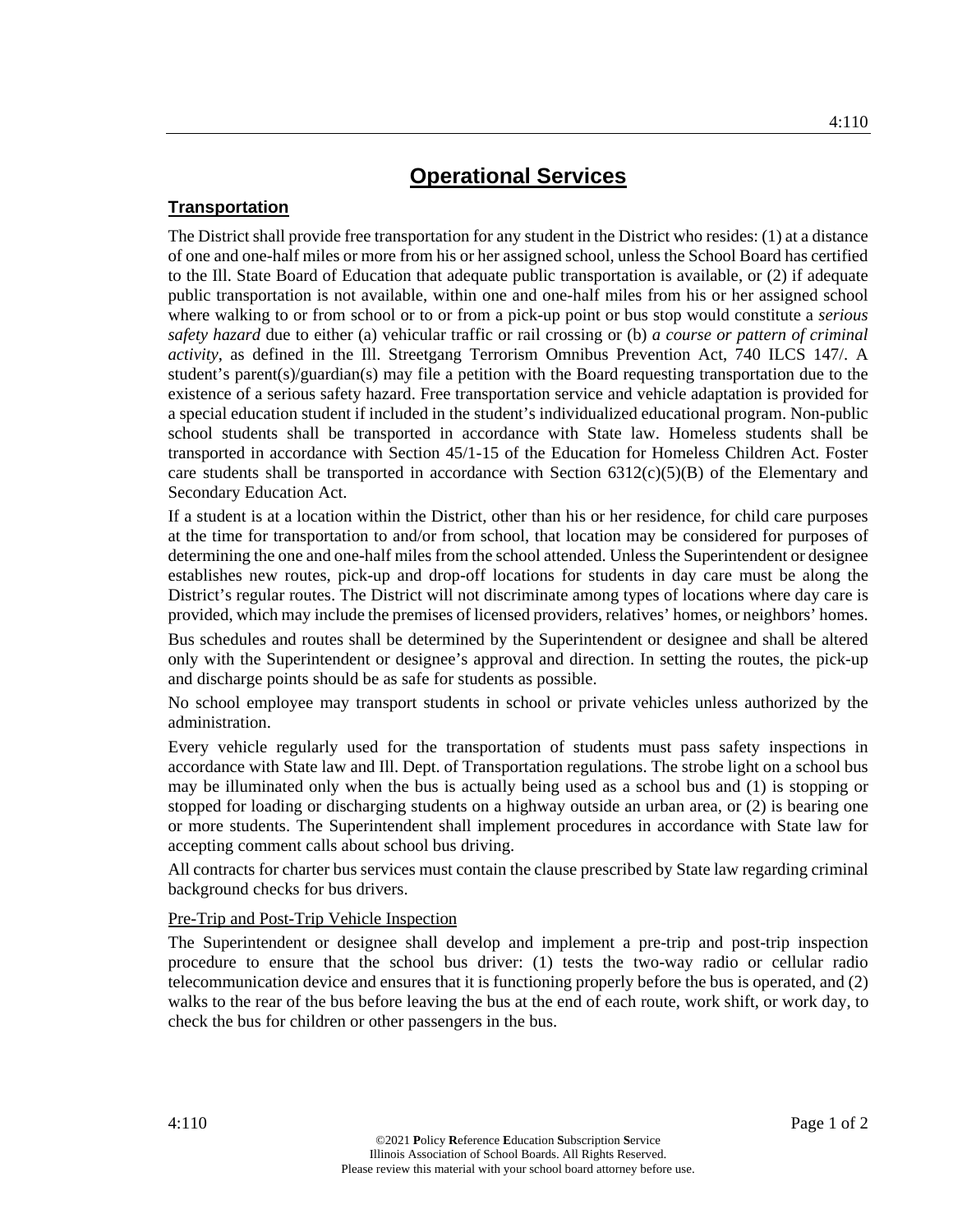## **Transportation**

The District shall provide free transportation for any student in the District who resides: (1) at a distance of one and one-half miles or more from his or her assigned school, unless the School Board has certified to the Ill. State Board of Education that adequate public transportation is available, or (2) if adequate public transportation is not available, within one and one-half miles from his or her assigned school where walking to or from school or to or from a pick-up point or bus stop would constitute a *serious safety hazard* due to either (a) vehicular traffic or rail crossing or (b) *a course or pattern of criminal activity*, as defined in the Ill. Streetgang Terrorism Omnibus Prevention Act, 740 ILCS 147/. A student's parent(s)/guardian(s) may file a petition with the Board requesting transportation due to the existence of a serious safety hazard. Free transportation service and vehicle adaptation is provided for a special education student if included in the student's individualized educational program. Non-public school students shall be transported in accordance with State law. Homeless students shall be transported in accordance with Section 45/1-15 of the Education for Homeless Children Act. Foster care students shall be transported in accordance with Section  $6312(c)(5)(B)$  of the Elementary and Secondary Education Act.

If a student is at a location within the District, other than his or her residence, for child care purposes at the time for transportation to and/or from school, that location may be considered for purposes of determining the one and one-half miles from the school attended. Unless the Superintendent or designee establishes new routes, pick-up and drop-off locations for students in day care must be along the District's regular routes. The District will not discriminate among types of locations where day care is provided, which may include the premises of licensed providers, relatives' homes, or neighbors' homes.

Bus schedules and routes shall be determined by the Superintendent or designee and shall be altered only with the Superintendent or designee's approval and direction. In setting the routes, the pick-up and discharge points should be as safe for students as possible.

No school employee may transport students in school or private vehicles unless authorized by the administration.

Every vehicle regularly used for the transportation of students must pass safety inspections in accordance with State law and Ill. Dept. of Transportation regulations. The strobe light on a school bus may be illuminated only when the bus is actually being used as a school bus and (1) is stopping or stopped for loading or discharging students on a highway outside an urban area, or (2) is bearing one or more students. The Superintendent shall implement procedures in accordance with State law for accepting comment calls about school bus driving.

All contracts for charter bus services must contain the clause prescribed by State law regarding criminal background checks for bus drivers.

## Pre-Trip and Post-Trip Vehicle Inspection

The Superintendent or designee shall develop and implement a pre-trip and post-trip inspection procedure to ensure that the school bus driver: (1) tests the two-way radio or cellular radio telecommunication device and ensures that it is functioning properly before the bus is operated, and (2) walks to the rear of the bus before leaving the bus at the end of each route, work shift, or work day, to check the bus for children or other passengers in the bus.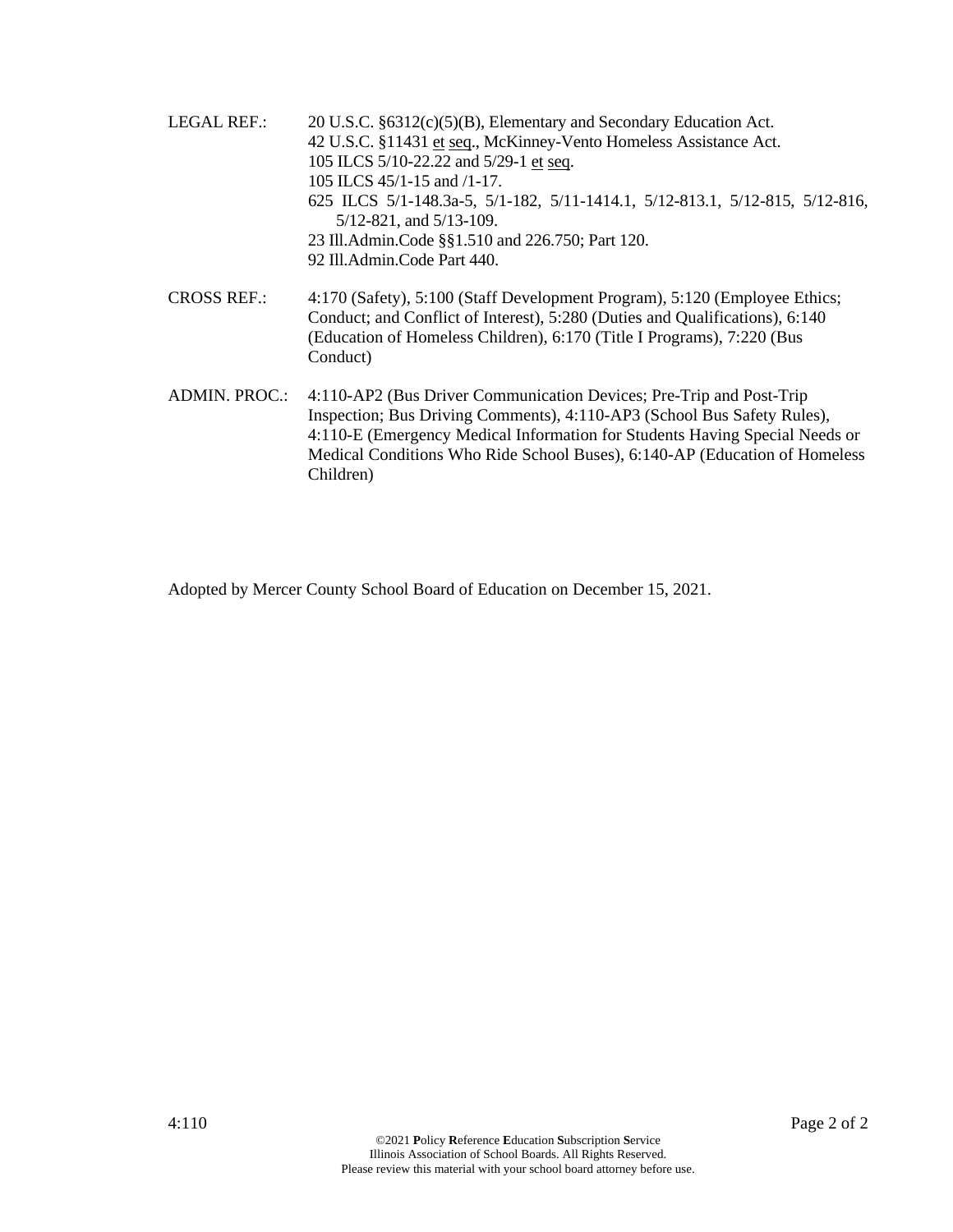- LEGAL REF.: 20 U.S.C. §6312(c)(5)(B), Elementary and Secondary Education Act. 42 U.S.C. §11431 et seq., McKinney-Vento Homeless Assistance Act. 105 ILCS 5/10-22.22 and 5/29-1 et seq. 105 ILCS 45/1-15 and /1-17. 625 ILCS 5/1-148.3a-5, 5/1-182, 5/11-1414.1, 5/12-813.1, 5/12-815, 5/12-816, 5/12-821, and 5/13-109. 23 Ill.Admin.Code §§1.510 and 226.750; Part 120. 92 Ill.Admin.Code Part 440.
- CROSS REF.: 4:170 (Safety), 5:100 (Staff Development Program), 5:120 (Employee Ethics; Conduct; and Conflict of Interest), 5:280 (Duties and Qualifications), 6:140 (Education of Homeless Children), 6:170 (Title I Programs), 7:220 (Bus Conduct)
- ADMIN. PROC.: 4:110-AP2 (Bus Driver Communication Devices; Pre-Trip and Post-Trip Inspection; Bus Driving Comments), 4:110-AP3 (School Bus Safety Rules), 4:110-E (Emergency Medical Information for Students Having Special Needs or Medical Conditions Who Ride School Buses), 6:140-AP (Education of Homeless Children)

Adopted by Mercer County School Board of Education on December 15, 2021.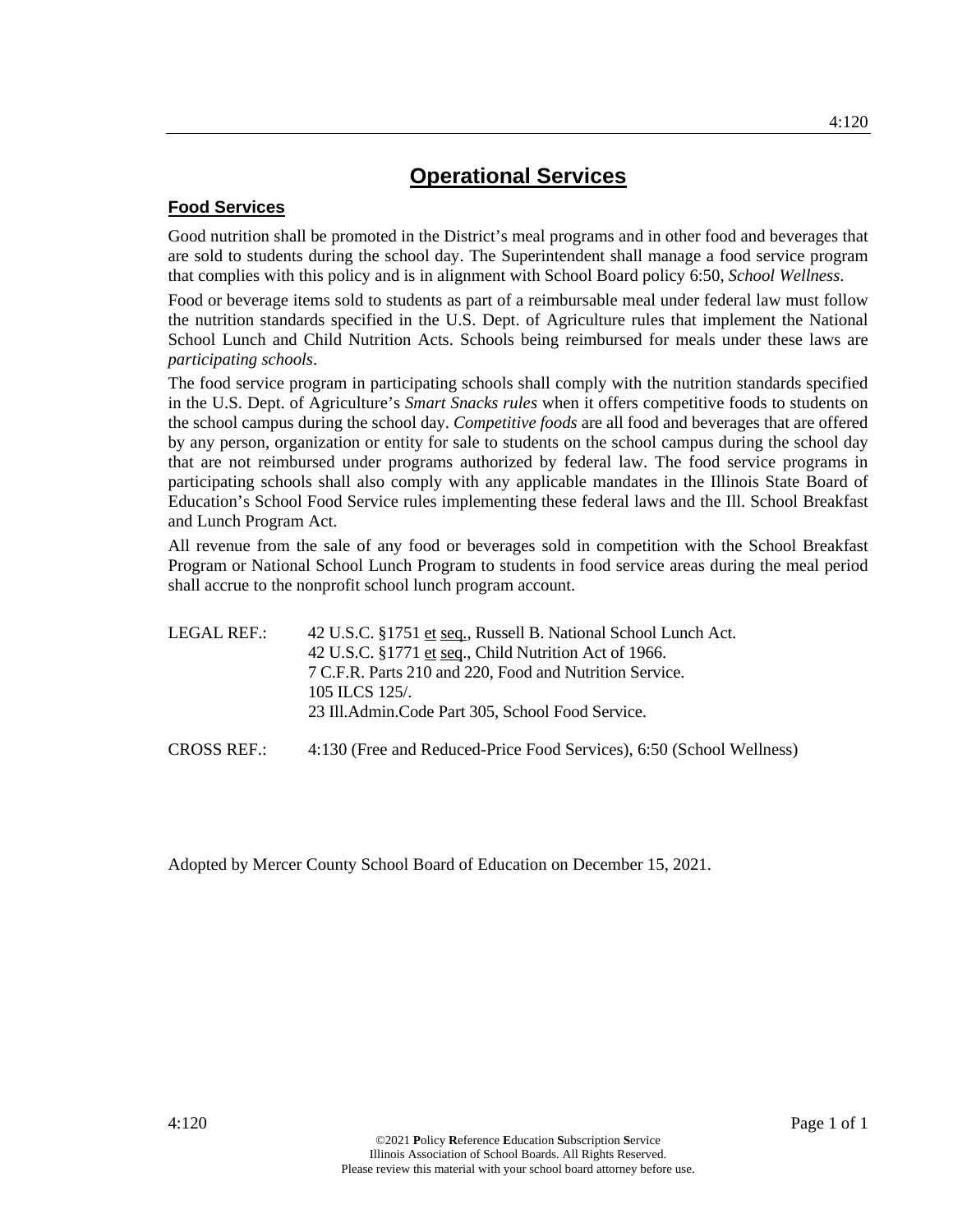## **Food Services**

Good nutrition shall be promoted in the District's meal programs and in other food and beverages that are sold to students during the school day. The Superintendent shall manage a food service program that complies with this policy and is in alignment with School Board policy 6:50, *School Wellness*.

Food or beverage items sold to students as part of a reimbursable meal under federal law must follow the nutrition standards specified in the U.S. Dept. of Agriculture rules that implement the National School Lunch and Child Nutrition Acts. Schools being reimbursed for meals under these laws are *participating schools*.

The food service program in participating schools shall comply with the nutrition standards specified in the U.S. Dept. of Agriculture's *Smart Snacks rules* when it offers competitive foods to students on the school campus during the school day. *Competitive foods* are all food and beverages that are offered by any person, organization or entity for sale to students on the school campus during the school day that are not reimbursed under programs authorized by federal law. The food service programs in participating schools shall also comply with any applicable mandates in the Illinois State Board of Education's School Food Service rules implementing these federal laws and the Ill. School Breakfast and Lunch Program Act.

All revenue from the sale of any food or beverages sold in competition with the School Breakfast Program or National School Lunch Program to students in food service areas during the meal period shall accrue to the nonprofit school lunch program account.

| LEGAL REF.: | 42 U.S.C. §1751 et seq., Russell B. National School Lunch Act. |
|-------------|----------------------------------------------------------------|
|             | 42 U.S.C. §1771 et seq., Child Nutrition Act of 1966.          |
|             | 7 C.F.R. Parts 210 and 220, Food and Nutrition Service.        |
|             | 105 ILCS 125/.                                                 |
|             | 23 Ill. Admin. Code Part 305, School Food Service.             |
|             |                                                                |

CROSS REF.: 4:130 (Free and Reduced-Price Food Services), 6:50 (School Wellness)

Adopted by Mercer County School Board of Education on December 15, 2021.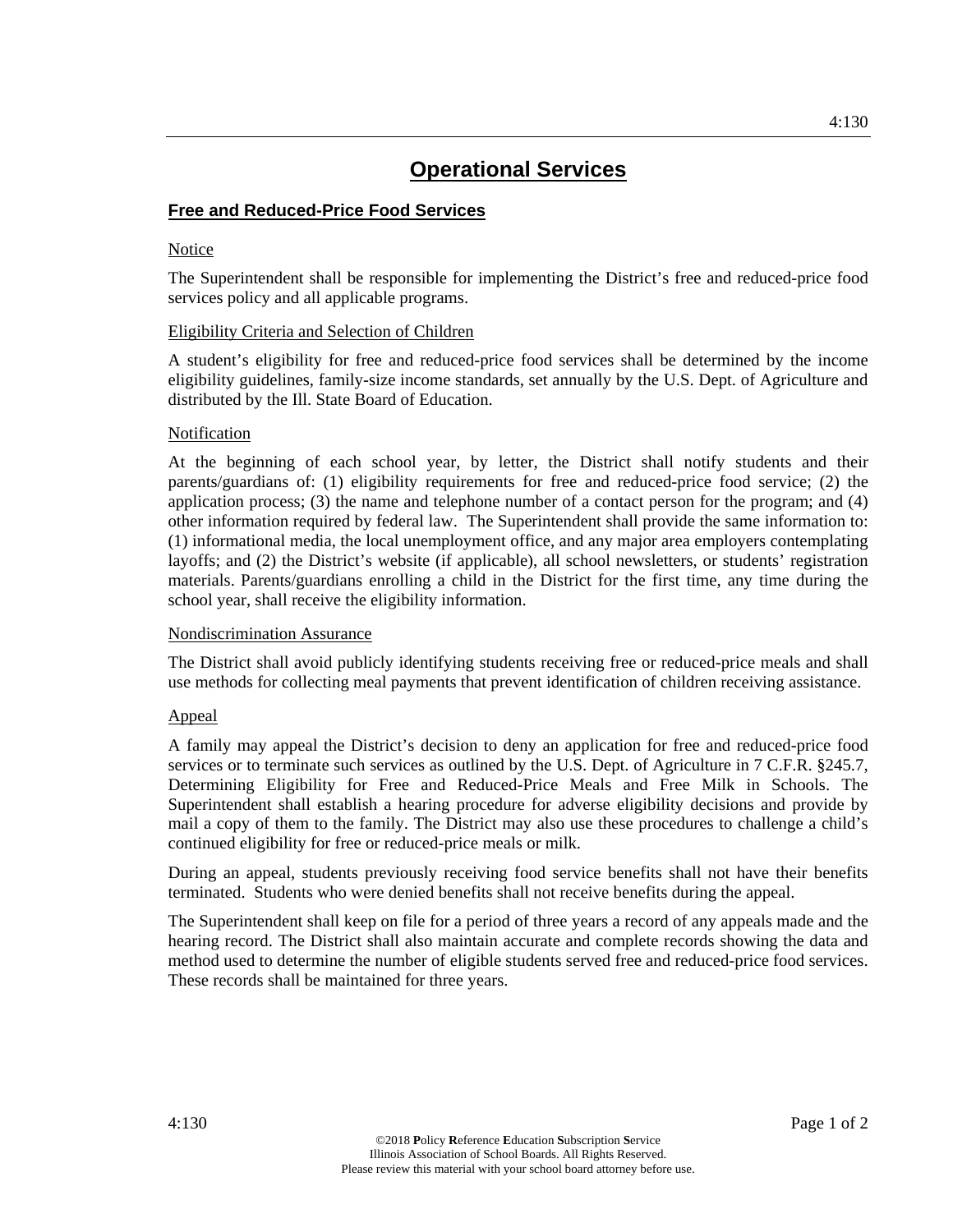## **Free and Reduced-Price Food Services**

## Notice

The Superintendent shall be responsible for implementing the District's free and reduced-price food services policy and all applicable programs.

### Eligibility Criteria and Selection of Children

A student's eligibility for free and reduced-price food services shall be determined by the income eligibility guidelines, family-size income standards, set annually by the U.S. Dept. of Agriculture and distributed by the Ill. State Board of Education.

## Notification

At the beginning of each school year, by letter, the District shall notify students and their parents/guardians of: (1) eligibility requirements for free and reduced-price food service; (2) the application process; (3) the name and telephone number of a contact person for the program; and (4) other information required by federal law. The Superintendent shall provide the same information to: (1) informational media, the local unemployment office, and any major area employers contemplating layoffs; and (2) the District's website (if applicable), all school newsletters, or students' registration materials. Parents/guardians enrolling a child in the District for the first time, any time during the school year, shall receive the eligibility information.

## Nondiscrimination Assurance

The District shall avoid publicly identifying students receiving free or reduced-price meals and shall use methods for collecting meal payments that prevent identification of children receiving assistance.

## Appeal

A family may appeal the District's decision to deny an application for free and reduced-price food services or to terminate such services as outlined by the U.S. Dept. of Agriculture in 7 C.F.R. §245.7, Determining Eligibility for Free and Reduced-Price Meals and Free Milk in Schools. The Superintendent shall establish a hearing procedure for adverse eligibility decisions and provide by mail a copy of them to the family. The District may also use these procedures to challenge a child's continued eligibility for free or reduced-price meals or milk.

During an appeal, students previously receiving food service benefits shall not have their benefits terminated. Students who were denied benefits shall not receive benefits during the appeal.

The Superintendent shall keep on file for a period of three years a record of any appeals made and the hearing record. The District shall also maintain accurate and complete records showing the data and method used to determine the number of eligible students served free and reduced-price food services. These records shall be maintained for three years.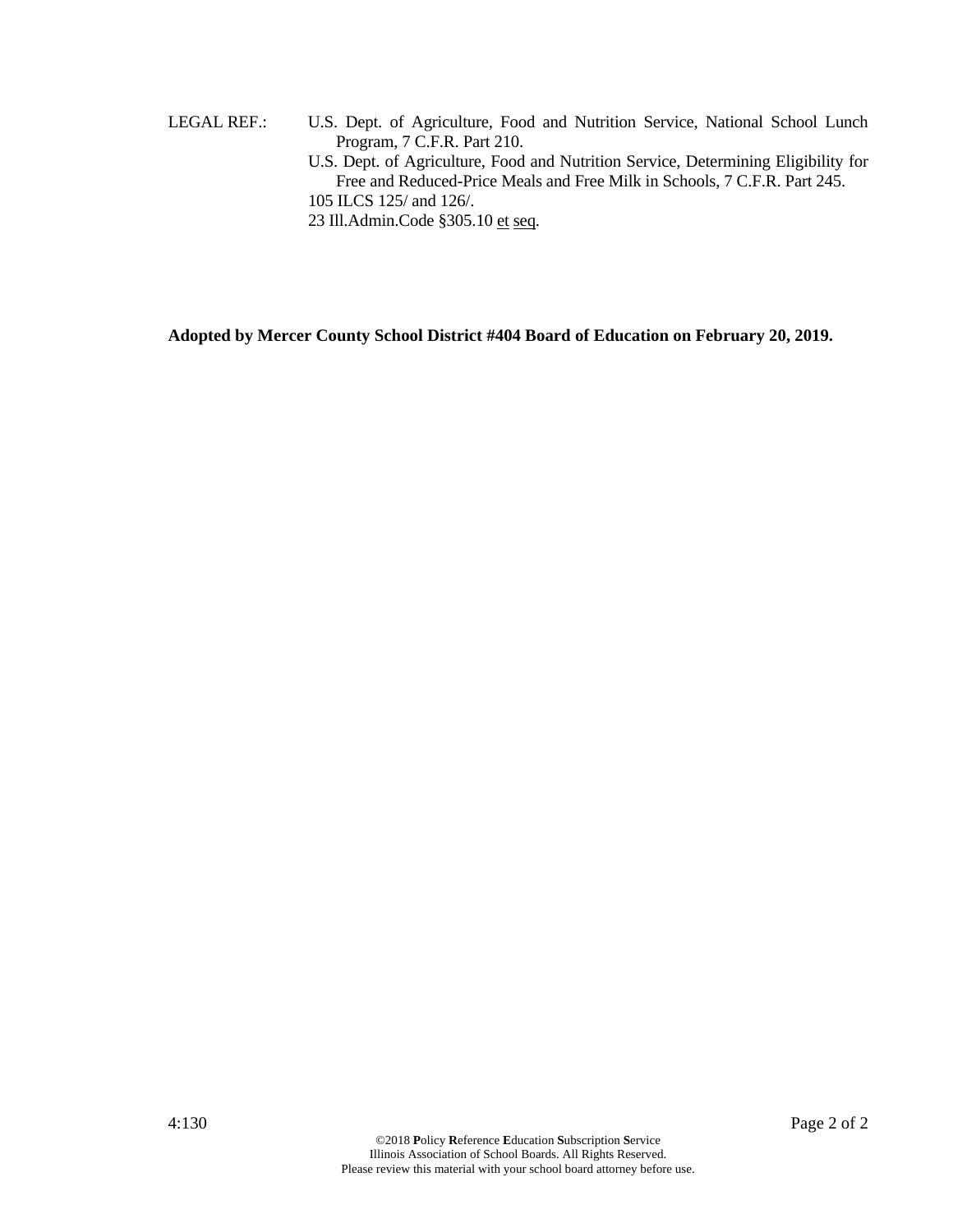- LEGAL REF.: U.S. Dept. of Agriculture, Food and Nutrition Service, National School Lunch Program, 7 C.F.R. Part 210.
	- U.S. Dept. of Agriculture, Food and Nutrition Service, Determining Eligibility for Free and Reduced-Price Meals and Free Milk in Schools, 7 C.F.R. Part 245. 105 ILCS 125/ and 126/.
	- 23 Ill.Admin.Code §305.10 et seq.

**Adopted by Mercer County School District #404 Board of Education on February 20, 2019.**

4:130 Page 2 of 2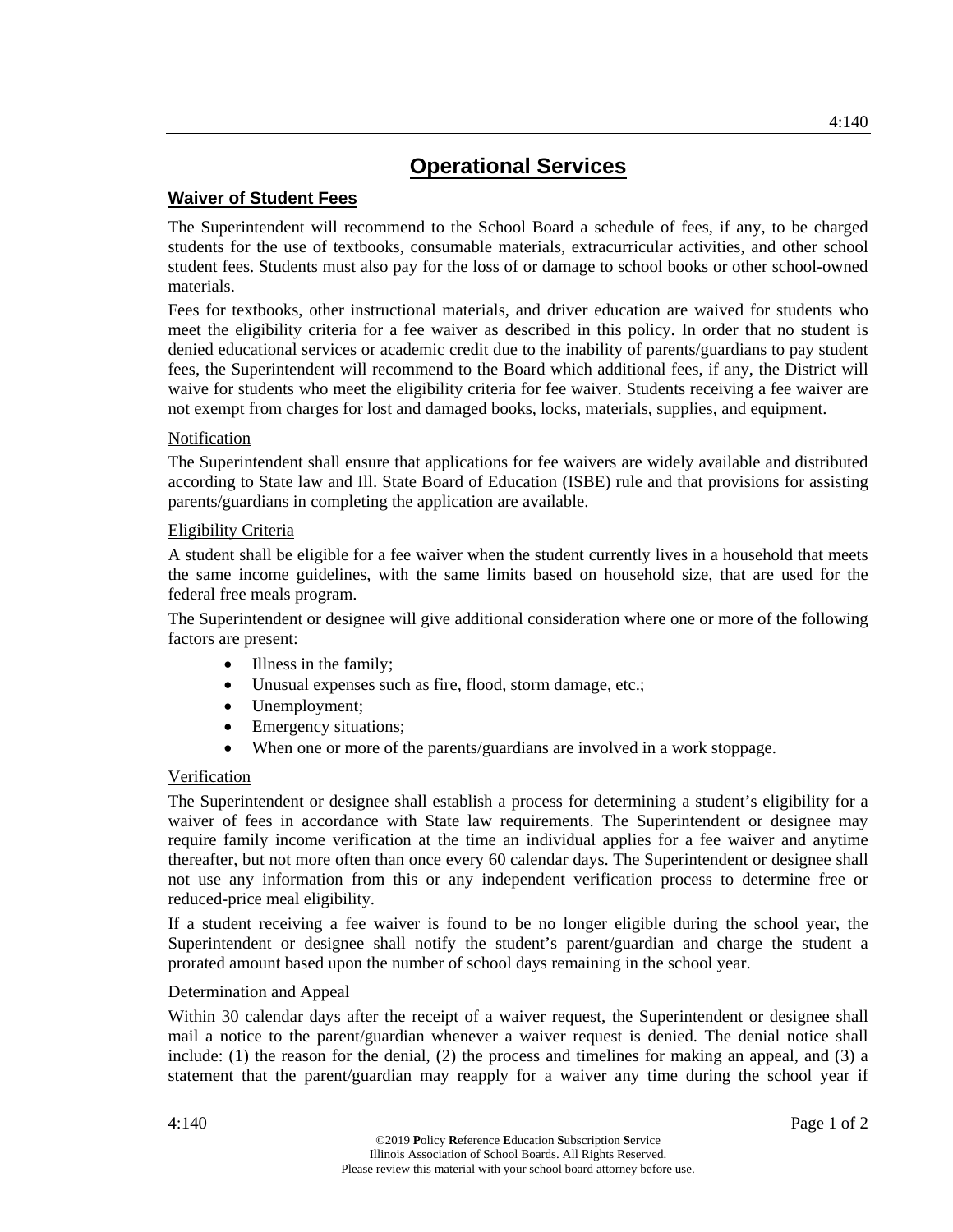## **Waiver of Student Fees**

The Superintendent will recommend to the School Board a schedule of fees, if any, to be charged students for the use of textbooks, consumable materials, extracurricular activities, and other school student fees. Students must also pay for the loss of or damage to school books or other school-owned materials.

Fees for textbooks, other instructional materials, and driver education are waived for students who meet the eligibility criteria for a fee waiver as described in this policy. In order that no student is denied educational services or academic credit due to the inability of parents/guardians to pay student fees, the Superintendent will recommend to the Board which additional fees, if any, the District will waive for students who meet the eligibility criteria for fee waiver. Students receiving a fee waiver are not exempt from charges for lost and damaged books, locks, materials, supplies, and equipment.

## Notification

The Superintendent shall ensure that applications for fee waivers are widely available and distributed according to State law and Ill. State Board of Education (ISBE) rule and that provisions for assisting parents/guardians in completing the application are available.

## Eligibility Criteria

A student shall be eligible for a fee waiver when the student currently lives in a household that meets the same income guidelines, with the same limits based on household size, that are used for the federal free meals program.

The Superintendent or designee will give additional consideration where one or more of the following factors are present:

- Illness in the family;
- Unusual expenses such as fire, flood, storm damage, etc.;
- Unemployment;
- Emergency situations;
- When one or more of the parents/guardians are involved in a work stoppage.

## Verification

The Superintendent or designee shall establish a process for determining a student's eligibility for a waiver of fees in accordance with State law requirements. The Superintendent or designee may require family income verification at the time an individual applies for a fee waiver and anytime thereafter, but not more often than once every 60 calendar days. The Superintendent or designee shall not use any information from this or any independent verification process to determine free or reduced-price meal eligibility.

If a student receiving a fee waiver is found to be no longer eligible during the school year, the Superintendent or designee shall notify the student's parent/guardian and charge the student a prorated amount based upon the number of school days remaining in the school year.

## Determination and Appeal

Within 30 calendar days after the receipt of a waiver request, the Superintendent or designee shall mail a notice to the parent/guardian whenever a waiver request is denied. The denial notice shall include: (1) the reason for the denial, (2) the process and timelines for making an appeal, and (3) a statement that the parent/guardian may reapply for a waiver any time during the school year if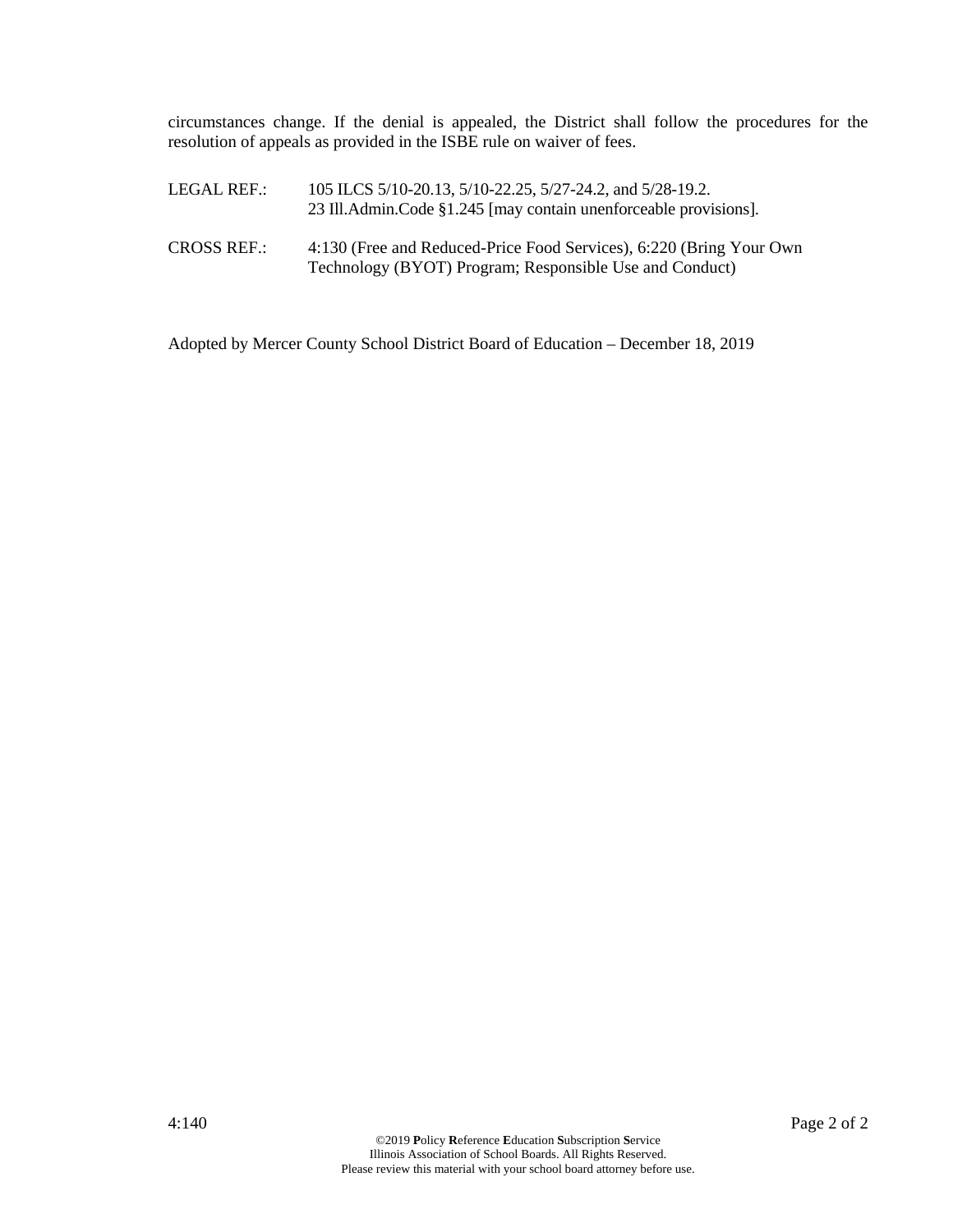circumstances change. If the denial is appealed, the District shall follow the procedures for the resolution of appeals as provided in the ISBE rule on waiver of fees.

| LEGAL REF.:        | 105 ILCS 5/10-20.13, 5/10-22.25, 5/27-24.2, and 5/28-19.2.<br>23 Ill.Admin.Code §1.245 [may contain unenforceable provisions].  |
|--------------------|---------------------------------------------------------------------------------------------------------------------------------|
| <b>CROSS REF.:</b> | 4:130 (Free and Reduced-Price Food Services), 6:220 (Bring Your Own)<br>Technology (BYOT) Program; Responsible Use and Conduct) |

Adopted by Mercer County School District Board of Education – December 18, 2019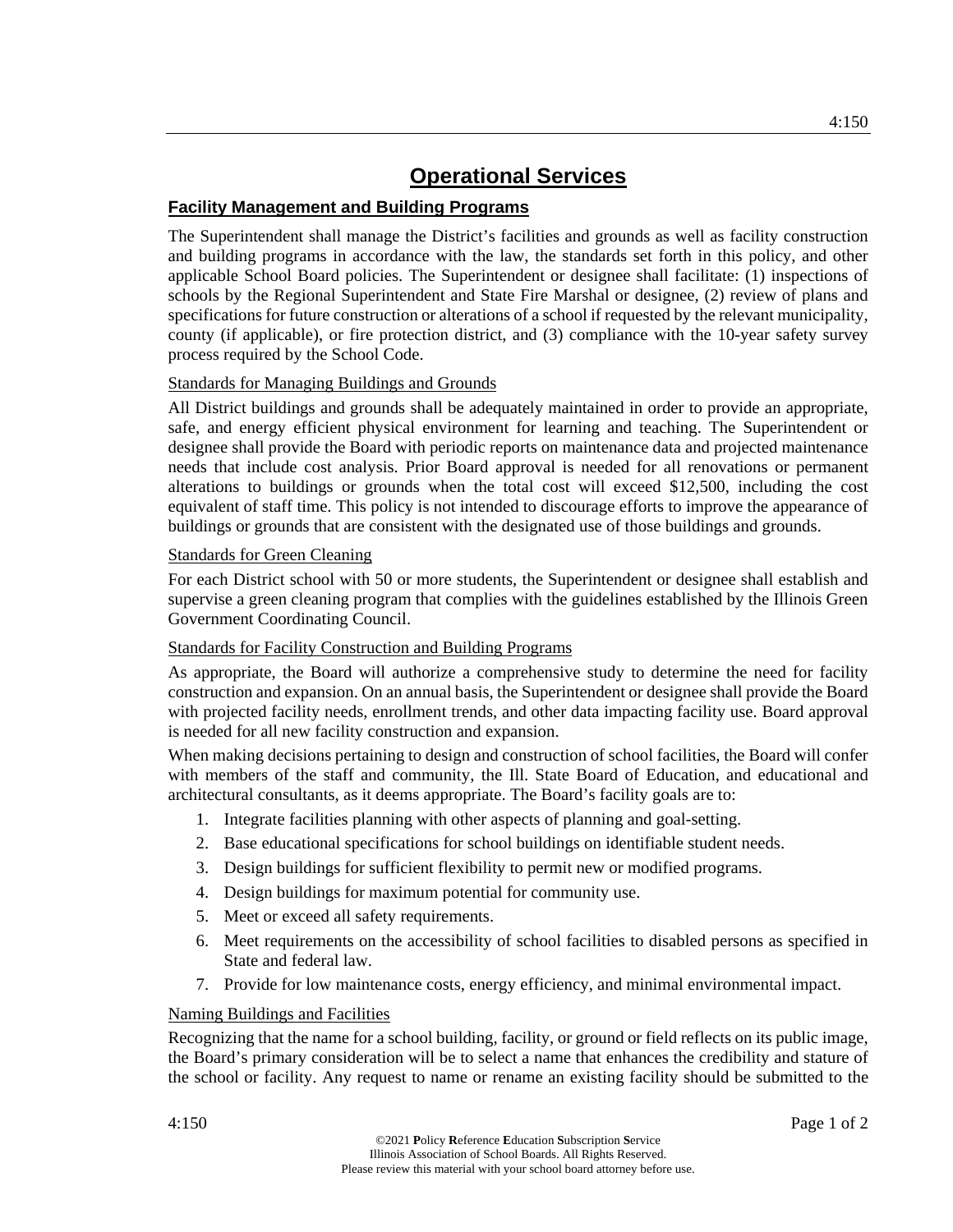## **Facility Management and Building Programs**

The Superintendent shall manage the District's facilities and grounds as well as facility construction and building programs in accordance with the law, the standards set forth in this policy, and other applicable School Board policies. The Superintendent or designee shall facilitate: (1) inspections of schools by the Regional Superintendent and State Fire Marshal or designee, (2) review of plans and specifications for future construction or alterations of a school if requested by the relevant municipality, county (if applicable), or fire protection district, and (3) compliance with the 10-year safety survey process required by the School Code.

## Standards for Managing Buildings and Grounds

All District buildings and grounds shall be adequately maintained in order to provide an appropriate, safe, and energy efficient physical environment for learning and teaching. The Superintendent or designee shall provide the Board with periodic reports on maintenance data and projected maintenance needs that include cost analysis. Prior Board approval is needed for all renovations or permanent alterations to buildings or grounds when the total cost will exceed \$12,500, including the cost equivalent of staff time. This policy is not intended to discourage efforts to improve the appearance of buildings or grounds that are consistent with the designated use of those buildings and grounds.

## Standards for Green Cleaning

For each District school with 50 or more students, the Superintendent or designee shall establish and supervise a green cleaning program that complies with the guidelines established by the Illinois Green Government Coordinating Council.

## Standards for Facility Construction and Building Programs

As appropriate, the Board will authorize a comprehensive study to determine the need for facility construction and expansion. On an annual basis, the Superintendent or designee shall provide the Board with projected facility needs, enrollment trends, and other data impacting facility use. Board approval is needed for all new facility construction and expansion.

When making decisions pertaining to design and construction of school facilities, the Board will confer with members of the staff and community, the Ill. State Board of Education, and educational and architectural consultants, as it deems appropriate. The Board's facility goals are to:

- 1. Integrate facilities planning with other aspects of planning and goal-setting.
- 2. Base educational specifications for school buildings on identifiable student needs.
- 3. Design buildings for sufficient flexibility to permit new or modified programs.
- 4. Design buildings for maximum potential for community use.
- 5. Meet or exceed all safety requirements.
- 6. Meet requirements on the accessibility of school facilities to disabled persons as specified in State and federal law.
- 7. Provide for low maintenance costs, energy efficiency, and minimal environmental impact.

## Naming Buildings and Facilities

Recognizing that the name for a school building, facility, or ground or field reflects on its public image, the Board's primary consideration will be to select a name that enhances the credibility and stature of the school or facility. Any request to name or rename an existing facility should be submitted to the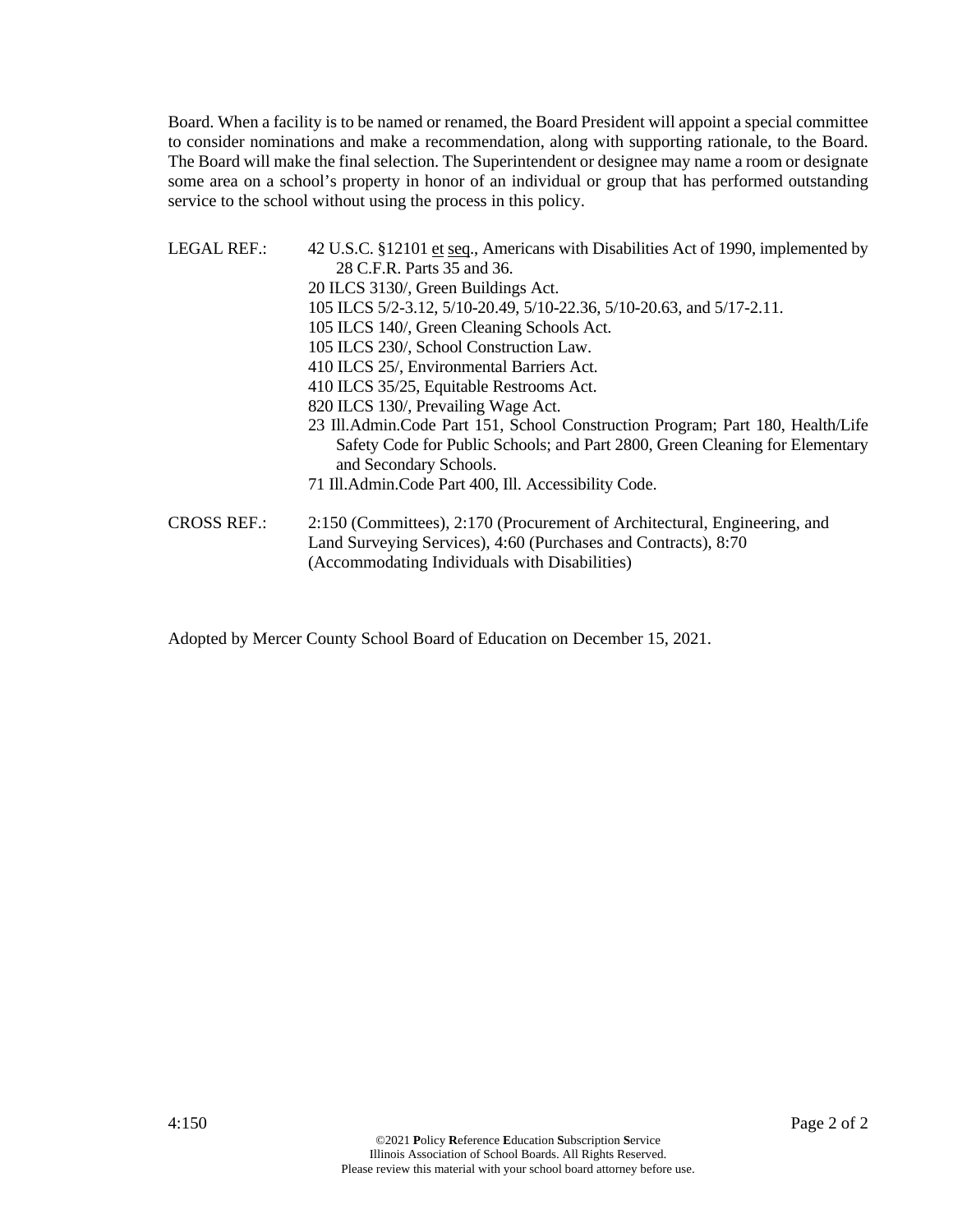Board. When a facility is to be named or renamed, the Board President will appoint a special committee to consider nominations and make a recommendation, along with supporting rationale, to the Board. The Board will make the final selection. The Superintendent or designee may name a room or designate some area on a school's property in honor of an individual or group that has performed outstanding service to the school without using the process in this policy.

- LEGAL REF.: 42 U.S.C. §12101 et seq., Americans with Disabilities Act of 1990, implemented by 28 C.F.R. Parts 35 and 36. 20 ILCS 3130/, Green Buildings Act. 105 ILCS 5/2-3.12, 5/10-20.49, 5/10-22.36, 5/10-20.63, and 5/17-2.11. 105 ILCS 140/, Green Cleaning Schools Act. 105 ILCS 230/, School Construction Law. 410 ILCS 25/, Environmental Barriers Act. 410 ILCS 35/25, Equitable Restrooms Act. 820 ILCS 130/, Prevailing Wage Act. 23 Ill.Admin.Code Part 151, School Construction Program; Part 180, Health/Life Safety Code for Public Schools; and Part 2800, Green Cleaning for Elementary and Secondary Schools. 71 Ill.Admin.Code Part 400, Ill. Accessibility Code. CROSS REF.: 2:150 (Committees), 2:170 (Procurement of Architectural, Engineering, and Land Surveying Services), 4:60 (Purchases and Contracts), 8:70
	- (Accommodating Individuals with Disabilities)

Adopted by Mercer County School Board of Education on December 15, 2021.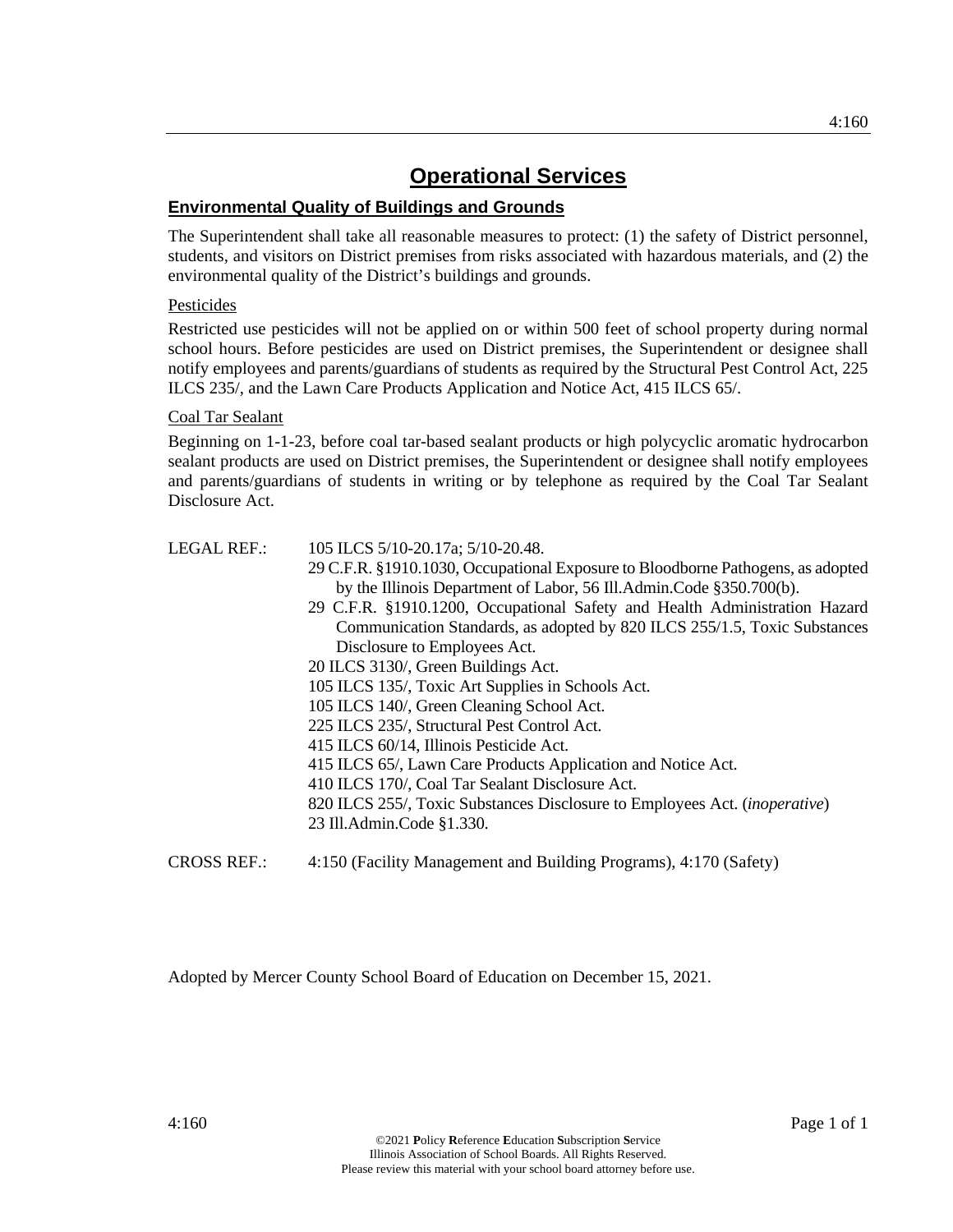## **Environmental Quality of Buildings and Grounds**

The Superintendent shall take all reasonable measures to protect: (1) the safety of District personnel, students, and visitors on District premises from risks associated with hazardous materials, and (2) the environmental quality of the District's buildings and grounds.

## Pesticides

Restricted use pesticides will not be applied on or within 500 feet of school property during normal school hours. Before pesticides are used on District premises, the Superintendent or designee shall notify employees and parents/guardians of students as required by the Structural Pest Control Act, 225 ILCS 235/, and the Lawn Care Products Application and Notice Act, 415 ILCS 65/.

## Coal Tar Sealant

Beginning on 1-1-23, before coal tar-based sealant products or high polycyclic aromatic hydrocarbon sealant products are used on District premises, the Superintendent or designee shall notify employees and parents/guardians of students in writing or by telephone as required by the Coal Tar Sealant Disclosure Act.

## LEGAL REF.: 105 ILCS 5/10-20.17a; 5/10-20.48.

- 29 C.F.R. §1910.1030, Occupational Exposure to Bloodborne Pathogens, as adopted by the Illinois Department of Labor, 56 Ill.Admin.Code §350.700(b).
- 29 C.F.R. §1910.1200, Occupational Safety and Health Administration Hazard Communication Standards, as adopted by 820 ILCS 255/1.5, Toxic Substances Disclosure to Employees Act.
- 20 ILCS 3130/, Green Buildings Act.
- 105 ILCS 135/, Toxic Art Supplies in Schools Act.
- 105 ILCS 140/, Green Cleaning School Act.
- 225 ILCS 235/, Structural Pest Control Act.
- 415 ILCS 60/14, Illinois Pesticide Act.
- 415 ILCS 65/, Lawn Care Products Application and Notice Act.
- 410 ILCS 170/, Coal Tar Sealant Disclosure Act.
- 820 ILCS 255/, Toxic Substances Disclosure to Employees Act. (*inoperative*) 23 Ill.Admin.Code §1.330.
- CROSS REF.: 4:150 (Facility Management and Building Programs), 4:170 (Safety)

Adopted by Mercer County School Board of Education on December 15, 2021.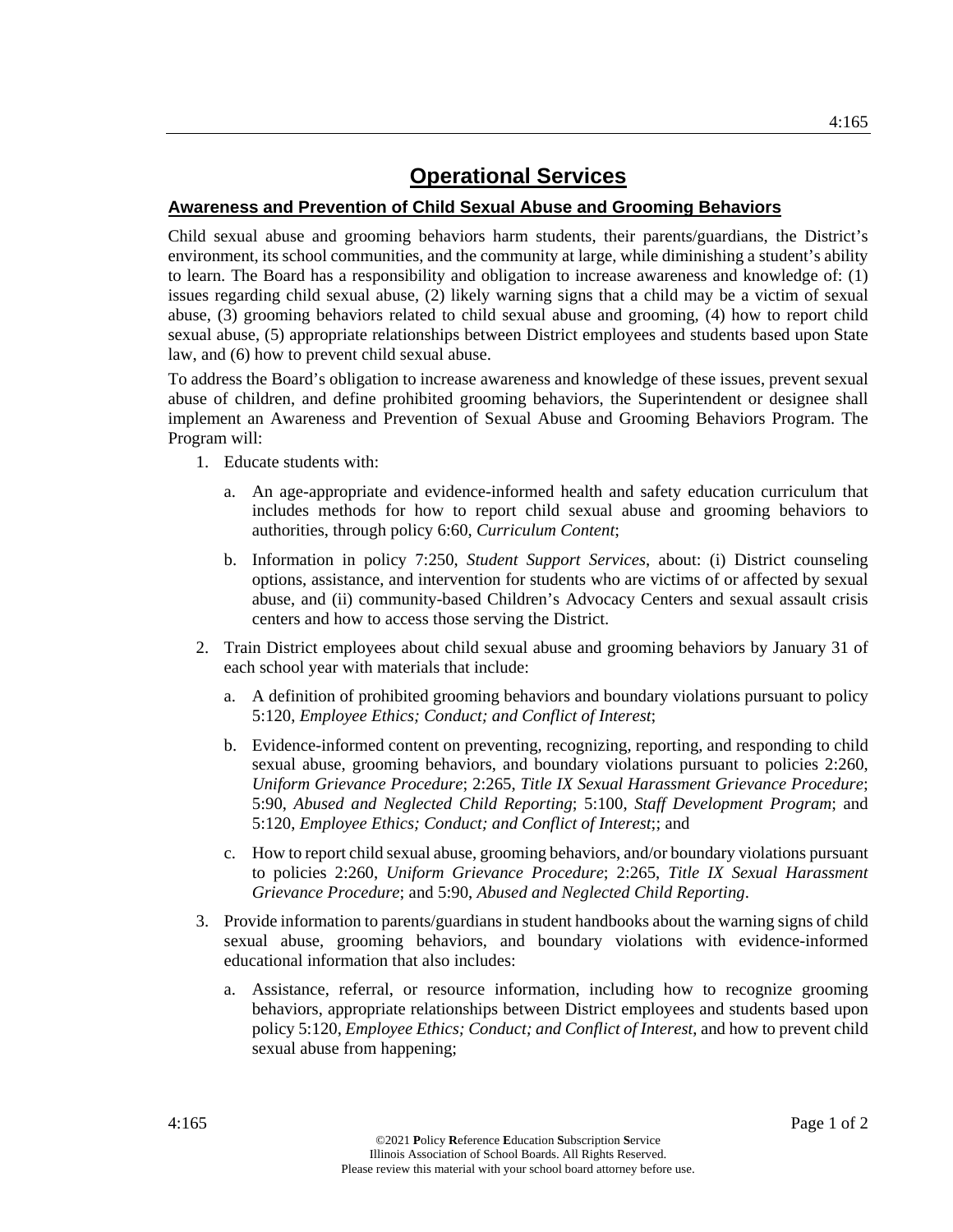## **Awareness and Prevention of Child Sexual Abuse and Grooming Behaviors**

Child sexual abuse and grooming behaviors harm students, their parents/guardians, the District's environment, its school communities, and the community at large, while diminishing a student's ability to learn. The Board has a responsibility and obligation to increase awareness and knowledge of: (1) issues regarding child sexual abuse, (2) likely warning signs that a child may be a victim of sexual abuse, (3) grooming behaviors related to child sexual abuse and grooming, (4) how to report child sexual abuse, (5) appropriate relationships between District employees and students based upon State law, and (6) how to prevent child sexual abuse.

To address the Board's obligation to increase awareness and knowledge of these issues, prevent sexual abuse of children, and define prohibited grooming behaviors, the Superintendent or designee shall implement an Awareness and Prevention of Sexual Abuse and Grooming Behaviors Program. The Program will:

- 1. Educate students with:
	- a. An age-appropriate and evidence-informed health and safety education curriculum that includes methods for how to report child sexual abuse and grooming behaviors to authorities, through policy 6:60, *Curriculum Content*;
	- b. Information in policy 7:250, *Student Support Services*, about: (i) District counseling options, assistance, and intervention for students who are victims of or affected by sexual abuse, and (ii) community-based Children's Advocacy Centers and sexual assault crisis centers and how to access those serving the District.
- 2. Train District employees about child sexual abuse and grooming behaviors by January 31 of each school year with materials that include:
	- a. A definition of prohibited grooming behaviors and boundary violations pursuant to policy 5:120, *Employee Ethics; Conduct; and Conflict of Interest*;
	- b. Evidence-informed content on preventing, recognizing, reporting, and responding to child sexual abuse, grooming behaviors, and boundary violations pursuant to policies 2:260, *Uniform Grievance Procedure*; 2:265, *Title IX Sexual Harassment Grievance Procedure*; 5:90, *Abused and Neglected Child Reporting*; 5:100, *Staff Development Program*; and 5:120, *Employee Ethics; Conduct; and Conflict of Interest*;; and
	- c. How to report child sexual abuse, grooming behaviors, and/or boundary violations pursuant to policies 2:260, *Uniform Grievance Procedure*; 2:265, *Title IX Sexual Harassment Grievance Procedure*; and 5:90, *Abused and Neglected Child Reporting*.
- 3. Provide information to parents/guardians in student handbooks about the warning signs of child sexual abuse, grooming behaviors, and boundary violations with evidence-informed educational information that also includes:
	- a. Assistance, referral, or resource information, including how to recognize grooming behaviors, appropriate relationships between District employees and students based upon policy 5:120, *Employee Ethics; Conduct; and Conflict of Interest*, and how to prevent child sexual abuse from happening;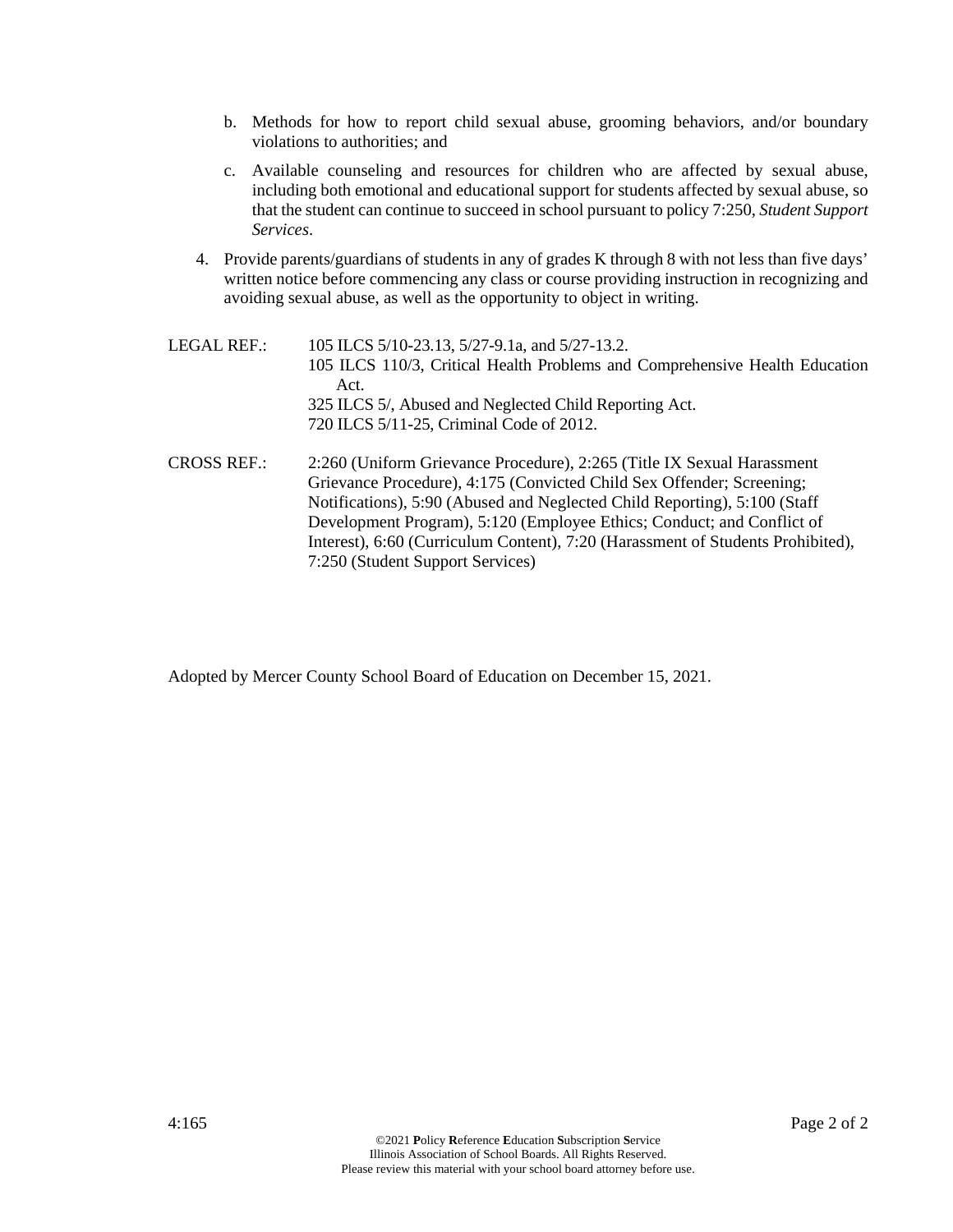- b. Methods for how to report child sexual abuse, grooming behaviors, and/or boundary violations to authorities; and
- c. Available counseling and resources for children who are affected by sexual abuse, including both emotional and educational support for students affected by sexual abuse, so that the student can continue to succeed in school pursuant to policy 7:250, *Student Support Services*.
- 4. Provide parents/guardians of students in any of grades K through 8 with not less than five days' written notice before commencing any class or course providing instruction in recognizing and avoiding sexual abuse, as well as the opportunity to object in writing.

| LEGAL REF.: | 105 ILCS 5/10-23.13, 5/27-9.1a, and 5/27-13.2.                                      |
|-------------|-------------------------------------------------------------------------------------|
|             | 105 ILCS 110/3, Critical Health Problems and Comprehensive Health Education<br>Act. |
|             | 325 ILCS 5/, Abused and Neglected Child Reporting Act.                              |
|             | 720 ILCS 5/11-25, Criminal Code of 2012.                                            |
| CROSS REF.: | 2:260 (Uniform Grievance Procedure), 2:265 (Title IX Sexual Harassment              |
|             | Grievance Procedure), 4:175 (Convicted Child Sex Offender; Screening;               |
|             | Notifications), 5:90 (Abused and Neglected Child Reporting), 5:100 (Staff           |
|             | Development Program), 5:120 (Employee Ethics; Conduct; and Conflict of              |
|             | Interest), 6:60 (Curriculum Content), 7:20 (Harassment of Students Prohibited),     |

Adopted by Mercer County School Board of Education on December 15, 2021.

7:250 (Student Support Services)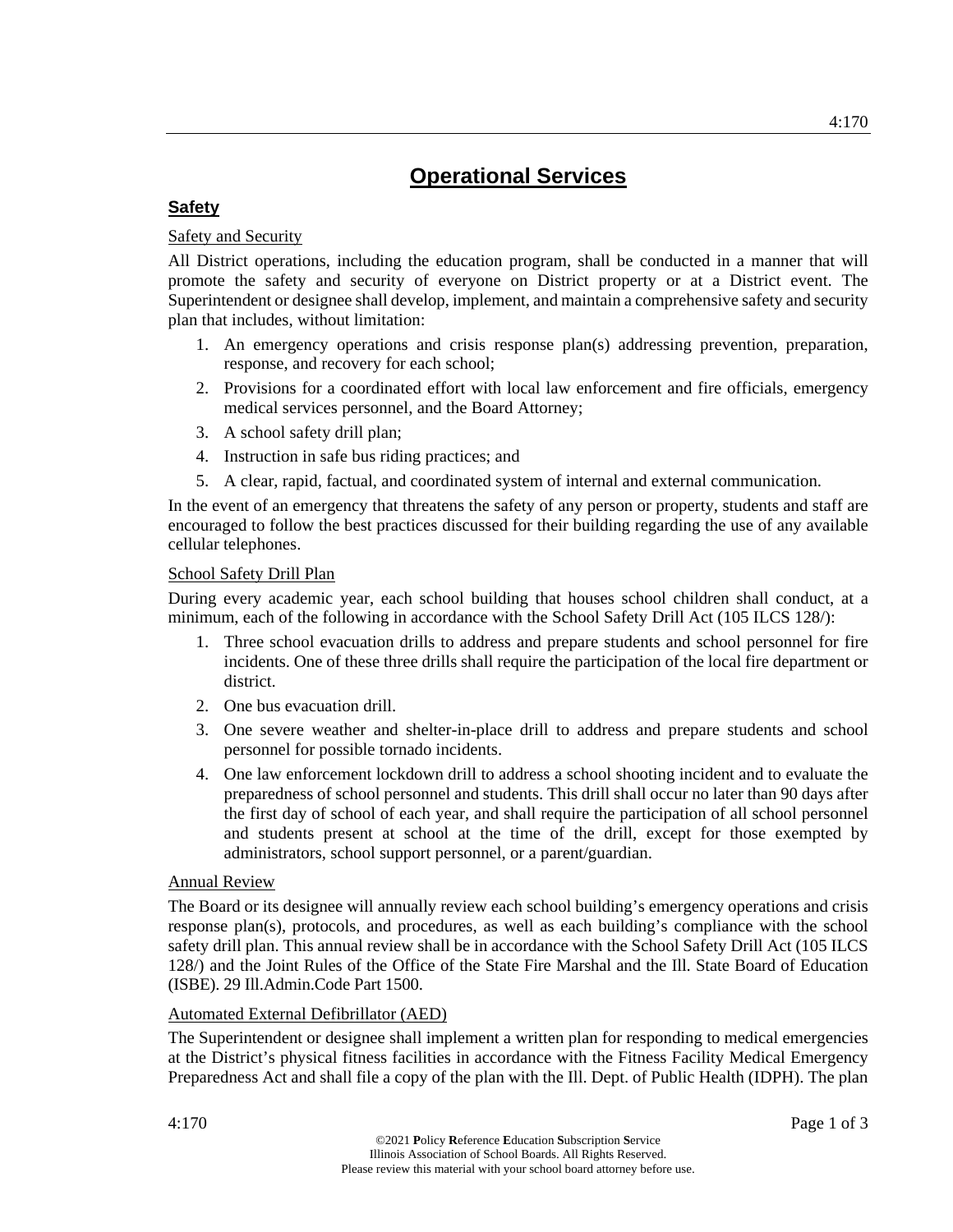## **Safety**

## Safety and Security

All District operations, including the education program, shall be conducted in a manner that will promote the safety and security of everyone on District property or at a District event. The Superintendent or designee shall develop, implement, and maintain a comprehensive safety and security plan that includes, without limitation:

- 1. An emergency operations and crisis response plan(s) addressing prevention, preparation, response, and recovery for each school;
- 2. Provisions for a coordinated effort with local law enforcement and fire officials, emergency medical services personnel, and the Board Attorney;
- 3. A school safety drill plan;
- 4. Instruction in safe bus riding practices; and
- 5. A clear, rapid, factual, and coordinated system of internal and external communication.

In the event of an emergency that threatens the safety of any person or property, students and staff are encouraged to follow the best practices discussed for their building regarding the use of any available cellular telephones.

## School Safety Drill Plan

During every academic year, each school building that houses school children shall conduct, at a minimum, each of the following in accordance with the School Safety Drill Act (105 ILCS 128/):

- 1. Three school evacuation drills to address and prepare students and school personnel for fire incidents. One of these three drills shall require the participation of the local fire department or district.
- 2. One bus evacuation drill.
- 3. One severe weather and shelter-in-place drill to address and prepare students and school personnel for possible tornado incidents.
- 4. One law enforcement lockdown drill to address a school shooting incident and to evaluate the preparedness of school personnel and students. This drill shall occur no later than 90 days after the first day of school of each year, and shall require the participation of all school personnel and students present at school at the time of the drill, except for those exempted by administrators, school support personnel, or a parent/guardian.

## Annual Review

The Board or its designee will annually review each school building's emergency operations and crisis response plan(s), protocols, and procedures, as well as each building's compliance with the school safety drill plan. This annual review shall be in accordance with the School Safety Drill Act (105 ILCS 128/) and the Joint Rules of the Office of the State Fire Marshal and the Ill. State Board of Education (ISBE). 29 Ill.Admin.Code Part 1500.

## Automated External Defibrillator (AED)

The Superintendent or designee shall implement a written plan for responding to medical emergencies at the District's physical fitness facilities in accordance with the Fitness Facility Medical Emergency Preparedness Act and shall file a copy of the plan with the Ill. Dept. of Public Health (IDPH). The plan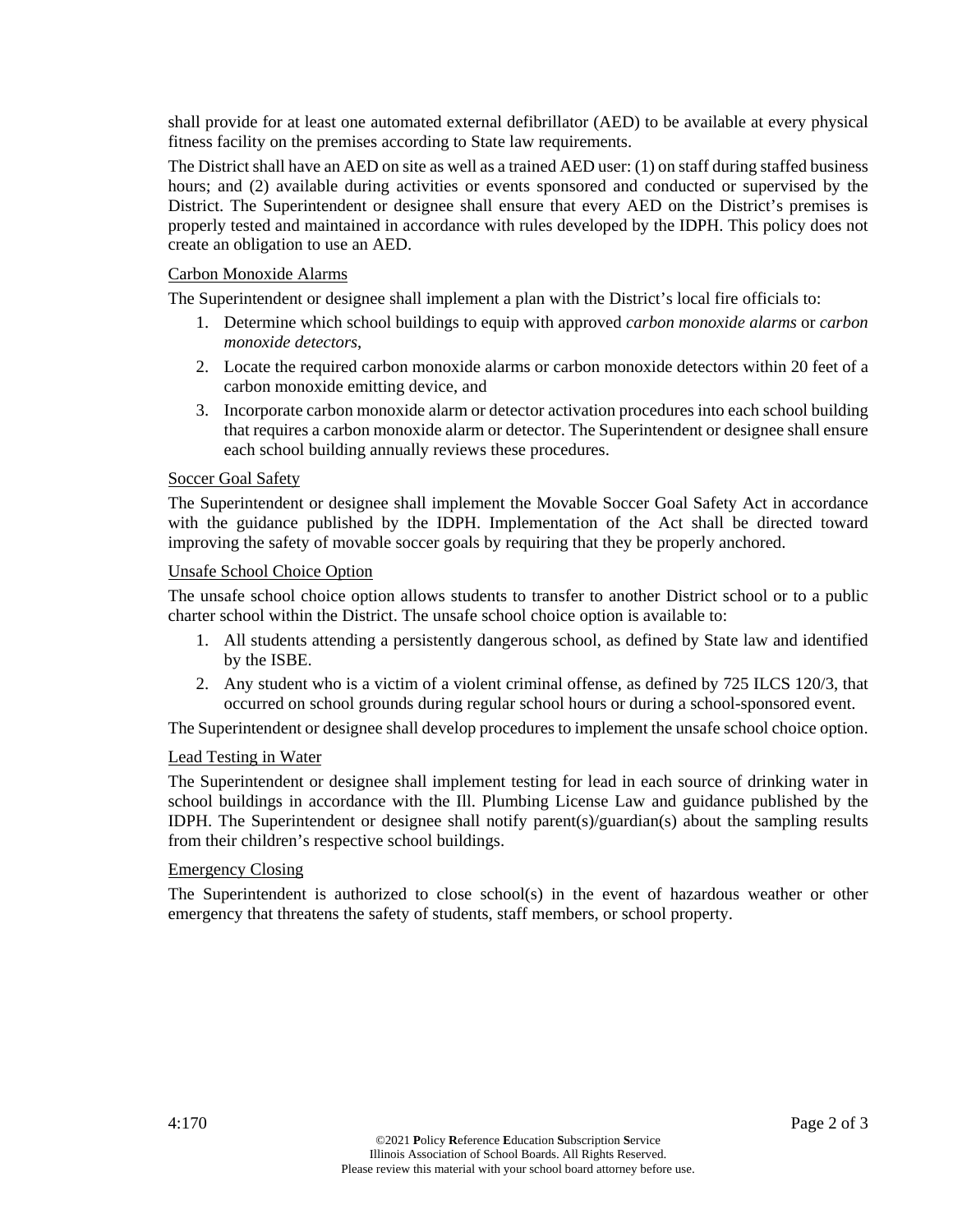shall provide for at least one automated external defibrillator (AED) to be available at every physical fitness facility on the premises according to State law requirements.

The District shall have an AED on site as well as a trained AED user: (1) on staff during staffed business hours; and (2) available during activities or events sponsored and conducted or supervised by the District. The Superintendent or designee shall ensure that every AED on the District's premises is properly tested and maintained in accordance with rules developed by the IDPH. This policy does not create an obligation to use an AED.

### Carbon Monoxide Alarms

The Superintendent or designee shall implement a plan with the District's local fire officials to:

- 1. Determine which school buildings to equip with approved *carbon monoxide alarms* or *carbon monoxide detectors*,
- 2. Locate the required carbon monoxide alarms or carbon monoxide detectors within 20 feet of a carbon monoxide emitting device, and
- 3. Incorporate carbon monoxide alarm or detector activation procedures into each school building that requires a carbon monoxide alarm or detector. The Superintendent or designee shall ensure each school building annually reviews these procedures.

### Soccer Goal Safety

The Superintendent or designee shall implement the Movable Soccer Goal Safety Act in accordance with the guidance published by the IDPH. Implementation of the Act shall be directed toward improving the safety of movable soccer goals by requiring that they be properly anchored.

#### Unsafe School Choice Option

The unsafe school choice option allows students to transfer to another District school or to a public charter school within the District. The unsafe school choice option is available to:

- 1. All students attending a persistently dangerous school, as defined by State law and identified by the ISBE.
- 2. Any student who is a victim of a violent criminal offense, as defined by 725 ILCS 120/3, that occurred on school grounds during regular school hours or during a school-sponsored event.

The Superintendent or designee shall develop procedures to implement the unsafe school choice option.

#### Lead Testing in Water

The Superintendent or designee shall implement testing for lead in each source of drinking water in school buildings in accordance with the Ill. Plumbing License Law and guidance published by the IDPH. The Superintendent or designee shall notify parent(s)/guardian(s) about the sampling results from their children's respective school buildings.

## Emergency Closing

The Superintendent is authorized to close school(s) in the event of hazardous weather or other emergency that threatens the safety of students, staff members, or school property.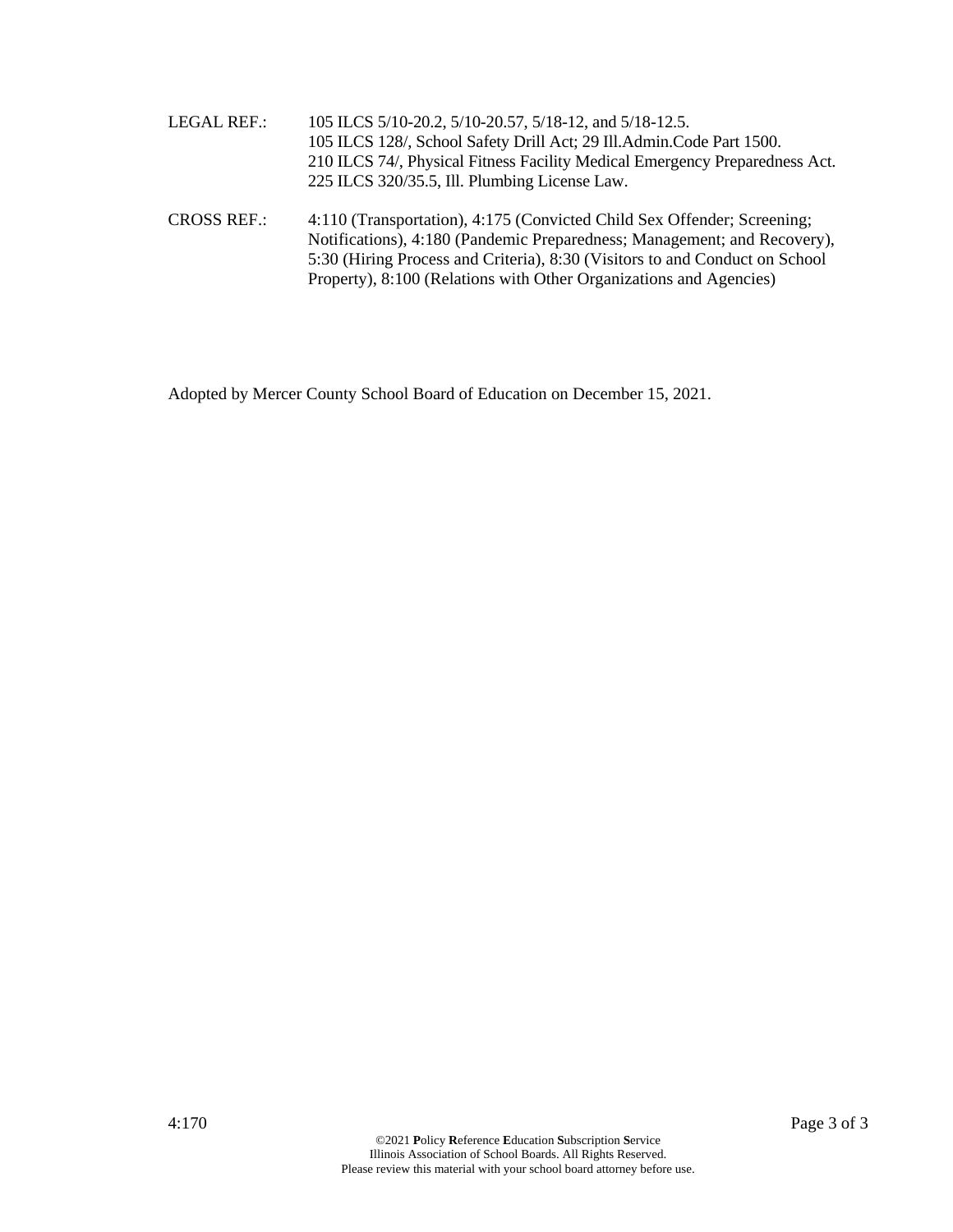| <b>LEGAL REF.:</b> | 105 ILCS 5/10-20.2, 5/10-20.57, 5/18-12, and 5/18-12.5.                                                                                                                                                                                                                                                  |
|--------------------|----------------------------------------------------------------------------------------------------------------------------------------------------------------------------------------------------------------------------------------------------------------------------------------------------------|
|                    | 105 ILCS 128/, School Safety Drill Act; 29 Ill.Admin.Code Part 1500.                                                                                                                                                                                                                                     |
|                    | 210 ILCS 74/, Physical Fitness Facility Medical Emergency Preparedness Act.                                                                                                                                                                                                                              |
|                    | 225 ILCS 320/35.5, Ill. Plumbing License Law.                                                                                                                                                                                                                                                            |
| <b>CROSS REF.:</b> | 4:110 (Transportation), 4:175 (Convicted Child Sex Offender; Screening;<br>Notifications), 4:180 (Pandemic Preparedness; Management; and Recovery),<br>5:30 (Hiring Process and Criteria), 8:30 (Visitors to and Conduct on School<br>Property), 8:100 (Relations with Other Organizations and Agencies) |

Adopted by Mercer County School Board of Education on December 15, 2021.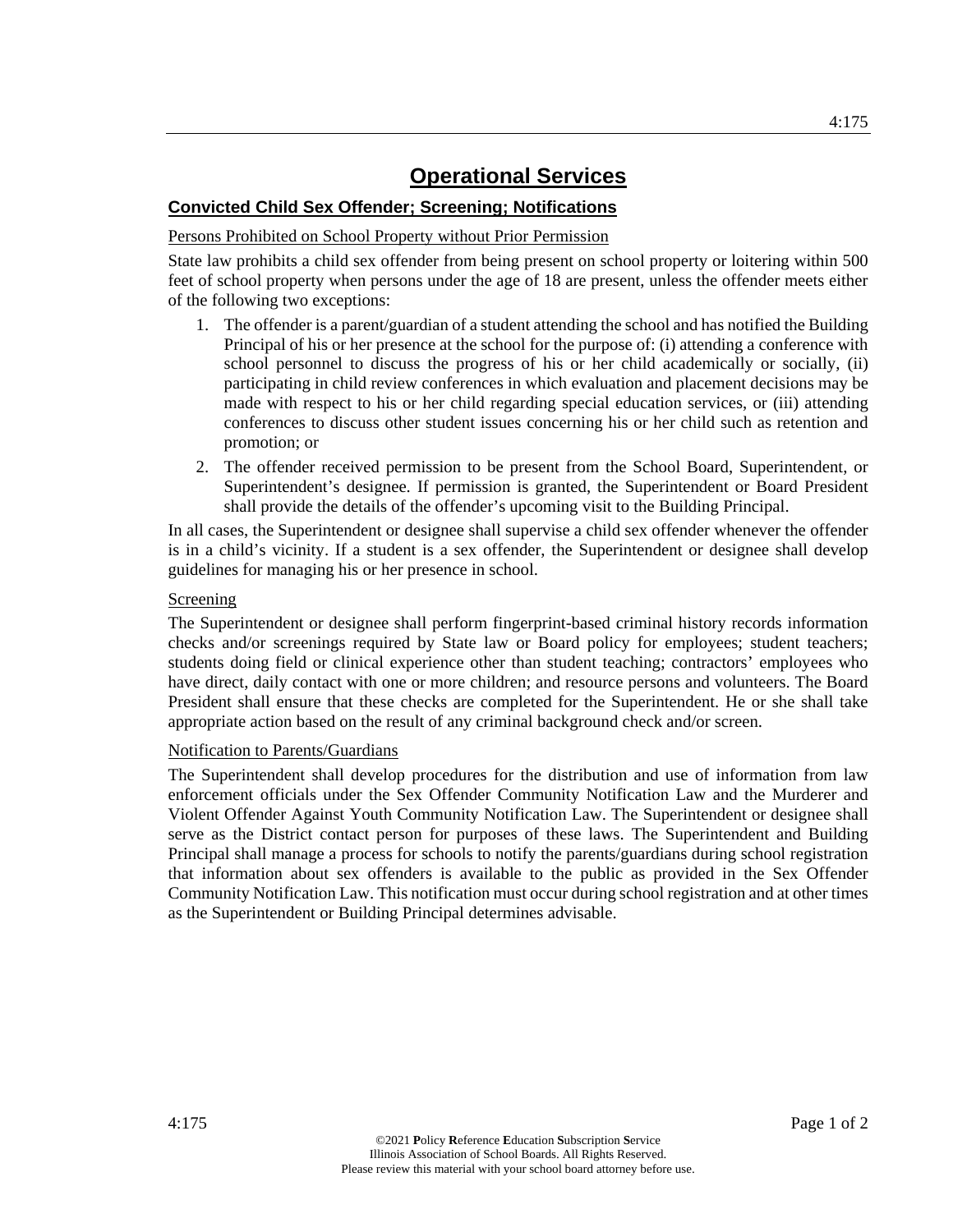## **Convicted Child Sex Offender; Screening; Notifications**

## Persons Prohibited on School Property without Prior Permission

State law prohibits a child sex offender from being present on school property or loitering within 500 feet of school property when persons under the age of 18 are present, unless the offender meets either of the following two exceptions:

- 1. The offender is a parent/guardian of a student attending the school and has notified the Building Principal of his or her presence at the school for the purpose of: (i) attending a conference with school personnel to discuss the progress of his or her child academically or socially, (ii) participating in child review conferences in which evaluation and placement decisions may be made with respect to his or her child regarding special education services, or (iii) attending conferences to discuss other student issues concerning his or her child such as retention and promotion; or
- 2. The offender received permission to be present from the School Board, Superintendent, or Superintendent's designee. If permission is granted, the Superintendent or Board President shall provide the details of the offender's upcoming visit to the Building Principal.

In all cases, the Superintendent or designee shall supervise a child sex offender whenever the offender is in a child's vicinity. If a student is a sex offender, the Superintendent or designee shall develop guidelines for managing his or her presence in school.

### Screening

The Superintendent or designee shall perform fingerprint-based criminal history records information checks and/or screenings required by State law or Board policy for employees; student teachers; students doing field or clinical experience other than student teaching; contractors' employees who have direct, daily contact with one or more children; and resource persons and volunteers. The Board President shall ensure that these checks are completed for the Superintendent. He or she shall take appropriate action based on the result of any criminal background check and/or screen.

## Notification to Parents/Guardians

The Superintendent shall develop procedures for the distribution and use of information from law enforcement officials under the Sex Offender Community Notification Law and the Murderer and Violent Offender Against Youth Community Notification Law. The Superintendent or designee shall serve as the District contact person for purposes of these laws. The Superintendent and Building Principal shall manage a process for schools to notify the parents/guardians during school registration that information about sex offenders is available to the public as provided in the Sex Offender Community Notification Law. This notification must occur during school registration and at other times as the Superintendent or Building Principal determines advisable.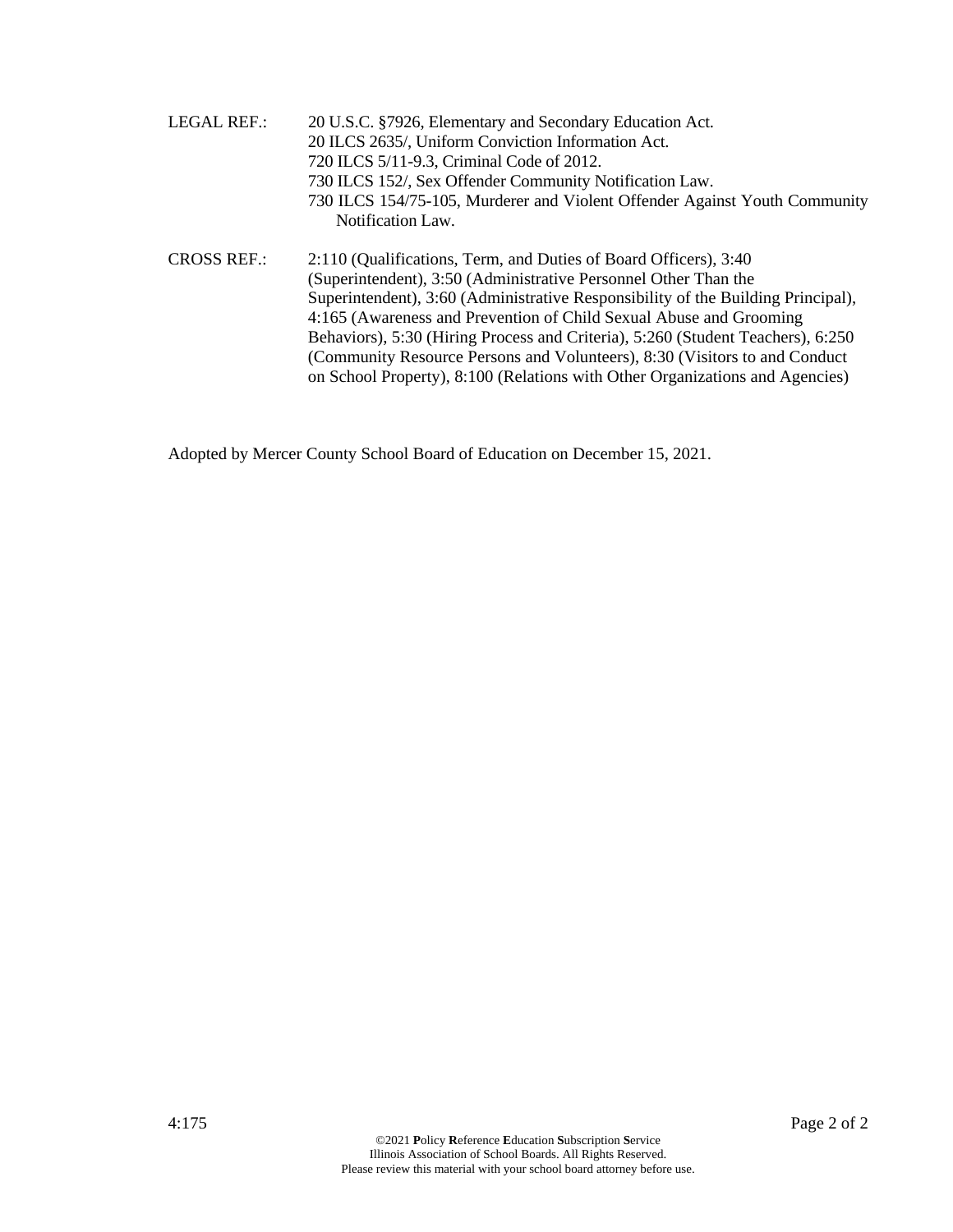| <b>LEGAL REF.:</b> | 20 U.S.C. §7926, Elementary and Secondary Education Act.                         |
|--------------------|----------------------------------------------------------------------------------|
|                    | 20 ILCS 2635/, Uniform Conviction Information Act.                               |
|                    | 720 ILCS 5/11-9.3, Criminal Code of 2012.                                        |
|                    | 730 ILCS 152/, Sex Offender Community Notification Law.                          |
|                    | 730 ILCS 154/75-105, Murderer and Violent Offender Against Youth Community       |
|                    | Notification Law.                                                                |
| <b>CROSS REF.:</b> | 2:110 (Qualifications, Term, and Duties of Board Officers), 3:40                 |
|                    | (Superintendent), 3:50 (Administrative Personnel Other Than the                  |
|                    | Superintendent), 3:60 (Administrative Responsibility of the Building Principal), |
|                    | 4:165 (Awareness and Prevention of Child Sexual Abuse and Grooming               |
|                    | Behaviors), 5:30 (Hiring Process and Criteria), 5:260 (Student Teachers), 6:250  |
|                    | (Community Resource Persons and Volunteers), 8:30 (Visitors to and Conduct)      |
|                    | on School Property), 8:100 (Relations with Other Organizations and Agencies)     |

Adopted by Mercer County School Board of Education on December 15, 2021.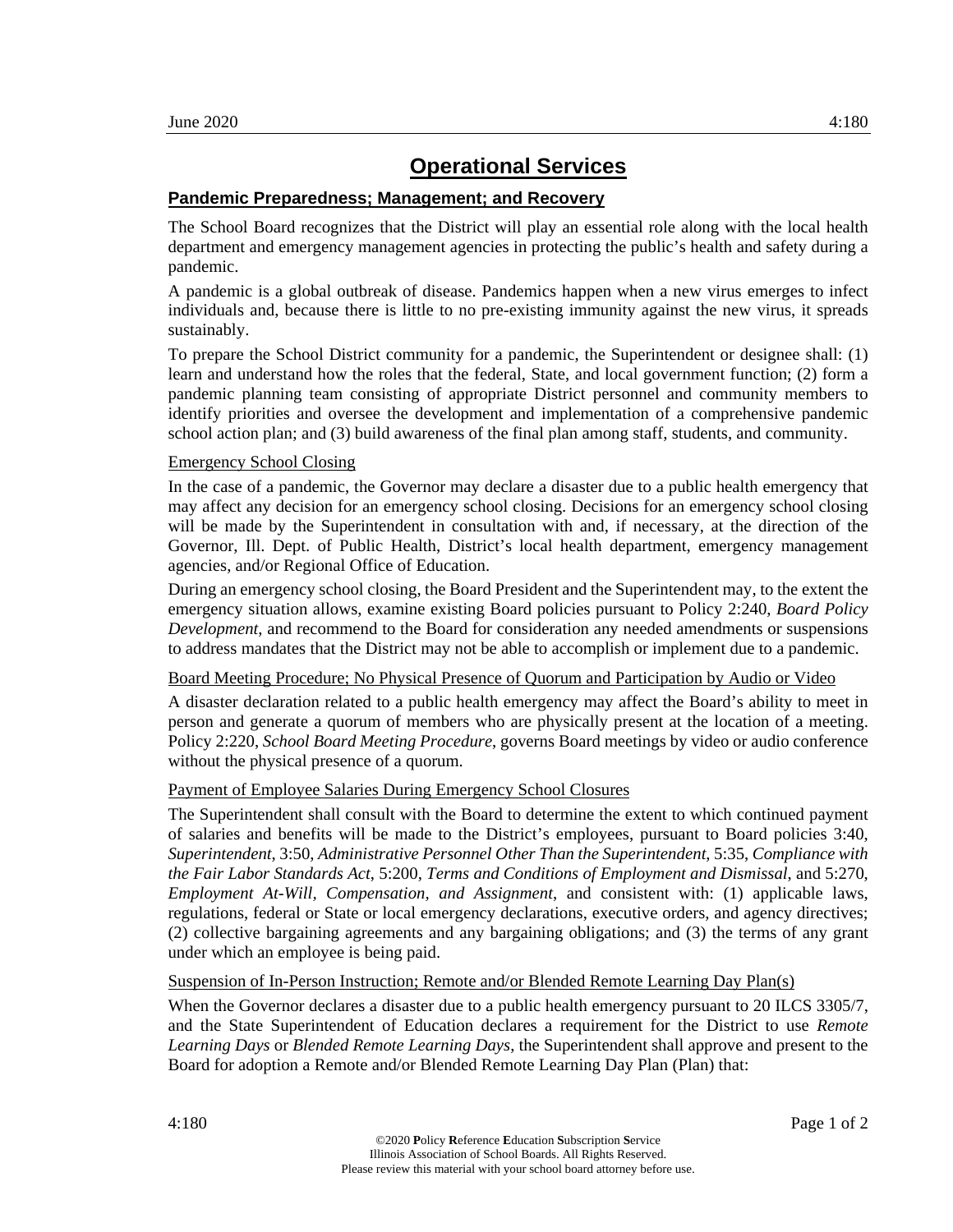## **Pandemic Preparedness; Management; and Recovery**

The School Board recognizes that the District will play an essential role along with the local health department and emergency management agencies in protecting the public's health and safety during a pandemic.

A pandemic is a global outbreak of disease. Pandemics happen when a new virus emerges to infect individuals and, because there is little to no pre-existing immunity against the new virus, it spreads sustainably.

To prepare the School District community for a pandemic, the Superintendent or designee shall: (1) learn and understand how the roles that the federal, State, and local government function; (2) form a pandemic planning team consisting of appropriate District personnel and community members to identify priorities and oversee the development and implementation of a comprehensive pandemic school action plan; and (3) build awareness of the final plan among staff, students, and community.

#### Emergency School Closing

In the case of a pandemic, the Governor may declare a disaster due to a public health emergency that may affect any decision for an emergency school closing. Decisions for an emergency school closing will be made by the Superintendent in consultation with and, if necessary, at the direction of the Governor, Ill. Dept. of Public Health, District's local health department, emergency management agencies, and/or Regional Office of Education.

During an emergency school closing, the Board President and the Superintendent may, to the extent the emergency situation allows, examine existing Board policies pursuant to Policy 2:240, *Board Policy Development*, and recommend to the Board for consideration any needed amendments or suspensions to address mandates that the District may not be able to accomplish or implement due to a pandemic.

#### Board Meeting Procedure; No Physical Presence of Quorum and Participation by Audio or Video

A disaster declaration related to a public health emergency may affect the Board's ability to meet in person and generate a quorum of members who are physically present at the location of a meeting. Policy 2:220, *School Board Meeting Procedure*, governs Board meetings by video or audio conference without the physical presence of a quorum.

#### Payment of Employee Salaries During Emergency School Closures

The Superintendent shall consult with the Board to determine the extent to which continued payment of salaries and benefits will be made to the District's employees, pursuant to Board policies 3:40, *Superintendent*, 3:50, *Administrative Personnel Other Than the Superintendent*, 5:35, *Compliance with the Fair Labor Standards Act*, 5:200, *Terms and Conditions of Employment and Dismissal*, and 5:270, *Employment At-Will, Compensation, and Assignment*, and consistent with: (1) applicable laws, regulations, federal or State or local emergency declarations, executive orders, and agency directives; (2) collective bargaining agreements and any bargaining obligations; and (3) the terms of any grant under which an employee is being paid.

Suspension of In-Person Instruction; Remote and/or Blended Remote Learning Day Plan(s)

When the Governor declares a disaster due to a public health emergency pursuant to 20 ILCS 3305/7, and the State Superintendent of Education declares a requirement for the District to use *Remote Learning Days* or *Blended Remote Learning Days*, the Superintendent shall approve and present to the Board for adoption a Remote and/or Blended Remote Learning Day Plan (Plan) that: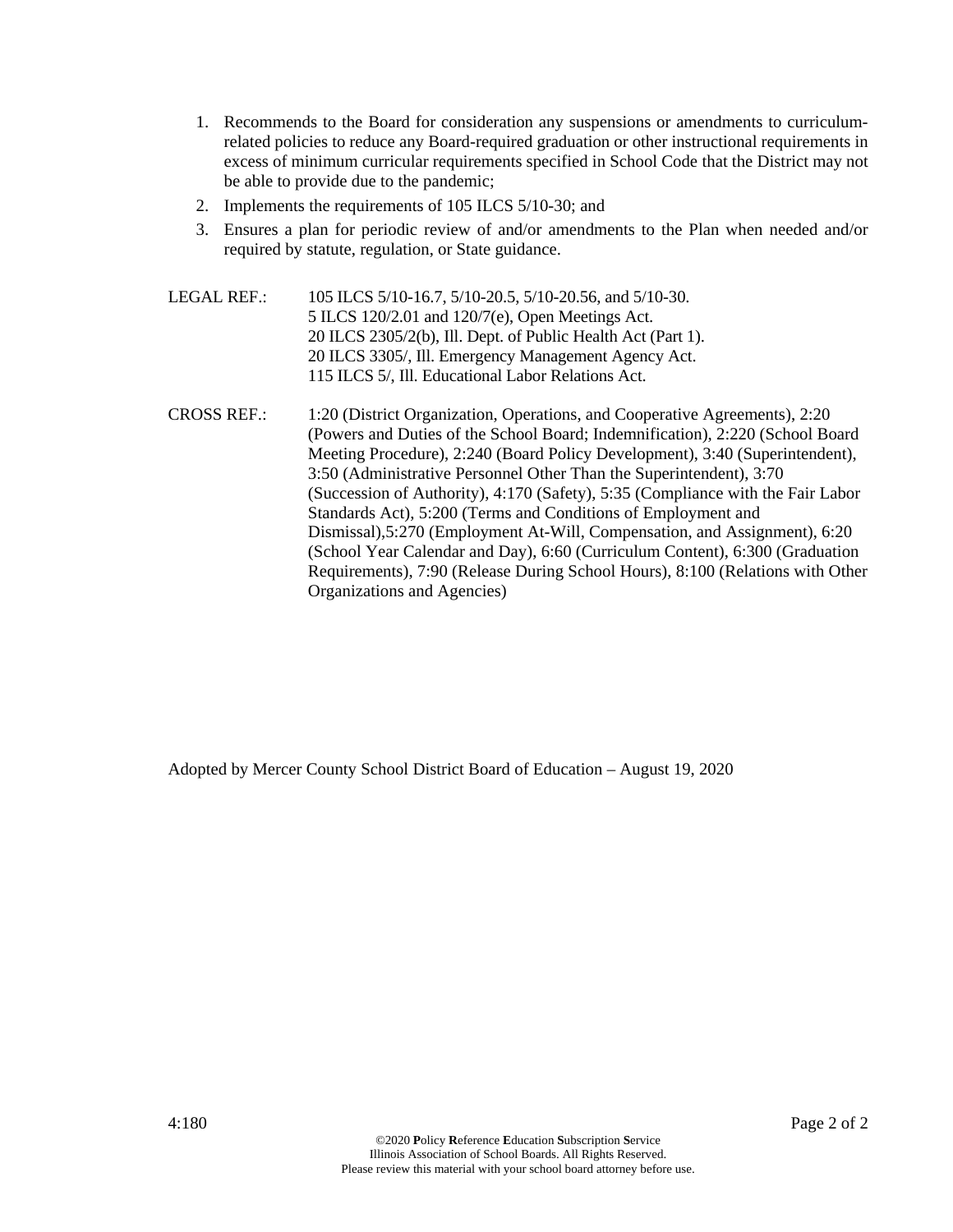- 1. Recommends to the Board for consideration any suspensions or amendments to curriculumrelated policies to reduce any Board-required graduation or other instructional requirements in excess of minimum curricular requirements specified in School Code that the District may not be able to provide due to the pandemic;
- 2. Implements the requirements of 105 ILCS 5/10-30; and
- 3. Ensures a plan for periodic review of and/or amendments to the Plan when needed and/or required by statute, regulation, or State guidance.
- LEGAL REF.: 105 ILCS 5/10-16.7, 5/10-20.5, 5/10-20.56, and 5/10-30. 5 ILCS 120/2.01 and 120/7(e), Open Meetings Act. 20 ILCS 2305/2(b), Ill. Dept. of Public Health Act (Part 1). 20 ILCS 3305/, Ill. Emergency Management Agency Act. 115 ILCS 5/, Ill. Educational Labor Relations Act.
- CROSS REF.: 1:20 (District Organization, Operations, and Cooperative Agreements), 2:20 (Powers and Duties of the School Board; Indemnification), 2:220 (School Board Meeting Procedure), 2:240 (Board Policy Development), 3:40 (Superintendent), 3:50 (Administrative Personnel Other Than the Superintendent), 3:70 (Succession of Authority), 4:170 (Safety), 5:35 (Compliance with the Fair Labor Standards Act), 5:200 (Terms and Conditions of Employment and Dismissal),5:270 (Employment At-Will, Compensation, and Assignment), 6:20 (School Year Calendar and Day), 6:60 (Curriculum Content), 6:300 (Graduation Requirements), 7:90 (Release During School Hours), 8:100 (Relations with Other Organizations and Agencies)

Adopted by Mercer County School District Board of Education – August 19, 2020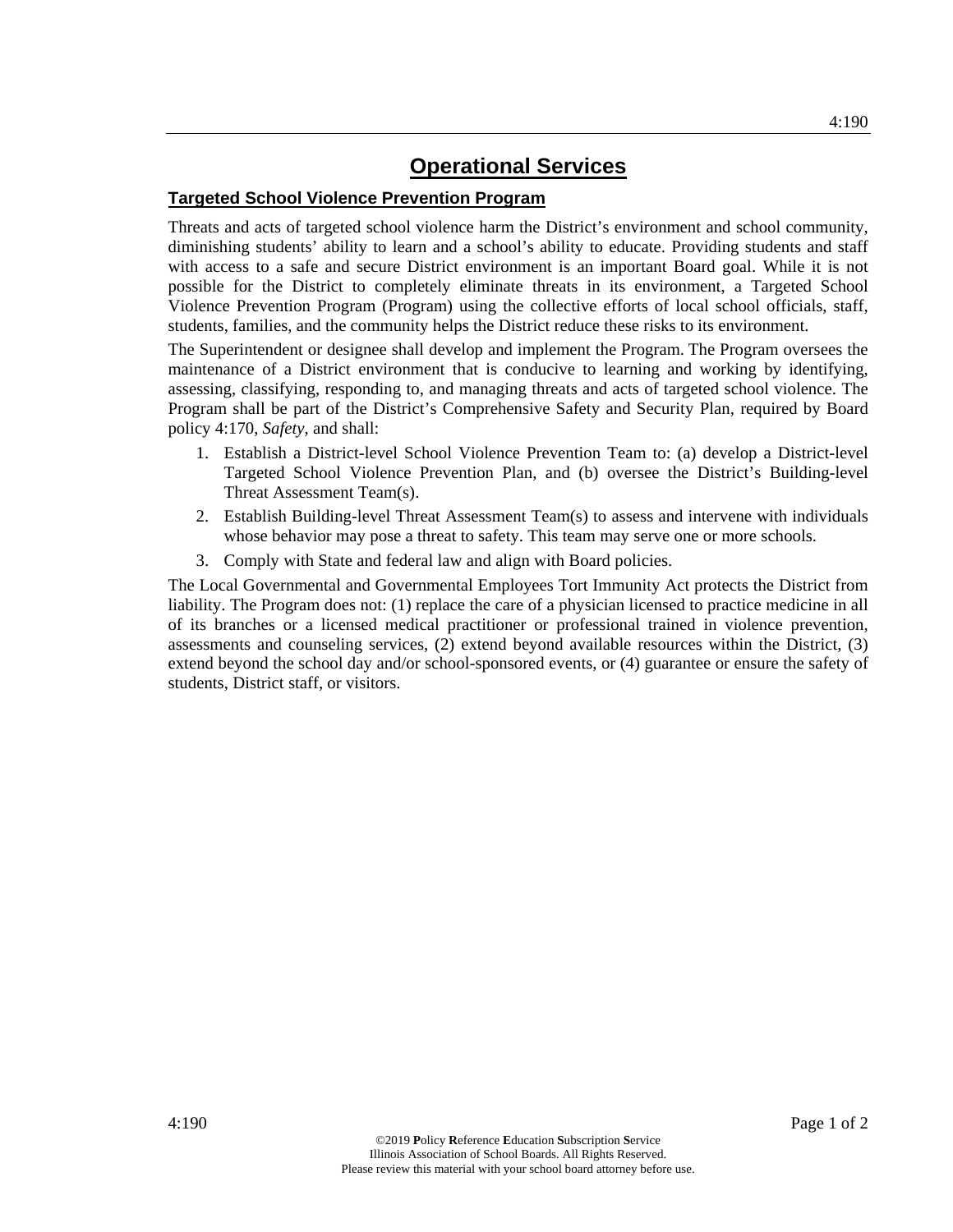## **Targeted School Violence Prevention Program**

Threats and acts of targeted school violence harm the District's environment and school community, diminishing students' ability to learn and a school's ability to educate. Providing students and staff with access to a safe and secure District environment is an important Board goal. While it is not possible for the District to completely eliminate threats in its environment, a Targeted School Violence Prevention Program (Program) using the collective efforts of local school officials, staff, students, families, and the community helps the District reduce these risks to its environment.

The Superintendent or designee shall develop and implement the Program. The Program oversees the maintenance of a District environment that is conducive to learning and working by identifying, assessing, classifying, responding to, and managing threats and acts of targeted school violence. The Program shall be part of the District's Comprehensive Safety and Security Plan, required by Board policy 4:170, *Safety*, and shall:

- 1. Establish a District-level School Violence Prevention Team to: (a) develop a District-level Targeted School Violence Prevention Plan, and (b) oversee the District's Building-level Threat Assessment Team(s).
- 2. Establish Building-level Threat Assessment Team(s) to assess and intervene with individuals whose behavior may pose a threat to safety. This team may serve one or more schools.
- 3. Comply with State and federal law and align with Board policies.

The Local Governmental and Governmental Employees Tort Immunity Act protects the District from liability. The Program does not: (1) replace the care of a physician licensed to practice medicine in all of its branches or a licensed medical practitioner or professional trained in violence prevention, assessments and counseling services, (2) extend beyond available resources within the District, (3) extend beyond the school day and/or school-sponsored events, or (4) guarantee or ensure the safety of students, District staff, or visitors.